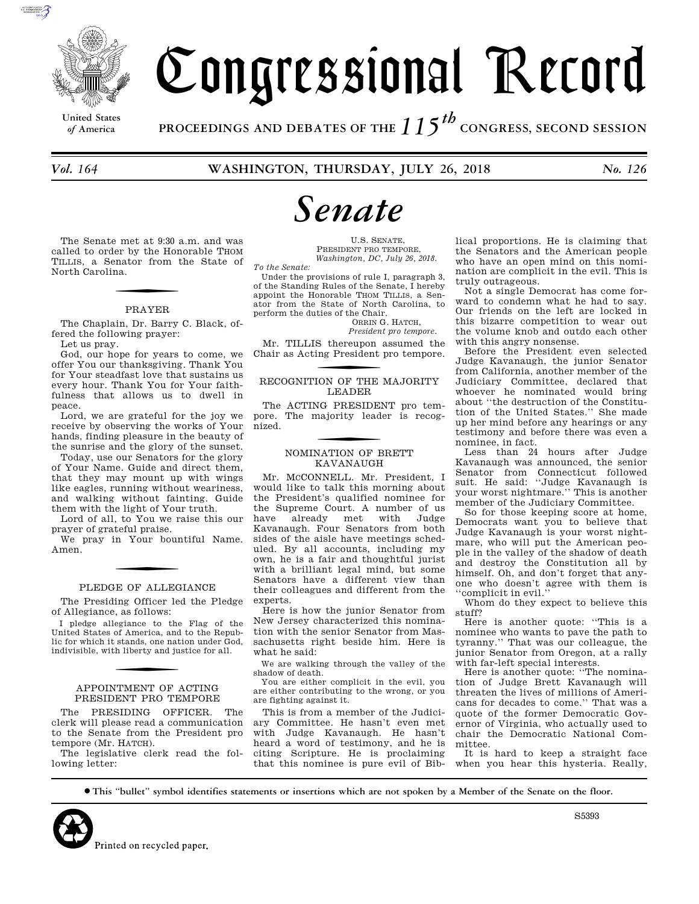

**United States**

# Congressional Record

*of* **America PROCEEDINGS AND DEBATES OF THE** *115th*  **CONGRESS, SECOND SESSION**

# *Senate*

The Senate met at 9:30 a.m. and was called to order by the Honorable THOM TILLIS, a Senator from the State of North Carolina.

### PRAYER

The Chaplain, Dr. Barry C. Black, offered the following prayer:

Let us pray.

God, our hope for years to come, we offer You our thanksgiving. Thank You for Your steadfast love that sustains us every hour. Thank You for Your faithfulness that allows us to dwell in peace.

Lord, we are grateful for the joy we receive by observing the works of Your hands, finding pleasure in the beauty of the sunrise and the glory of the sunset.

Today, use our Senators for the glory of Your Name. Guide and direct them, that they may mount up with wings like eagles, running without weariness, and walking without fainting. Guide them with the light of Your truth.

Lord of all, to You we raise this our prayer of grateful praise.

We pray in Your bountiful Name. Amen.

### PLEDGE OF ALLEGIANCE

The Presiding Officer led the Pledge of Allegiance, as follows:

I pledge allegiance to the Flag of the United States of America, and to the Republic for which it stands, one nation under God, indivisible, with liberty and justice for all.

### APPOINTMENT OF ACTING PRESIDENT PRO TEMPORE

The PRESIDING OFFICER. The clerk will please read a communication to the Senate from the President pro tempore (Mr. HATCH).

The legislative clerk read the following letter:

U.S. SENATE, PRESIDENT PRO TEMPORE, *Washington, DC, July 26, 2018.* 

*To the Senate:*  Under the provisions of rule I, paragraph 3, of the Standing Rules of the Senate, I hereby appoint the Honorable THOM TILLIS, a Sen-

ator from the State of North Carolina, to perform the duties of the Chair. ORRIN G. HATCH,

*President pro tempore.* 

Mr. TILLIS thereupon assumed the Chair as Acting President pro tempore.

RECOGNITION OF THE MAJORITY LEADER

The ACTING PRESIDENT pro tempore. The majority leader is recognized.

# f NOMINATION OF BRETT KAVANAUGH

Mr. McCONNELL. Mr. President, I would like to talk this morning about the President's qualified nominee for the Supreme Court. A number of us have already met with Judge Kavanaugh. Four Senators from both sides of the aisle have meetings scheduled. By all accounts, including my own, he is a fair and thoughtful jurist with a brilliant legal mind, but some Senators have a different view than their colleagues and different from the experts

Here is how the junior Senator from New Jersey characterized this nomination with the senior Senator from Massachusetts right beside him. Here is what he said:

We are walking through the valley of the shadow of death.

You are either complicit in the evil, you are either contributing to the wrong, or you are fighting against it.

This is from a member of the Judiciary Committee. He hasn't even met with Judge Kavanaugh. He hasn't heard a word of testimony, and he is citing Scripture. He is proclaiming that this nominee is pure evil of Bib-

lical proportions. He is claiming that the Senators and the American people who have an open mind on this nomination are complicit in the evil. This is truly outrageous.

Not a single Democrat has come forward to condemn what he had to say. Our friends on the left are locked in this bizarre competition to wear out the volume knob and outdo each other with this angry nonsense.

Before the President even selected Judge Kavanaugh, the junior Senator from California, another member of the Judiciary Committee, declared that whoever he nominated would bring about ''the destruction of the Constitution of the United States.'' She made up her mind before any hearings or any testimony and before there was even a nominee, in fact.

Less than 24 hours after Judge Kavanaugh was announced, the senior Senator from Connecticut followed suit. He said: ''Judge Kavanaugh is your worst nightmare.'' This is another member of the Judiciary Committee.

So for those keeping score at home, Democrats want you to believe that Judge Kavanaugh is your worst nightmare, who will put the American people in the valley of the shadow of death and destroy the Constitution all by himself. Oh, and don't forget that anyone who doesn't agree with them is ''complicit in evil.''

Whom do they expect to believe this stuff?

Here is another quote: ''This is a nominee who wants to pave the path to tyranny.'' That was our colleague, the junior Senator from Oregon, at a rally with far-left special interests.

Here is another quote: ''The nomination of Judge Brett Kavanaugh will threaten the lives of millions of Americans for decades to come.'' That was a quote of the former Democratic Governor of Virginia, who actually used to chair the Democratic National Committee.

It is hard to keep a straight face when you hear this hysteria. Really,

∑ **This ''bullet'' symbol identifies statements or insertions which are not spoken by a Member of the Senate on the floor.**



S5393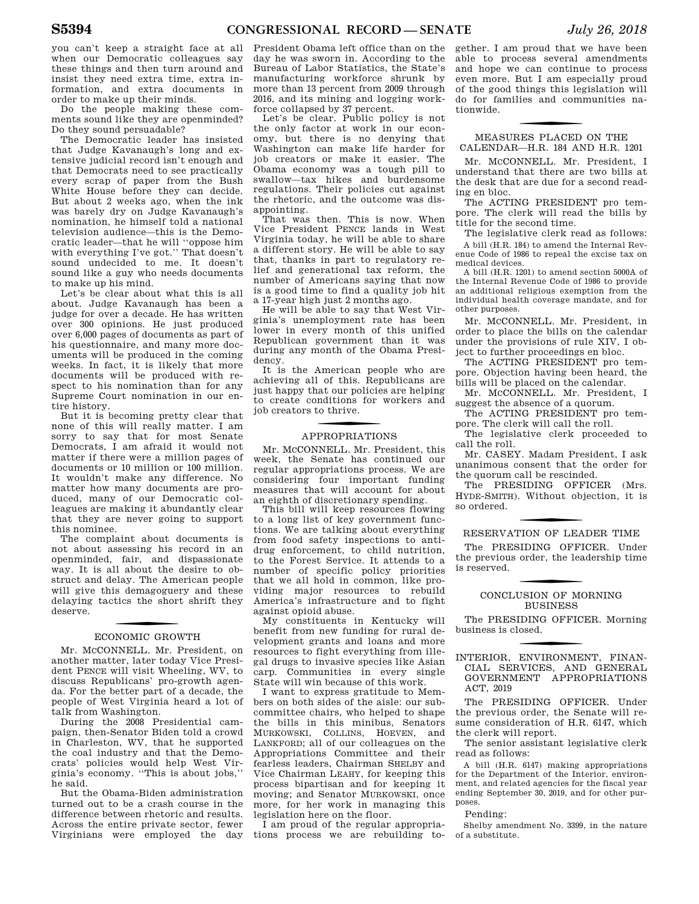you can't keep a straight face at all when our Democratic colleagues say these things and then turn around and insist they need extra time, extra information, and extra documents in order to make up their minds.

Do the people making these comments sound like they are openminded? Do they sound persuadable?

The Democratic leader has insisted that Judge Kavanaugh's long and extensive judicial record isn't enough and that Democrats need to see practically every scrap of paper from the Bush White House before they can decide. But about 2 weeks ago, when the ink was barely dry on Judge Kavanaugh's nomination, he himself told a national television audience—this is the Democratic leader—that he will ''oppose him with everything I've got.'' That doesn't sound undecided to me. It doesn't sound like a guy who needs documents to make up his mind.

Let's be clear about what this is all about. Judge Kavanaugh has been a judge for over a decade. He has written over 300 opinions. He just produced over 6,000 pages of documents as part of his questionnaire, and many more documents will be produced in the coming weeks. In fact, it is likely that more documents will be produced with respect to his nomination than for any Supreme Court nomination in our entire history.

But it is becoming pretty clear that none of this will really matter. I am sorry to say that for most Senate Democrats, I am afraid it would not matter if there were a million pages of documents or 10 million or 100 million. It wouldn't make any difference. No matter how many documents are produced, many of our Democratic colleagues are making it abundantly clear that they are never going to support this nominee.

The complaint about documents is not about assessing his record in an openminded, fair, and dispassionate way. It is all about the desire to obstruct and delay. The American people will give this demagoguery and these delaying tactics the short shrift they deserve.

# f ECONOMIC GROWTH

Mr. MCCONNELL. Mr. President, on another matter, later today Vice President PENCE will visit Wheeling, WV, to discuss Republicans' pro-growth agenda. For the better part of a decade, the people of West Virginia heard a lot of talk from Washington.

During the 2008 Presidential campaign, then-Senator Biden told a crowd in Charleston, WV, that he supported the coal industry and that the Democrats' policies would help West Virginia's economy. ''This is about jobs,'' he said.

But the Obama-Biden administration turned out to be a crash course in the difference between rhetoric and results. Across the entire private sector, fewer Virginians were employed the day

President Obama left office than on the day he was sworn in. According to the Bureau of Labor Statistics, the State's manufacturing workforce shrunk by more than 13 percent from 2009 through 2016, and its mining and logging workforce collapsed by 37 percent.

Let's be clear. Public policy is not the only factor at work in our economy, but there is no denying that Washington can make life harder for job creators or make it easier. The Obama economy was a tough pill to swallow—tax hikes and burdensome regulations. Their policies cut against the rhetoric, and the outcome was disappointing.

That was then. This is now. When Vice President PENCE lands in West Virginia today, he will be able to share a different story. He will be able to say that, thanks in part to regulatory relief and generational tax reform, the number of Americans saying that now is a good time to find a quality job hit a 17-year high just 2 months ago.

He will be able to say that West Virginia's unemployment rate has been lower in every month of this unified Republican government than it was during any month of the Obama Presidency.

It is the American people who are achieving all of this. Republicans are just happy that our policies are helping to create conditions for workers and job creators to thrive.

# f APPROPRIATIONS

Mr. MCCONNELL. Mr. President, this week, the Senate has continued our regular appropriations process. We are considering four important funding measures that will account for about an eighth of discretionary spending.

This bill will keep resources flowing to a long list of key government functions. We are talking about everything from food safety inspections to antidrug enforcement, to child nutrition, to the Forest Service. It attends to a number of specific policy priorities that we all hold in common, like providing major resources to rebuild America's infrastructure and to fight against opioid abuse.

My constituents in Kentucky will benefit from new funding for rural development grants and loans and more resources to fight everything from illegal drugs to invasive species like Asian carp. Communities in every single State will win because of this work.

I want to express gratitude to Members on both sides of the aisle: our subcommittee chairs, who helped to shape the bills in this minibus, Senators MURKOWSKI, COLLINS, HOEVEN, and LANKFORD; all of our colleagues on the Appropriations Committee and their fearless leaders, Chairman SHELBY and Vice Chairman LEAHY, for keeping this process bipartisan and for keeping it moving; and Senator MURKOWSKI, once more, for her work in managing this legislation here on the floor.

I am proud of the regular appropriations process we are rebuilding to-

gether. I am proud that we have been able to process several amendments and hope we can continue to process even more. But I am especially proud of the good things this legislation will do for families and communities nationwide.

### f MEASURES PLACED ON THE CALENDAR—H.R. 184 AND H.R. 1201

Mr. MCCONNELL. Mr. President, I understand that there are two bills at the desk that are due for a second reading en bloc.

The ACTING PRESIDENT pro tempore. The clerk will read the bills by title for the second time.

The legislative clerk read as follows: A bill (H.R. 184) to amend the Internal Revenue Code of 1986 to repeal the excise tax on medical devices.

A bill (H.R. 1201) to amend section 5000A of the Internal Revenue Code of 1986 to provide an additional religious exemption from the individual health coverage mandate, and for other purposes.

Mr. MCCONNELL. Mr. President, in order to place the bills on the calendar under the provisions of rule XIV, I object to further proceedings en bloc.

The ACTING PRESIDENT pro tempore. Objection having been heard, the bills will be placed on the calendar.

Mr. MCCONNELL. Mr. President, I suggest the absence of a quorum.

The ACTING PRESIDENT pro tempore. The clerk will call the roll.

The legislative clerk proceeded to call the roll.

Mr. CASEY. Madam President, I ask unanimous consent that the order for the quorum call be rescinded.

The PRESIDING OFFICER (Mrs. HYDE-SMITH). Without objection, it is so ordered.

# RESERVATION OF LEADER TIME

The PRESIDING OFFICER. Under the previous order, the leadership time is reserved.

### CONCLUSION OF MORNING BUSINESS

The PRESIDING OFFICER. Morning business is closed.

f INTERIOR, ENVIRONMENT, FINAN-CIAL SERVICES, AND GENERAL GOVERNMENT APPROPRIATIONS ACT, 2019

The PRESIDING OFFICER. Under the previous order, the Senate will resume consideration of H.R. 6147, which the clerk will report.

The senior assistant legislative clerk read as follows:

A bill (H.R. 6147) making appropriations for the Department of the Interior, environment, and related agencies for the fiscal year ending September 30, 2019, and for other purposes.

### Pending:

Shelby amendment No. 3399, in the nature of a substitute.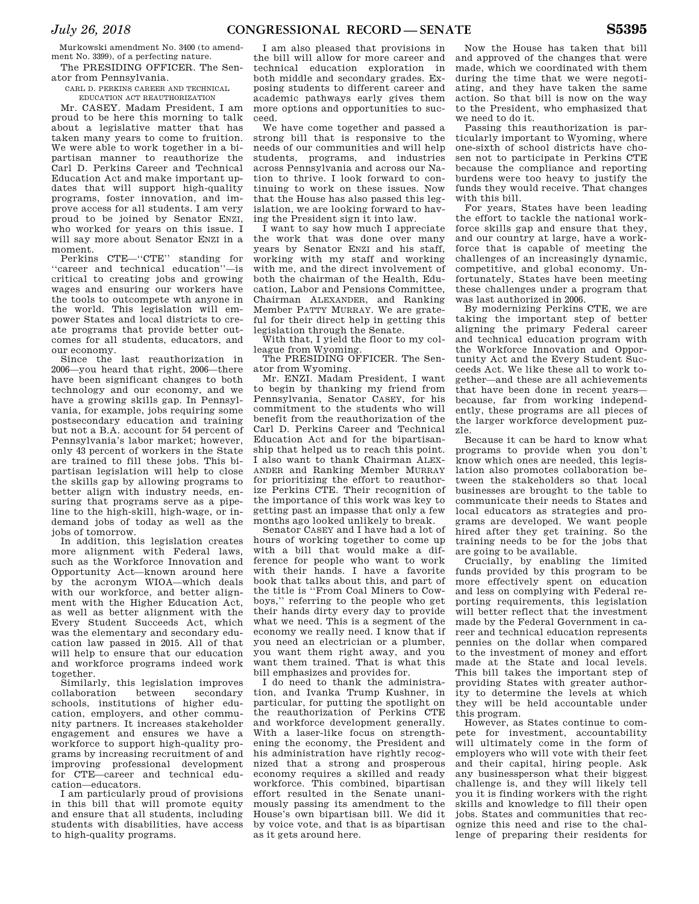Murkowski amendment No. 3400 (to amendment No. 3399), of a perfecting nature.

The PRESIDING OFFICER. The Senator from Pennsylvania.

CARL D. PERKINS CAREER AND TECHNICAL EDUCATION ACT REAUTHORIZATION

Mr. CASEY. Madam President, I am proud to be here this morning to talk about a legislative matter that has taken many years to come to fruition. We were able to work together in a bipartisan manner to reauthorize the Carl D. Perkins Career and Technical Education Act and make important updates that will support high-quality programs, foster innovation, and improve access for all students. I am very proud to be joined by Senator ENZI, who worked for years on this issue. I will say more about Senator ENZI in a moment.

Perkins CTE—''CTE'' standing for ''career and technical education''—is critical to creating jobs and growing wages and ensuring our workers have the tools to outcompete wth anyone in the world. This legislation will empower States and local districts to create programs that provide better outcomes for all students, educators, and our economy.

Since the last reauthorization in 2006—you heard that right, 2006—there have been significant changes to both technology and our economy, and we have a growing skills gap. In Pennsylvania, for example, jobs requiring some postsecondary education and training but not a B.A. account for 54 percent of Pennsylvania's labor market; however, only 43 percent of workers in the State are trained to fill these jobs. This bipartisan legislation will help to close the skills gap by allowing programs to better align with industry needs, ensuring that programs serve as a pipeline to the high-skill, high-wage, or indemand jobs of today as well as the jobs of tomorrow.

In addition, this legislation creates more alignment with Federal laws, such as the Workforce Innovation and Opportunity Act—known around here by the acronym WIOA—which deals with our workforce, and better alignment with the Higher Education Act, as well as better alignment with the Every Student Succeeds Act, which was the elementary and secondary education law passed in 2015. All of that will help to ensure that our education and workforce programs indeed work together.

Similarly, this legislation improves collaboration between secondary schools, institutions of higher education, employers, and other community partners. It increases stakeholder engagement and ensures we have a workforce to support high-quality programs by increasing recruitment of and improving professional development for CTE—career and technical education—educators.

I am particularly proud of provisions in this bill that will promote equity and ensure that all students, including students with disabilities, have access to high-quality programs.

I am also pleased that provisions in the bill will allow for more career and technical education exploration in both middle and secondary grades. Exposing students to different career and academic pathways early gives them more options and opportunities to succeed.

We have come together and passed a strong bill that is responsive to the needs of our communities and will help students, programs, and industries across Pennsylvania and across our Nation to thrive. I look forward to continuing to work on these issues. Now that the House has also passed this legislation, we are looking forward to having the President sign it into law.

I want to say how much I appreciate the work that was done over many years by Senator ENZI and his staff, working with my staff and working with me, and the direct involvement of both the chairman of the Health, Education, Labor and Pensions Committee, Chairman ALEXANDER, and Ranking Member PATTY MURRAY. We are grateful for their direct help in getting this legislation through the Senate.

With that, I yield the floor to my colleague from Wyoming.

The PRESIDING OFFICER. The Senator from Wyoming.

Mr. ENZI. Madam President, I want to begin by thanking my friend from Pennsylvania, Senator CASEY, for his commitment to the students who will benefit from the reauthorization of the Carl D. Perkins Career and Technical Education Act and for the bipartisanship that helped us to reach this point. I also want to thank Chairman ALEX-ANDER and Ranking Member MURRAY for prioritizing the effort to reauthorize Perkins CTE. Their recognition of the importance of this work was key to getting past an impasse that only a few months ago looked unlikely to break.

Senator CASEY and I have had a lot of hours of working together to come up with a bill that would make a difference for people who want to work with their hands. I have a favorite book that talks about this, and part of the title is ''From Coal Miners to Cowboys,'' referring to the people who get their hands dirty every day to provide what we need. This is a segment of the economy we really need. I know that if you need an electrician or a plumber, you want them right away, and you want them trained. That is what this bill emphasizes and provides for.

I do need to thank the administration, and Ivanka Trump Kushner, in particular, for putting the spotlight on the reauthorization of Perkins CTE and workforce development generally. With a laser-like focus on strengthening the economy, the President and his administration have rightly recognized that a strong and prosperous economy requires a skilled and ready workforce. This combined, bipartisan effort resulted in the Senate unanimously passing its amendment to the House's own bipartisan bill. We did it by voice vote, and that is as bipartisan as it gets around here.

Now the House has taken that bill and approved of the changes that were made, which we coordinated with them during the time that we were negotiating, and they have taken the same action. So that bill is now on the way to the President, who emphasized that we need to do it.

Passing this reauthorization is particularly important to Wyoming, where one-sixth of school districts have chosen not to participate in Perkins CTE because the compliance and reporting burdens were too heavy to justify the funds they would receive. That changes with this bill.

For years, States have been leading the effort to tackle the national workforce skills gap and ensure that they, and our country at large, have a workforce that is capable of meeting the challenges of an increasingly dynamic, competitive, and global economy. Unfortunately, States have been meeting these challenges under a program that was last authorized in 2006.

By modernizing Perkins CTE, we are taking the important step of better aligning the primary Federal career and technical education program with the Workforce Innovation and Opportunity Act and the Every Student Succeeds Act. We like these all to work together—and these are all achievements that have been done in recent years because, far from working independently, these programs are all pieces of the larger workforce development puzzle.

Because it can be hard to know what programs to provide when you don't know which ones are needed, this legislation also promotes collaboration between the stakeholders so that local businesses are brought to the table to communicate their needs to States and local educators as strategies and programs are developed. We want people hired after they get training. So the training needs to be for the jobs that are going to be available.

Crucially, by enabling the limited funds provided by this program to be more effectively spent on education and less on complying with Federal reporting requirements, this legislation will better reflect that the investment made by the Federal Government in career and technical education represents pennies on the dollar when compared to the investment of money and effort made at the State and local levels. This bill takes the important step of providing States with greater authority to determine the levels at which they will be held accountable under this program.

However, as States continue to compete for investment, accountability will ultimately come in the form of employers who will vote with their feet and their capital, hiring people. Ask any businessperson what their biggest challenge is, and they will likely tell you it is finding workers with the right skills and knowledge to fill their open jobs. States and communities that recognize this need and rise to the challenge of preparing their residents for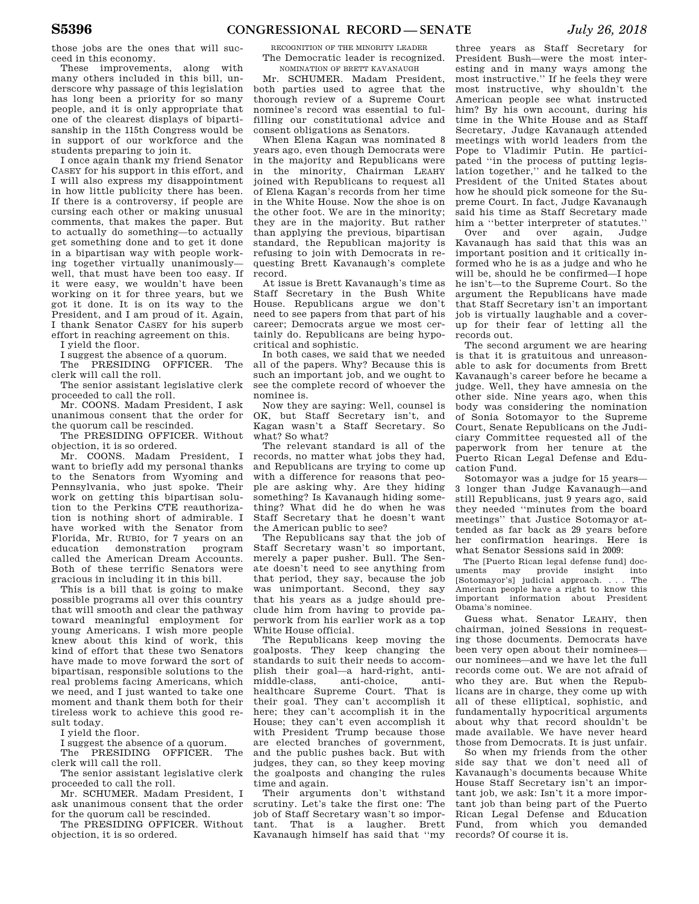those jobs are the ones that will succeed in this economy.

These improvements, along with many others included in this bill, underscore why passage of this legislation has long been a priority for so many people, and it is only appropriate that one of the clearest displays of bipartisanship in the 115th Congress would be in support of our workforce and the students preparing to join it.

I once again thank my friend Senator CASEY for his support in this effort, and I will also express my disappointment in how little publicity there has been. If there is a controversy, if people are cursing each other or making unusual comments, that makes the paper. But to actually do something—to actually get something done and to get it done in a bipartisan way with people working together virtually unanimously well, that must have been too easy. If it were easy, we wouldn't have been working on it for three years, but we got it done. It is on its way to the President, and I am proud of it. Again, I thank Senator CASEY for his superb effort in reaching agreement on this.

I yield the floor.

I suggest the absence of a quorum.

The PRESIDING OFFICER. The clerk will call the roll.

The senior assistant legislative clerk proceeded to call the roll.

Mr. COONS. Madam President, I ask unanimous consent that the order for the quorum call be rescinded.

The PRESIDING OFFICER. Without objection, it is so ordered.

Mr. COONS. Madam President, I want to briefly add my personal thanks to the Senators from Wyoming and Pennsylvania, who just spoke. Their work on getting this bipartisan solution to the Perkins CTE reauthorization is nothing short of admirable. I have worked with the Senator from Florida, Mr. RUBIO, for 7 years on an education demonstration program called the American Dream Accounts. Both of these terrific Senators were gracious in including it in this bill.

This is a bill that is going to make possible programs all over this country that will smooth and clear the pathway toward meaningful employment for young Americans. I wish more people knew about this kind of work, this kind of effort that these two Senators have made to move forward the sort of bipartisan, responsible solutions to the real problems facing Americans, which we need, and I just wanted to take one moment and thank them both for their tireless work to achieve this good result today.

I yield the floor.

I suggest the absence of a quorum.

The PRESIDING OFFICER. The clerk will call the roll.

The senior assistant legislative clerk proceeded to call the roll.

Mr. SCHUMER. Madam President, I ask unanimous consent that the order for the quorum call be rescinded.

The PRESIDING OFFICER. Without objection, it is so ordered.

RECOGNITION OF THE MINORITY LEADER The Democratic leader is recognized. NOMINATION OF BRETT KAVANAUGH

Mr. SCHUMER. Madam President, both parties used to agree that the thorough review of a Supreme Court nominee's record was essential to fulfilling our constitutional advice and consent obligations as Senators.

When Elena Kagan was nominated 8 years ago, even though Democrats were in the majority and Republicans were in the minority, Chairman LEAHY joined with Republicans to request all of Elena Kagan's records from her time in the White House. Now the shoe is on the other foot. We are in the minority; they are in the majority. But rather than applying the previous, bipartisan standard, the Republican majority is refusing to join with Democrats in requesting Brett Kavanaugh's complete record.

At issue is Brett Kavanaugh's time as Staff Secretary in the Bush White House. Republicans argue we don't need to see papers from that part of his career; Democrats argue we most certainly do. Republicans are being hypocritical and sophistic.

In both cases, we said that we needed all of the papers. Why? Because this is such an important job, and we ought to see the complete record of whoever the nominee is.

Now they are saying: Well, counsel is OK, but Staff Secretary isn't, and Kagan wasn't a Staff Secretary. So what? So what?

The relevant standard is all of the records, no matter what jobs they had, and Republicans are trying to come up with a difference for reasons that people are asking why. Are they hiding something? Is Kavanaugh hiding something? What did he do when he was Staff Secretary that he doesn't want the American public to see?

The Republicans say that the job of Staff Secretary wasn't so important, merely a paper pusher. Bull. The Senate doesn't need to see anything from that period, they say, because the job was unimportant. Second, they say that his years as a judge should preclude him from having to provide paperwork from his earlier work as a top White House official.

The Republicans keep moving the goalposts. They keep changing the standards to suit their needs to accomplish their goal—a hard-right, antimiddle-class, anti-choice, antihealthcare Supreme Court. That is their goal. They can't accomplish it here; they can't accomplish it in the House; they can't even accomplish it with President Trump because those are elected branches of government, and the public pushes back. But with judges, they can, so they keep moving the goalposts and changing the rules time and again.

Their arguments don't withstand scrutiny. Let's take the first one: The job of Staff Secretary wasn't so important. That is a laugher. Brett Kavanaugh himself has said that ''my

three years as Staff Secretary for President Bush—were the most interesting and in many ways among the most instructive.'' If he feels they were most instructive, why shouldn't the American people see what instructed him? By his own account, during his time in the White House and as Staff Secretary, Judge Kavanaugh attended meetings with world leaders from the Pope to Vladimir Putin. He participated ''in the process of putting legislation together,'' and he talked to the President of the United States about how he should pick someone for the Supreme Court. In fact, Judge Kavanaugh said his time as Staff Secretary made

him a "better interpreter of statutes."<br>Over and over again Judge and over again, Judge Kavanaugh has said that this was an important position and it critically informed who he is as a judge and who he will be, should he be confirmed—I hope he isn't—to the Supreme Court. So the argument the Republicans have made that Staff Secretary isn't an important job is virtually laughable and a coverup for their fear of letting all the records out.

The second argument we are hearing is that it is gratuitous and unreasonable to ask for documents from Brett Kavanaugh's career before he became a judge. Well, they have amnesia on the other side. Nine years ago, when this body was considering the nomination of Sonia Sotomayor to the Supreme Court, Senate Republicans on the Judiciary Committee requested all of the paperwork from her tenure at the Puerto Rican Legal Defense and Education Fund.

Sotomayor was a judge for 15 years— 3 longer than Judge Kavanaugh—and still Republicans, just 9 years ago, said they needed ''minutes from the board meetings'' that Justice Sotomayor attended as far back as 29 years before her confirmation hearings. Here is what Senator Sessions said in 2009:

The [Puerto Rican legal defense fund] documents may provide insight into [Sotomayor's] judicial approach. . . . The American people have a right to know this important information about President Obama's nominee.

Guess what. Senator LEAHY, then chairman, joined Sessions in requesting those documents. Democrats have been very open about their nominees our nominees—and we have let the full records come out. We are not afraid of who they are. But when the Republicans are in charge, they come up with all of these elliptical, sophistic, and fundamentally hypocritical arguments about why that record shouldn't be made available. We have never heard those from Democrats. It is just unfair.

So when my friends from the other side say that we don't need all of Kavanaugh's documents because White House Staff Secretary isn't an important job, we ask: Isn't it a more important job than being part of the Puerto Rican Legal Defense and Education Fund, from which you demanded records? Of course it is.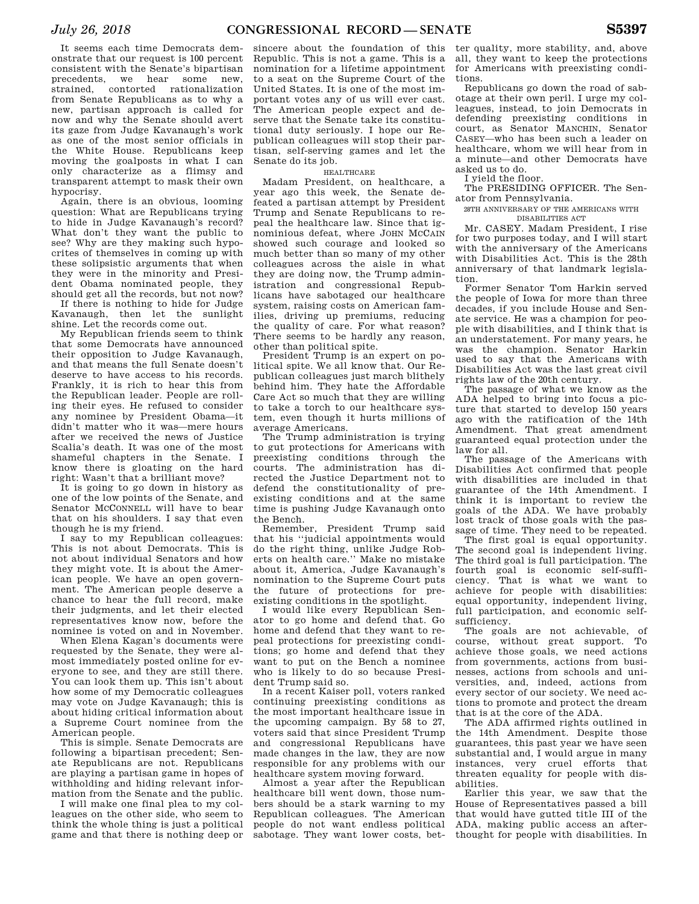It seems each time Democrats demonstrate that our request is 100 percent consistent with the Senate's bipartisan precedents, we hear some new, strained, contorted rationalization from Senate Republicans as to why a new, partisan approach is called for now and why the Senate should avert its gaze from Judge Kavanaugh's work as one of the most senior officials in the White House. Republicans keep moving the goalposts in what I can only characterize as a flimsy and transparent attempt to mask their own hypocrisy.

Again, there is an obvious, looming question: What are Republicans trying to hide in Judge Kavanaugh's record? What don't they want the public to see? Why are they making such hypocrites of themselves in coming up with these solipsistic arguments that when they were in the minority and President Obama nominated people, they should get all the records, but not now?

If there is nothing to hide for Judge Kavanaugh, then let the sunlight shine. Let the records come out.

My Republican friends seem to think that some Democrats have announced their opposition to Judge Kavanaugh, and that means the full Senate doesn't deserve to have access to his records. Frankly, it is rich to hear this from the Republican leader. People are rolling their eyes. He refused to consider any nominee by President Obama—it didn't matter who it was—mere hours after we received the news of Justice Scalia's death. It was one of the most shameful chapters in the Senate. I know there is gloating on the hard right: Wasn't that a brilliant move?

It is going to go down in history as one of the low points of the Senate, and Senator MCCONNELL will have to bear that on his shoulders. I say that even though he is my friend.

I say to my Republican colleagues: This is not about Democrats. This is not about individual Senators and how they might vote. It is about the American people. We have an open government. The American people deserve a chance to hear the full record, make their judgments, and let their elected representatives know now, before the nominee is voted on and in November.

When Elena Kagan's documents were requested by the Senate, they were almost immediately posted online for everyone to see, and they are still there. You can look them up. This isn't about how some of my Democratic colleagues may vote on Judge Kavanaugh; this is about hiding critical information about a Supreme Court nominee from the American people.

This is simple. Senate Democrats are following a bipartisan precedent; Senate Republicans are not. Republicans are playing a partisan game in hopes of withholding and hiding relevant information from the Senate and the public.

I will make one final plea to my colleagues on the other side, who seem to think the whole thing is just a political game and that there is nothing deep or

sincere about the foundation of this Republic. This is not a game. This is a nomination for a lifetime appointment to a seat on the Supreme Court of the United States. It is one of the most important votes any of us will ever cast. The American people expect and deserve that the Senate take its constitutional duty seriously. I hope our Republican colleagues will stop their partisan, self-serving games and let the Senate do its job.

### **HEALTHCARE**

Madam President, on healthcare, a year ago this week, the Senate defeated a partisan attempt by President Trump and Senate Republicans to repeal the healthcare law. Since that ignominious defeat, where JOHN MCCAIN showed such courage and looked so much better than so many of my other colleagues across the aisle in what they are doing now, the Trump administration and congressional Republicans have sabotaged our healthcare system, raising costs on American families, driving up premiums, reducing the quality of care. For what reason? There seems to be hardly any reason, other than political spite.

President Trump is an expert on political spite. We all know that. Our Republican colleagues just march blithely behind him. They hate the Affordable Care Act so much that they are willing to take a torch to our healthcare system, even though it hurts millions of average Americans.

The Trump administration is trying to gut protections for Americans with preexisting conditions through the courts. The administration has directed the Justice Department not to defend the constitutionality of preexisting conditions and at the same time is pushing Judge Kavanaugh onto the Bench.

Remember, President Trump said that his ''judicial appointments would do the right thing, unlike Judge Roberts on health care.'' Make no mistake about it, America, Judge Kavanaugh's nomination to the Supreme Court puts the future of protections for preexisting conditions in the spotlight.

I would like every Republican Senator to go home and defend that. Go home and defend that they want to repeal protections for preexisting conditions; go home and defend that they want to put on the Bench a nominee who is likely to do so because President Trump said so.

In a recent Kaiser poll, voters ranked continuing preexisting conditions as the most important healthcare issue in the upcoming campaign. By 58 to 27, voters said that since President Trump and congressional Republicans have made changes in the law, they are now responsible for any problems with our healthcare system moving forward.

Almost a year after the Republican healthcare bill went down, those numbers should be a stark warning to my Republican colleagues. The American people do not want endless political sabotage. They want lower costs, bet-

ter quality, more stability, and, above all, they want to keep the protections for Americans with preexisting conditions.

Republicans go down the road of sabotage at their own peril. I urge my colleagues, instead, to join Democrats in defending preexisting conditions in court, as Senator MANCHIN, Senator CASEY—who has been such a leader on healthcare, whom we will hear from in a minute—and other Democrats have asked us to do.

I yield the floor.

The PRESIDING OFFICER. The Senator from Pennsylvania.

28TH ANNIVERSARY OF THE AMERICANS WITH DISABILITIES ACT

Mr. CASEY. Madam President, I rise for two purposes today, and I will start with the anniversary of the Americans with Disabilities Act. This is the 28th anniversary of that landmark legislation.

Former Senator Tom Harkin served the people of Iowa for more than three decades, if you include House and Senate service. He was a champion for people with disabilities, and I think that is an understatement. For many years, he was the champion. Senator Harkin used to say that the Americans with Disabilities Act was the last great civil rights law of the 20th century.

The passage of what we know as the ADA helped to bring into focus a picture that started to develop 150 years ago with the ratification of the 14th Amendment. That great amendment guaranteed equal protection under the law for all.

The passage of the Americans with Disabilities Act confirmed that people with disabilities are included in that guarantee of the 14th Amendment. I think it is important to review the goals of the ADA. We have probably lost track of those goals with the passage of time. They need to be repeated.

The first goal is equal opportunity. The second goal is independent living. The third goal is full participation. The fourth goal is economic self-sufficiency. That is what we want to achieve for people with disabilities: equal opportunity, independent living, full participation, and economic selfsufficiency.

The goals are not achievable, of course, without great support. To achieve those goals, we need actions from governments, actions from businesses, actions from schools and universities, and, indeed, actions from every sector of our society. We need actions to promote and protect the dream that is at the core of the ADA.

The ADA affirmed rights outlined in the 14th Amendment. Despite those guarantees, this past year we have seen substantial and, I would argue in many instances, very cruel efforts that threaten equality for people with disabilities.

Earlier this year, we saw that the House of Representatives passed a bill that would have gutted title III of the ADA, making public access an afterthought for people with disabilities. In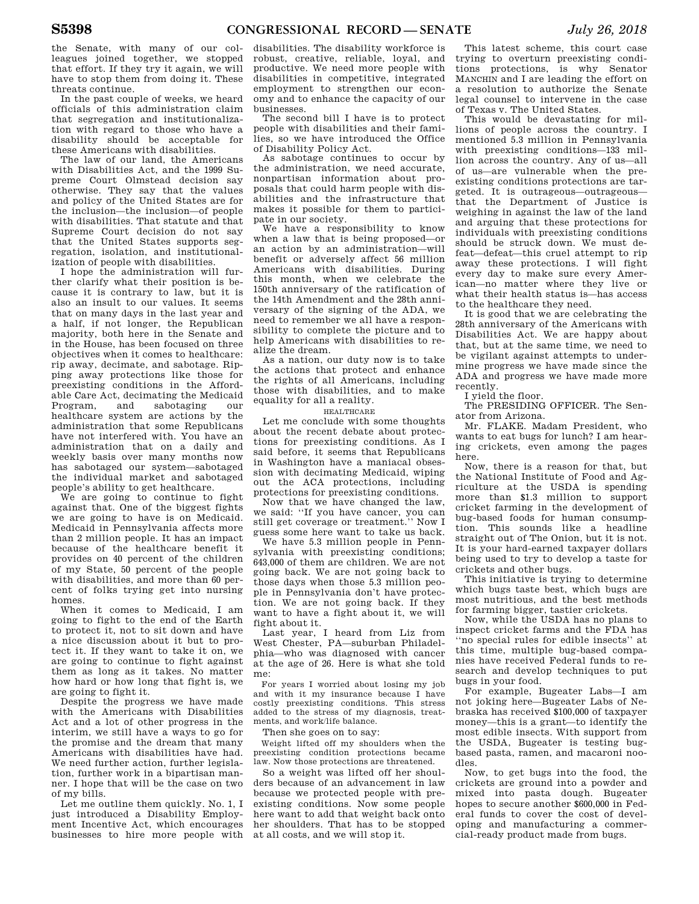the Senate, with many of our colleagues joined together, we stopped that effort. If they try it again, we will have to stop them from doing it. These threats continue.

In the past couple of weeks, we heard officials of this administration claim that segregation and institutionalization with regard to those who have a disability should be acceptable for these Americans with disabilities.

The law of our land, the Americans with Disabilities Act, and the 1999 Supreme Court Olmstead decision say otherwise. They say that the values and policy of the United States are for the inclusion—the inclusion—of people with disabilities. That statute and that Supreme Court decision do not say that the United States supports segregation, isolation, and institutionalization of people with disabilities.

I hope the administration will further clarify what their position is because it is contrary to law, but it is also an insult to our values. It seems that on many days in the last year and a half, if not longer, the Republican majority, both here in the Senate and in the House, has been focused on three objectives when it comes to healthcare: rip away, decimate, and sabotage. Ripping away protections like those for preexisting conditions in the Affordable Care Act, decimating the Medicaid Program, and sabotaging our healthcare system are actions by the administration that some Republicans have not interfered with. You have an administration that on a daily and weekly basis over many months now has sabotaged our system—sabotaged the individual market and sabotaged people's ability to get healthcare.

We are going to continue to fight against that. One of the biggest fights we are going to have is on Medicaid. Medicaid in Pennsylvania affects more than 2 million people. It has an impact because of the healthcare benefit it provides on 40 percent of the children of my State, 50 percent of the people with disabilities, and more than 60 percent of folks trying get into nursing homes.

When it comes to Medicaid, I am going to fight to the end of the Earth to protect it, not to sit down and have a nice discussion about it but to protect it. If they want to take it on, we are going to continue to fight against them as long as it takes. No matter how hard or how long that fight is, we are going to fight it.

Despite the progress we have made with the Americans with Disabilities Act and a lot of other progress in the interim, we still have a ways to go for the promise and the dream that many Americans with disabilities have had. We need further action, further legislation, further work in a bipartisan manner. I hope that will be the case on two of my bills.

Let me outline them quickly. No. 1, I just introduced a Disability Employment Incentive Act, which encourages businesses to hire more people with

disabilities. The disability workforce is robust, creative, reliable, loyal, and productive. We need more people with disabilities in competitive, integrated employment to strengthen our economy and to enhance the capacity of our businesses.

The second bill I have is to protect people with disabilities and their families, so we have introduced the Office of Disability Policy Act.

As sabotage continues to occur by the administration, we need accurate, nonpartisan information about proposals that could harm people with disabilities and the infrastructure that makes it possible for them to participate in our society.

We have a responsibility to know when a law that is being proposed—or an action by an administration—will benefit or adversely affect 56 million Americans with disabilities. During this month, when we celebrate the 150th anniversary of the ratification of the 14th Amendment and the 28th anniversary of the signing of the ADA, we need to remember we all have a responsibility to complete the picture and to help Americans with disabilities to realize the dream.

As a nation, our duty now is to take the actions that protect and enhance the rights of all Americans, including those with disabilities, and to make equality for all a reality.

HEALTHCARE

Let me conclude with some thoughts about the recent debate about protections for preexisting conditions. As I said before, it seems that Republicans in Washington have a maniacal obsession with decimating Medicaid, wiping out the ACA protections, including protections for preexisting conditions.

Now that we have changed the law, we said: ''If you have cancer, you can still get coverage or treatment.'' Now I guess some here want to take us back.

We have 5.3 million people in Pennsylvania with preexisting conditions; 643,000 of them are children. We are not going back. We are not going back to those days when those 5.3 million people in Pennsylvania don't have protection. We are not going back. If they want to have a fight about it, we will fight about it.

Last year, I heard from Liz from West Chester, PA—suburban Philadelphia—who was diagnosed with cancer at the age of 26. Here is what she told me:

For years I worried about losing my job and with it my insurance because I have costly preexisting conditions. This stress added to the stress of my diagnosis, treatments, and work/life balance.

Then she goes on to say:

Weight lifted off my shoulders when the preexisting condition protections became law. Now those protections are threatened.

So a weight was lifted off her shoulders because of an advancement in law because we protected people with preexisting conditions. Now some people here want to add that weight back onto her shoulders. That has to be stopped at all costs, and we will stop it.

This latest scheme, this court case trying to overturn preexisting conditions protections, is why Senator MANCHIN and I are leading the effort on a resolution to authorize the Senate legal counsel to intervene in the case of Texas v. The United States.

This would be devastating for millions of people across the country. I mentioned 5.3 million in Pennsylvania with preexisting conditions—133 million across the country. Any of us—all of us—are vulnerable when the preexisting conditions protections are targeted. It is outrageous—outrageous that the Department of Justice is weighing in against the law of the land and arguing that these protections for individuals with preexisting conditions should be struck down. We must defeat—defeat—this cruel attempt to rip away these protections. I will fight every day to make sure every American—no matter where they live or what their health status is—has access to the healthcare they need.

It is good that we are celebrating the 28th anniversary of the Americans with Disabilities Act. We are happy about that, but at the same time, we need to be vigilant against attempts to undermine progress we have made since the ADA and progress we have made more recently.

I yield the floor.

The PRESIDING OFFICER. The Senator from Arizona.

Mr. FLAKE. Madam President, who wants to eat bugs for lunch? I am hearing crickets, even among the pages here.

Now, there is a reason for that, but the National Institute of Food and Agriculture at the USDA is spending more than \$1.3 million to support cricket farming in the development of bug-based foods for human consumption. This sounds like a headline straight out of The Onion, but it is not. It is your hard-earned taxpayer dollars being used to try to develop a taste for crickets and other bugs.

This initiative is trying to determine which bugs taste best, which bugs are most nutritious, and the best methods for farming bigger, tastier crickets.

Now, while the USDA has no plans to inspect cricket farms and the FDA has ''no special rules for edible insects'' at this time, multiple bug-based companies have received Federal funds to research and develop techniques to put bugs in your food.

For example, Bugeater Labs—I am not joking here—Bugeater Labs of Nebraska has received \$100,000 of taxpayer money—this is a grant—to identify the most edible insects. With support from the USDA, Bugeater is testing bugbased pasta, ramen, and macaroni noodles.

Now, to get bugs into the food, the crickets are ground into a powder and mixed into pasta dough. Bugeater hopes to secure another \$600,000 in Federal funds to cover the cost of developing and manufacturing a commercial-ready product made from bugs.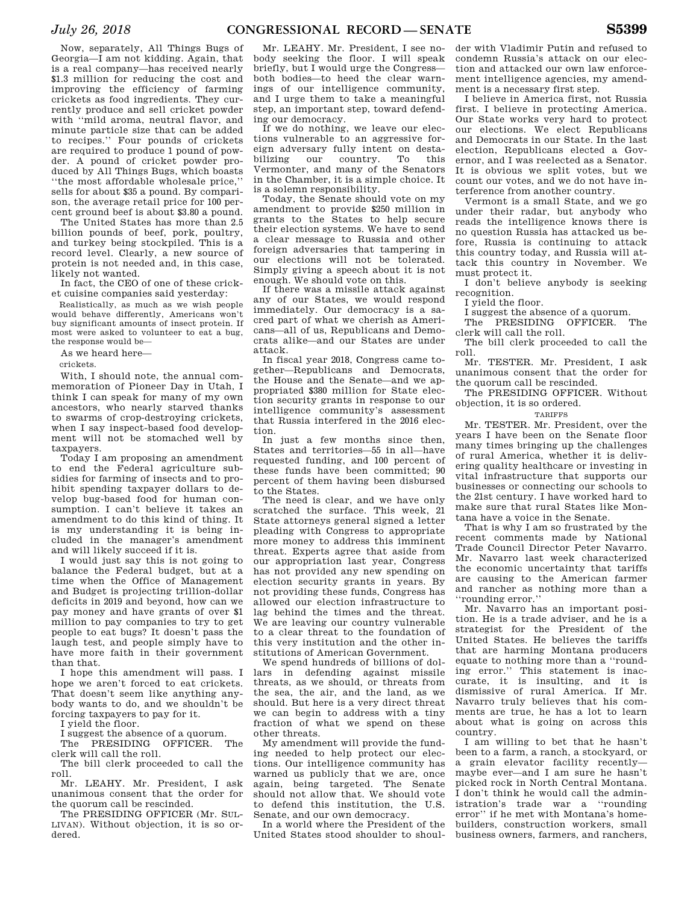Now, separately, All Things Bugs of Georgia—I am not kidding. Again, that is a real company—has received nearly \$1.3 million for reducing the cost and improving the efficiency of farming crickets as food ingredients. They currently produce and sell cricket powder with ''mild aroma, neutral flavor, and minute particle size that can be added to recipes.'' Four pounds of crickets are required to produce 1 pound of powder. A pound of cricket powder produced by All Things Bugs, which boasts ''the most affordable wholesale price,''

sells for about \$35 a pound. By comparison, the average retail price for 100 percent ground beef is about \$3.80 a pound. The United States has more than 2.5 billion pounds of beef, pork, poultry, and turkey being stockpiled. This is a record level. Clearly, a new source of protein is not needed and, in this case,

likely not wanted. In fact, the CEO of one of these cricket cuisine companies said yesterday:

Realistically, as much as we wish people would behave differently, Americans won't buy significant amounts of insect protein. If most were asked to volunteer to eat a bug, the response would be—

As we heard here—

crickets.

With, I should note, the annual commemoration of Pioneer Day in Utah, I think I can speak for many of my own ancestors, who nearly starved thanks to swarms of crop-destroying crickets, when I say inspect-based food development will not be stomached well by taxpayers.

Today I am proposing an amendment to end the Federal agriculture subsidies for farming of insects and to prohibit spending taxpayer dollars to develop bug-based food for human consumption. I can't believe it takes an amendment to do this kind of thing. It is my understanding it is being included in the manager's amendment and will likely succeed if it is.

I would just say this is not going to balance the Federal budget, but at a time when the Office of Management and Budget is projecting trillion-dollar deficits in 2019 and beyond, how can we pay money and have grants of over \$1 million to pay companies to try to get people to eat bugs? It doesn't pass the laugh test, and people simply have to have more faith in their government than that.

I hope this amendment will pass. I hope we aren't forced to eat crickets. That doesn't seem like anything anybody wants to do, and we shouldn't be forcing taxpayers to pay for it.

I yield the floor.

I suggest the absence of a quorum. The PRESIDING OFFICER. The

clerk will call the roll. The bill clerk proceeded to call the

roll. Mr. LEAHY. Mr. President, I ask unanimous consent that the order for the quorum call be rescinded.

The PRESIDING OFFICER (Mr. SUL-LIVAN). Without objection, it is so ordered.

Mr. LEAHY. Mr. President, I see nobody seeking the floor. I will speak briefly, but I would urge the Congress both bodies—to heed the clear warnings of our intelligence community, and I urge them to take a meaningful step, an important step, toward defending our democracy.

If we do nothing, we leave our elections vulnerable to an aggressive foreign adversary fully intent on destabilizing our country. To this Vermonter, and many of the Senators in the Chamber, it is a simple choice. It is a solemn responsibility.

Today, the Senate should vote on my amendment to provide \$250 million in grants to the States to help secure their election systems. We have to send a clear message to Russia and other foreign adversaries that tampering in our elections will not be tolerated. Simply giving a speech about it is not enough. We should vote on this.

If there was a missile attack against any of our States, we would respond immediately. Our democracy is a sacred part of what we cherish as Americans—all of us, Republicans and Democrats alike—and our States are under attack.

In fiscal year 2018, Congress came together—Republicans and Democrats, the House and the Senate—and we appropriated \$380 million for State election security grants in response to our intelligence community's assessment that Russia interfered in the 2016 election.

In just a few months since then, States and territories—55 in all—have requested funding, and 100 percent of these funds have been committed; 90 percent of them having been disbursed to the States.

The need is clear, and we have only scratched the surface. This week, 21 State attorneys general signed a letter pleading with Congress to appropriate more money to address this imminent threat. Experts agree that aside from our appropriation last year, Congress has not provided any new spending on election security grants in years. By not providing these funds, Congress has allowed our election infrastructure to lag behind the times and the threat. We are leaving our country vulnerable to a clear threat to the foundation of this very institution and the other institutions of American Government.

We spend hundreds of billions of dollars in defending against missile threats, as we should, or threats from the sea, the air, and the land, as we should. But here is a very direct threat we can begin to address with a tiny fraction of what we spend on these other threats.

My amendment will provide the funding needed to help protect our elections. Our intelligence community has warned us publicly that we are, once again, being targeted. The Senate should not allow that. We should vote to defend this institution, the U.S. Senate, and our own democracy.

In a world where the President of the United States stood shoulder to shoul-

der with Vladimir Putin and refused to condemn Russia's attack on our election and attacked our own law enforcement intelligence agencies, my amendment is a necessary first step.

I believe in America first, not Russia first. I believe in protecting America. Our State works very hard to protect our elections. We elect Republicans and Democrats in our State. In the last election, Republicans elected a Governor, and I was reelected as a Senator. It is obvious we split votes, but we count our votes, and we do not have interference from another country.

Vermont is a small State, and we go under their radar, but anybody who reads the intelligence knows there is no question Russia has attacked us before, Russia is continuing to attack this country today, and Russia will attack this country in November. We must protect it.

I don't believe anybody is seeking recognition.

I yield the floor.

I suggest the absence of a quorum.<br>The PRESIDING OFFICER. The The PRESIDING OFFICER. clerk will call the roll.

The bill clerk proceeded to call the roll.

Mr. TESTER. Mr. President, I ask unanimous consent that the order for the quorum call be rescinded.

The PRESIDING OFFICER. Without objection, it is so ordered.

### TARIFFS

Mr. TESTER. Mr. President, over the years I have been on the Senate floor many times bringing up the challenges of rural America, whether it is delivering quality healthcare or investing in vital infrastructure that supports our businesses or connecting our schools to the 21st century. I have worked hard to make sure that rural States like Montana have a voice in the Senate.

That is why I am so frustrated by the recent comments made by National Trade Council Director Peter Navarro. Mr. Navarro last week characterized the economic uncertainty that tariffs are causing to the American farmer and rancher as nothing more than a ''rounding error.''

Mr. Navarro has an important position. He is a trade adviser, and he is a strategist for the President of the United States. He believes the tariffs that are harming Montana producers equate to nothing more than a ''rounding error.'' This statement is inaccurate, it is insulting, and it is dismissive of rural America. If Mr. Navarro truly believes that his comments are true, he has a lot to learn about what is going on across this country.

I am willing to bet that he hasn't been to a farm, a ranch, a stockyard, or a grain elevator facility recently maybe ever—and I am sure he hasn't picked rock in North Central Montana. I don't think he would call the administration's trade war a ''rounding error'' if he met with Montana's homebuilders, construction workers, small business owners, farmers, and ranchers,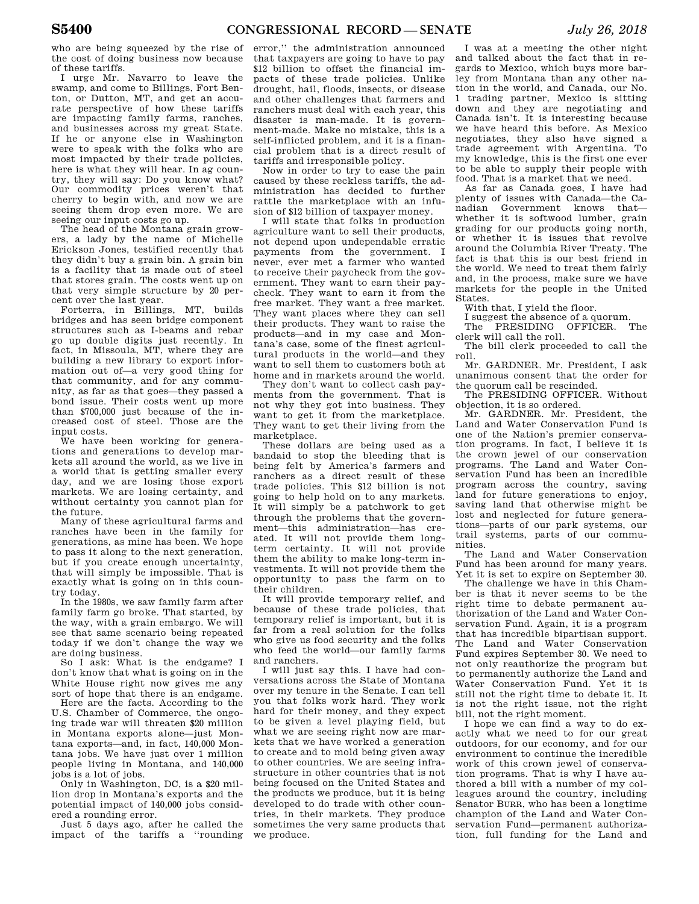who are being squeezed by the rise of the cost of doing business now because of these tariffs.

I urge Mr. Navarro to leave the swamp, and come to Billings, Fort Benton, or Dutton, MT, and get an accurate perspective of how these tariffs are impacting family farms, ranches, and businesses across my great State. If he or anyone else in Washington were to speak with the folks who are most impacted by their trade policies, here is what they will hear. In ag country, they will say: Do you know what? Our commodity prices weren't that cherry to begin with, and now we are seeing them drop even more. We are seeing our input costs go up.

The head of the Montana grain growers, a lady by the name of Michelle Erickson Jones, testified recently that they didn't buy a grain bin. A grain bin is a facility that is made out of steel that stores grain. The costs went up on that very simple structure by 20 percent over the last year.

Forterra, in Billings, MT, builds bridges and has seen bridge component structures such as I-beams and rebar go up double digits just recently. In fact, in Missoula, MT, where they are building a new library to export information out of—a very good thing for that community, and for any community, as far as that goes—they passed a bond issue. Their costs went up more than \$700,000 just because of the increased cost of steel. Those are the input costs.

We have been working for generations and generations to develop markets all around the world, as we live in a world that is getting smaller every day, and we are losing those export markets. We are losing certainty, and without certainty you cannot plan for the future.

Many of these agricultural farms and ranches have been in the family for generations, as mine has been. We hope to pass it along to the next generation, but if you create enough uncertainty, that will simply be impossible. That is exactly what is going on in this country today.

In the 1980s, we saw family farm after family farm go broke. That started, by the way, with a grain embargo. We will see that same scenario being repeated today if we don't change the way we are doing business.

So I ask: What is the endgame? I don't know that what is going on in the White House right now gives me any sort of hope that there is an endgame.

Here are the facts. According to the U.S. Chamber of Commerce, the ongoing trade war will threaten \$20 million in Montana exports alone—just Montana exports—and, in fact, 140,000 Montana jobs. We have just over 1 million people living in Montana, and 140,000 jobs is a lot of jobs.

Only in Washington, DC, is a \$20 million drop in Montana's exports and the potential impact of 140,000 jobs considered a rounding error.

Just 5 days ago, after he called the impact of the tariffs a ''rounding

error,'' the administration announced that taxpayers are going to have to pay \$12 billion to offset the financial impacts of these trade policies. Unlike drought, hail, floods, insects, or disease and other challenges that farmers and ranchers must deal with each year, this disaster is man-made. It is government-made. Make no mistake, this is a self-inflicted problem, and it is a financial problem that is a direct result of tariffs and irresponsible policy.

Now in order to try to ease the pain caused by these reckless tariffs, the administration has decided to further rattle the marketplace with an infusion of \$12 billion of taxpayer money.

I will state that folks in production agriculture want to sell their products, not depend upon undependable erratic payments from the government. I never, ever met a farmer who wanted to receive their paycheck from the government. They want to earn their paycheck. They want to earn it from the free market. They want a free market. They want places where they can sell their products. They want to raise the products—and in my case and Montana's case, some of the finest agricultural products in the world—and they want to sell them to customers both at home and in markets around the world.

They don't want to collect cash payments from the government. That is not why they got into business. They want to get it from the marketplace. They want to get their living from the marketplace.

These dollars are being used as a bandaid to stop the bleeding that is being felt by America's farmers and ranchers as a direct result of these trade policies. This \$12 billion is not going to help hold on to any markets. It will simply be a patchwork to get through the problems that the government—this administration—has created. It will not provide them longterm certainty. It will not provide them the ability to make long-term investments. It will not provide them the opportunity to pass the farm on to their children.

It will provide temporary relief, and because of these trade policies, that temporary relief is important, but it is far from a real solution for the folks who give us food security and the folks who feed the world—our family farms and ranchers.

I will just say this. I have had conversations across the State of Montana over my tenure in the Senate. I can tell you that folks work hard. They work hard for their money, and they expect to be given a level playing field, but what we are seeing right now are markets that we have worked a generation to create and to mold being given away to other countries. We are seeing infrastructure in other countries that is not being focused on the United States and the products we produce, but it is being developed to do trade with other countries, in their markets. They produce sometimes the very same products that we produce.

I was at a meeting the other night and talked about the fact that in regards to Mexico, which buys more barley from Montana than any other nation in the world, and Canada, our No. 1 trading partner, Mexico is sitting down and they are negotiating and Canada isn't. It is interesting because we have heard this before. As Mexico negotiates, they also have signed a trade agreement with Argentina. To my knowledge, this is the first one ever to be able to supply their people with food. That is a market that we need.

As far as Canada goes, I have had plenty of issues with Canada—the Canadian Government knows that whether it is softwood lumber, grain grading for our products going north, or whether it is issues that revolve around the Columbia River Treaty. The fact is that this is our best friend in the world. We need to treat them fairly and, in the process, make sure we have markets for the people in the United States.

With that, I yield the floor.

I suggest the absence of a quorum.<br>The PRESIDING OFFICER. The PRESIDING OFFICER.

clerk will call the roll. The bill clerk proceeded to call the roll.

Mr. GARDNER. Mr. President, I ask unanimous consent that the order for the quorum call be rescinded.

The PRESIDING OFFICER. Without objection, it is so ordered.

Mr. GARDNER. Mr. President, the Land and Water Conservation Fund is one of the Nation's premier conservation programs. In fact, I believe it is the crown jewel of our conservation programs. The Land and Water Conservation Fund has been an incredible program across the country, saving land for future generations to enjoy, saving land that otherwise might be lost and neglected for future generations—parts of our park systems, our trail systems, parts of our communities.

The Land and Water Conservation Fund has been around for many years. Yet it is set to expire on September 30.

The challenge we have in this Chamber is that it never seems to be the right time to debate permanent authorization of the Land and Water Conservation Fund. Again, it is a program that has incredible bipartisan support. The Land and Water Conservation Fund expires September 30. We need to not only reauthorize the program but to permanently authorize the Land and Water Conservation Fund. Yet it is still not the right time to debate it. It is not the right issue, not the right bill, not the right moment.

I hope we can find a way to do exactly what we need to for our great outdoors, for our economy, and for our environment to continue the incredible work of this crown jewel of conservation programs. That is why I have authored a bill with a number of my colleagues around the country, including Senator BURR, who has been a longtime champion of the Land and Water Conservation Fund—permanent authorization, full funding for the Land and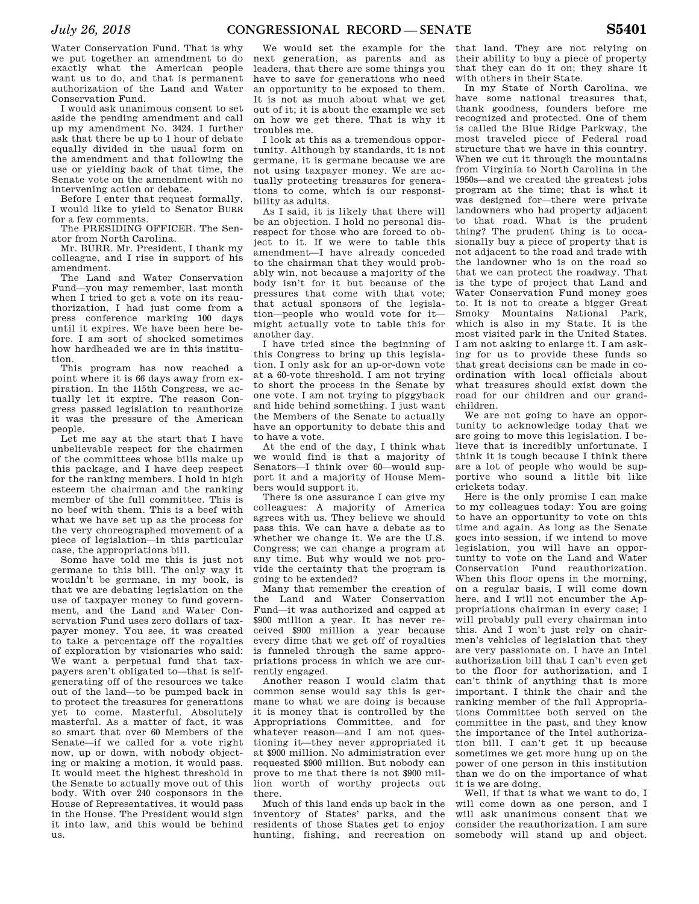Water Conservation Fund. That is why we put together an amendment to do exactly what the American people want us to do, and that is permanent authorization of the Land and Water Conservation Fund.

I would ask unanimous consent to set aside the pending amendment and call up my amendment No. 3424. I further ask that there be up to 1 hour of debate equally divided in the usual form on the amendment and that following the use or yielding back of that time, the Senate vote on the amendment with no intervening action or debate.

Before I enter that request formally, I would like to yield to Senator BURR for a few comments.

The PRESIDING OFFICER. The Senator from North Carolina.

Mr. BURR. Mr. President, I thank my colleague, and I rise in support of his amendment.

The Land and Water Conservation Fund—you may remember, last month when I tried to get a vote on its reauthorization, I had just come from a press conference marking 100 days until it expires. We have been here before. I am sort of shocked sometimes how hardheaded we are in this institution.

This program has now reached a point where it is 66 days away from expiration. In the 115th Congress, we actually let it expire. The reason Congress passed legislation to reauthorize it was the pressure of the American people.

Let me say at the start that I have unbelievable respect for the chairmen of the committees whose bills make up this package, and I have deep respect for the ranking members. I hold in high esteem the chairman and the ranking member of the full committee. This is no beef with them. This is a beef with what we have set up as the process for the very choreographed movement of a piece of legislation—in this particular case, the appropriations bill.

Some have told me this is just not germane to this bill. The only way it wouldn't be germane, in my book, is that we are debating legislation on the use of taxpayer money to fund government, and the Land and Water Conservation Fund uses zero dollars of taxpayer money. You see, it was created to take a percentage off the royalties of exploration by visionaries who said: We want a perpetual fund that taxpayers aren't obligated to—that is selfgenerating off of the resources we take out of the land—to be pumped back in to protect the treasures for generations yet to come. Masterful. Absolutely masterful. As a matter of fact, it was so smart that over 60 Members of the Senate—if we called for a vote right now, up or down, with nobody objecting or making a motion, it would pass. It would meet the highest threshold in the Senate to actually move out of this body. With over 240 cosponsors in the House of Representatives, it would pass in the House. The President would sign it into law, and this would be behind us.

We would set the example for the next generation, as parents and as leaders, that there are some things you have to save for generations who need an opportunity to be exposed to them. It is not as much about what we get out of it; it is about the example we set on how we get there. That is why it troubles me.

I look at this as a tremendous opportunity. Although by standards, it is not germane, it is germane because we are not using taxpayer money. We are actually protecting treasures for generations to come, which is our responsibility as adults.

As I said, it is likely that there will be an objection. I hold no personal disrespect for those who are forced to object to it. If we were to table this amendment—I have already conceded to the chairman that they would probably win, not because a majority of the body isn't for it but because of the pressures that come with that vote; that actual sponsors of the legislation—people who would vote for it might actually vote to table this for another day.

I have tried since the beginning of this Congress to bring up this legislation. I only ask for an up-or-down vote at a 60-vote threshold. I am not trying to short the process in the Senate by one vote. I am not trying to piggyback and hide behind something. I just want the Members of the Senate to actually have an opportunity to debate this and to have a vote.

At the end of the day, I think what we would find is that a majority of Senators—I think over 60—would support it and a majority of House Members would support it.

There is one assurance I can give my colleagues: A majority of America agrees with us. They believe we should pass this. We can have a debate as to whether we change it. We are the U.S. Congress; we can change a program at any time. But why would we not provide the certainty that the program is going to be extended?

Many that remember the creation of the Land and Water Conservation Fund—it was authorized and capped at \$900 million a year. It has never received \$900 million a year because every dime that we get off of royalties is funneled through the same appropriations process in which we are currently engaged.

Another reason I would claim that common sense would say this is germane to what we are doing is because it is money that is controlled by the Appropriations Committee, and for whatever reason—and I am not questioning it—they never appropriated it at \$900 million. No administration ever requested \$900 million. But nobody can prove to me that there is not \$900 million worth of worthy projects out there.

Much of this land ends up back in the inventory of States' parks, and the residents of those States get to enjoy hunting, fishing, and recreation on

that land. They are not relying on their ability to buy a piece of property that they can do it on; they share it with others in their State.

In my State of North Carolina, we have some national treasures that, thank goodness, founders before me recognized and protected. One of them is called the Blue Ridge Parkway, the most traveled piece of Federal road structure that we have in this country. When we cut it through the mountains from Virginia to North Carolina in the 1950s—and we created the greatest jobs program at the time; that is what it was designed for—there were private landowners who had property adjacent to that road. What is the prudent thing? The prudent thing is to occasionally buy a piece of property that is not adjacent to the road and trade with the landowner who is on the road so that we can protect the roadway. That is the type of project that Land and Water Conservation Fund money goes to. It is not to create a bigger Great Smoky Mountains National Park, which is also in my State. It is the most visited park in the United States. I am not asking to enlarge it. I am asking for us to provide these funds so that great decisions can be made in coordination with local officials about what treasures should exist down the road for our children and our grandchildren.

We are not going to have an opportunity to acknowledge today that we are going to move this legislation. I believe that is incredibly unfortunate. I think it is tough because I think there are a lot of people who would be supportive who sound a little bit like crickets today.

Here is the only promise I can make to my colleagues today: You are going to have an opportunity to vote on this time and again. As long as the Senate goes into session, if we intend to move legislation, you will have an opportunity to vote on the Land and Water Conservation Fund reauthorization. When this floor opens in the morning, on a regular basis, I will come down here, and I will not encumber the Appropriations chairman in every case; I will probably pull every chairman into this. And I won't just rely on chairmen's vehicles of legislation that they are very passionate on. I have an Intel authorization bill that I can't even get to the floor for authorization, and I can't think of anything that is more important. I think the chair and the ranking member of the full Appropriations Committee both served on the committee in the past, and they know the importance of the Intel authorization bill. I can't get it up because sometimes we get more hung up on the power of one person in this institution than we do on the importance of what it is we are doing.

Well, if that is what we want to do, I will come down as one person, and I will ask unanimous consent that we consider the reauthorization. I am sure somebody will stand up and object.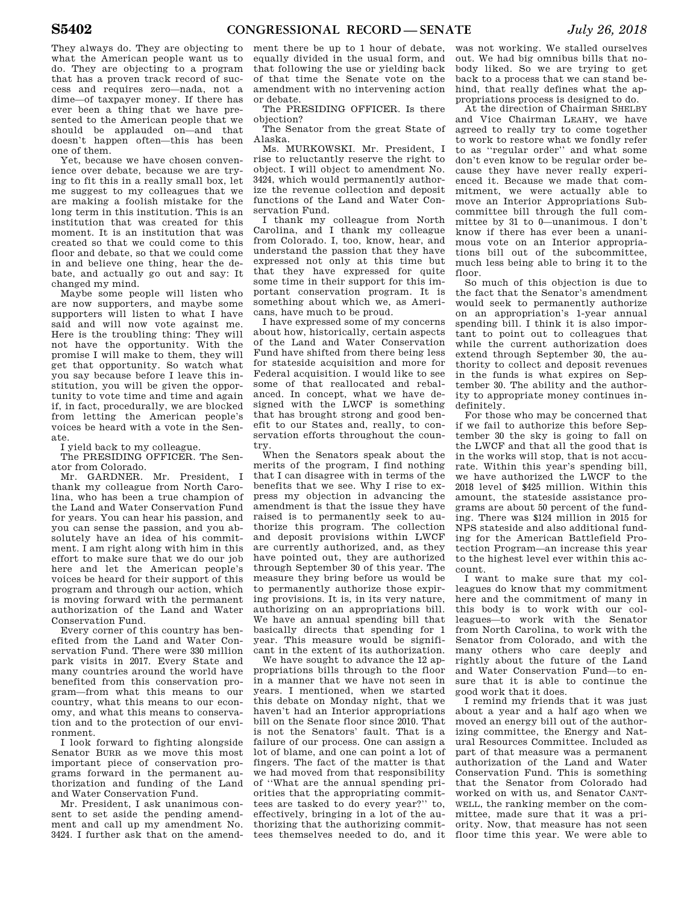They always do. They are objecting to what the American people want us to do. They are objecting to a program that has a proven track record of success and requires zero—nada, not a dime—of taxpayer money. If there has ever been a thing that we have presented to the American people that we should be applauded on—and that doesn't happen often—this has been one of them.

Yet, because we have chosen convenience over debate, because we are trying to fit this in a really small box, let me suggest to my colleagues that we are making a foolish mistake for the long term in this institution. This is an institution that was created for this moment. It is an institution that was created so that we could come to this floor and debate, so that we could come in and believe one thing, hear the debate, and actually go out and say: It changed my mind.

Maybe some people will listen who are now supporters, and maybe some supporters will listen to what I have said and will now vote against me. Here is the troubling thing: They will not have the opportunity. With the promise I will make to them, they will get that opportunity. So watch what you say because before I leave this institution, you will be given the opportunity to vote time and time and again if, in fact, procedurally, we are blocked from letting the American people's voices be heard with a vote in the Senate.

I yield back to my colleague.

The PRESIDING OFFICER. The Senator from Colorado.

Mr. GARDNER. Mr. President, I thank my colleague from North Carolina, who has been a true champion of the Land and Water Conservation Fund for years. You can hear his passion, and you can sense the passion, and you absolutely have an idea of his commitment. I am right along with him in this effort to make sure that we do our job here and let the American people's voices be heard for their support of this program and through our action, which is moving forward with the permanent authorization of the Land and Water Conservation Fund.

Every corner of this country has benefited from the Land and Water Conservation Fund. There were 330 million park visits in 2017. Every State and many countries around the world have benefited from this conservation program—from what this means to our country, what this means to our economy, and what this means to conservation and to the protection of our environment.

I look forward to fighting alongside Senator BURR as we move this most important piece of conservation programs forward in the permanent authorization and funding of the Land and Water Conservation Fund.

Mr. President, I ask unanimous consent to set aside the pending amendment and call up my amendment No. 3424. I further ask that on the amend-

ment there be up to 1 hour of debate, equally divided in the usual form, and that following the use or yielding back of that time the Senate vote on the amendment with no intervening action or debate.

The PRESIDING OFFICER. Is there objection?

The Senator from the great State of Alaska.

Ms. MURKOWSKI. Mr. President, I rise to reluctantly reserve the right to object. I will object to amendment No. 3424, which would permanently authorize the revenue collection and deposit functions of the Land and Water Conservation Fund.

I thank my colleague from North Carolina, and I thank my colleague from Colorado. I, too, know, hear, and understand the passion that they have expressed not only at this time but that they have expressed for quite some time in their support for this important conservation program. It is something about which we, as Americans, have much to be proud.

I have expressed some of my concerns about how, historically, certain aspects of the Land and Water Conservation Fund have shifted from there being less for stateside acquisition and more for Federal acquisition. I would like to see some of that reallocated and rebalanced. In concept, what we have designed with the LWCF is something that has brought strong and good benefit to our States and, really, to conservation efforts throughout the country.

When the Senators speak about the merits of the program, I find nothing that I can disagree with in terms of the benefits that we see. Why I rise to express my objection in advancing the amendment is that the issue they have raised is to permanently seek to authorize this program. The collection and deposit provisions within LWCF are currently authorized, and, as they have pointed out, they are authorized through September 30 of this year. The measure they bring before us would be to permanently authorize those expiring provisions. It is, in its very nature, authorizing on an appropriations bill. We have an annual spending bill that basically directs that spending for 1 year. This measure would be significant in the extent of its authorization.

We have sought to advance the 12 appropriations bills through to the floor in a manner that we have not seen in years. I mentioned, when we started this debate on Monday night, that we haven't had an Interior appropriations bill on the Senate floor since 2010. That is not the Senators' fault. That is a failure of our process. One can assign a lot of blame, and one can point a lot of fingers. The fact of the matter is that we had moved from that responsibility of ''What are the annual spending priorities that the appropriating committees are tasked to do every year?'' to, effectively, bringing in a lot of the authorizing that the authorizing committees themselves needed to do, and it

was not working. We stalled ourselves out. We had big omnibus bills that nobody liked. So we are trying to get back to a process that we can stand behind, that really defines what the appropriations process is designed to do.

At the direction of Chairman SHELBY and Vice Chairman LEAHY, we have agreed to really try to come together to work to restore what we fondly refer to as ''regular order'' and what some don't even know to be regular order because they have never really experienced it. Because we made that commitment, we were actually able to move an Interior Appropriations Subcommittee bill through the full committee by 31 to 0—unanimous. I don't know if there has ever been a unanimous vote on an Interior appropriations bill out of the subcommittee, much less being able to bring it to the floor.

So much of this objection is due to the fact that the Senator's amendment would seek to permanently authorize on an appropriation's 1-year annual spending bill. I think it is also important to point out to colleagues that while the current authorization does extend through September 30, the authority to collect and deposit revenues in the funds is what expires on September 30. The ability and the authority to appropriate money continues indefinitely.

For those who may be concerned that if we fail to authorize this before September 30 the sky is going to fall on the LWCF and that all the good that is in the works will stop, that is not accurate. Within this year's spending bill, we have authorized the LWCF to the 2018 level of \$425 million. Within this amount, the stateside assistance programs are about 50 percent of the funding. There was \$124 million in 2015 for NPS stateside and also additional funding for the American Battlefield Protection Program—an increase this year to the highest level ever within this account.

I want to make sure that my colleagues do know that my commitment here and the commitment of many in this body is to work with our colleagues—to work with the Senator from North Carolina, to work with the Senator from Colorado, and with the many others who care deeply and rightly about the future of the Land and Water Conservation Fund—to ensure that it is able to continue the good work that it does.

I remind my friends that it was just about a year and a half ago when we moved an energy bill out of the authorizing committee, the Energy and Natural Resources Committee. Included as part of that measure was a permanent authorization of the Land and Water Conservation Fund. This is something that the Senator from Colorado had worked on with us, and Senator CANT-WELL, the ranking member on the committee, made sure that it was a priority. Now, that measure has not seen floor time this year. We were able to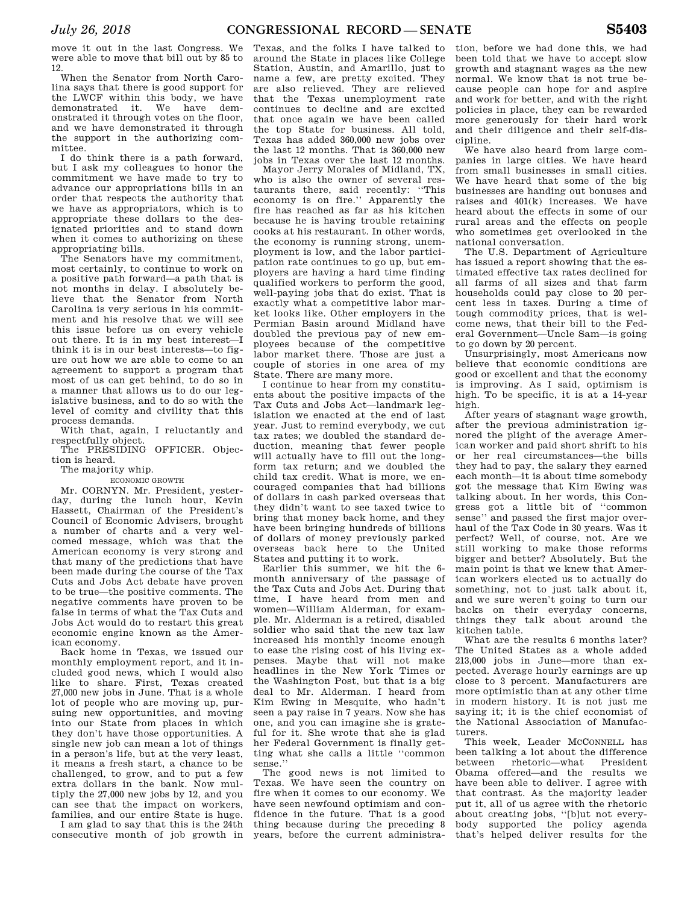move it out in the last Congress. We were able to move that bill out by 85 to 12.

When the Senator from North Carolina says that there is good support for the LWCF within this body, we have demonstrated it. We have demonstrated it through votes on the floor, and we have demonstrated it through the support in the authorizing committee.

I do think there is a path forward, but I ask my colleagues to honor the commitment we have made to try to advance our appropriations bills in an order that respects the authority that we have as appropriators, which is to appropriate these dollars to the designated priorities and to stand down when it comes to authorizing on these appropriating bills.

The Senators have my commitment, most certainly, to continue to work on a positive path forward—a path that is not months in delay. I absolutely believe that the Senator from North Carolina is very serious in his commitment and his resolve that we will see this issue before us on every vehicle out there. It is in my best interest—I think it is in our best interests—to figure out how we are able to come to an agreement to support a program that most of us can get behind, to do so in a manner that allows us to do our legislative business, and to do so with the level of comity and civility that this process demands.

With that, again, I reluctantly and respectfully object.

The PRESIDING OFFICER. Objection is heard.

### The majority whip.

ECONOMIC GROWTH

Mr. CORNYN. Mr. President, yesterday, during the lunch hour, Kevin Hassett, Chairman of the President's Council of Economic Advisers, brought a number of charts and a very welcomed message, which was that the American economy is very strong and that many of the predictions that have been made during the course of the Tax Cuts and Jobs Act debate have proven to be true—the positive comments. The negative comments have proven to be false in terms of what the Tax Cuts and Jobs Act would do to restart this great economic engine known as the American economy.

Back home in Texas, we issued our monthly employment report, and it included good news, which I would also like to share. First, Texas created 27,000 new jobs in June. That is a whole lot of people who are moving up, pursuing new opportunities, and moving into our State from places in which they don't have those opportunities. A single new job can mean a lot of things in a person's life, but at the very least, it means a fresh start, a chance to be challenged, to grow, and to put a few extra dollars in the bank. Now multiply the 27,000 new jobs by 12, and you can see that the impact on workers, families, and our entire State is huge.

I am glad to say that this is the 24th consecutive month of job growth in

Texas, and the folks I have talked to around the State in places like College Station, Austin, and Amarillo, just to name a few, are pretty excited. They are also relieved. They are relieved that the Texas unemployment rate continues to decline and are excited that once again we have been called the top State for business. All told, Texas has added 360,000 new jobs over the last 12 months. That is 360,000 new jobs in Texas over the last 12 months.

Mayor Jerry Morales of Midland, TX, who is also the owner of several restaurants there, said recently: ''This economy is on fire.'' Apparently the fire has reached as far as his kitchen because he is having trouble retaining cooks at his restaurant. In other words, the economy is running strong, unemployment is low, and the labor participation rate continues to go up, but employers are having a hard time finding qualified workers to perform the good, well-paying jobs that do exist. That is exactly what a competitive labor market looks like. Other employers in the Permian Basin around Midland have doubled the previous pay of new employees because of the competitive labor market there. Those are just a couple of stories in one area of my State. There are many more.

I continue to hear from my constituents about the positive impacts of the Tax Cuts and Jobs Act—landmark legislation we enacted at the end of last year. Just to remind everybody, we cut tax rates; we doubled the standard deduction, meaning that fewer people will actually have to fill out the longform tax return; and we doubled the child tax credit. What is more, we encouraged companies that had billions of dollars in cash parked overseas that they didn't want to see taxed twice to bring that money back home, and they have been bringing hundreds of billions of dollars of money previously parked overseas back here to the United States and putting it to work.

Earlier this summer, we hit the 6 month anniversary of the passage of the Tax Cuts and Jobs Act. During that time, I have heard from men and women—William Alderman, for example. Mr. Alderman is a retired, disabled soldier who said that the new tax law increased his monthly income enough to ease the rising cost of his living expenses. Maybe that will not make headlines in the New York Times or the Washington Post, but that is a big deal to Mr. Alderman. I heard from Kim Ewing in Mesquite, who hadn't seen a pay raise in 7 years. Now she has one, and you can imagine she is grateful for it. She wrote that she is glad her Federal Government is finally getting what she calls a little ''common sense.''

The good news is not limited to Texas. We have seen the country on fire when it comes to our economy. We have seen newfound optimism and confidence in the future. That is a good thing because during the preceding 8 years, before the current administra-

tion, before we had done this, we had been told that we have to accept slow growth and stagnant wages as the new normal. We know that is not true because people can hope for and aspire and work for better, and with the right policies in place, they can be rewarded more generously for their hard work and their diligence and their self-discipline.

We have also heard from large companies in large cities. We have heard from small businesses in small cities. We have heard that some of the big businesses are handing out bonuses and raises and 401(k) increases. We have heard about the effects in some of our rural areas and the effects on people who sometimes get overlooked in the national conversation.

The U.S. Department of Agriculture has issued a report showing that the estimated effective tax rates declined for all farms of all sizes and that farm households could pay close to 20 percent less in taxes. During a time of tough commodity prices, that is welcome news, that their bill to the Federal Government—Uncle Sam—is going to go down by 20 percent.

Unsurprisingly, most Americans now believe that economic conditions are good or excellent and that the economy is improving. As I said, optimism is high. To be specific, it is at a 14-year high.

After years of stagnant wage growth, after the previous administration ignored the plight of the average American worker and paid short shrift to his or her real circumstances—the bills they had to pay, the salary they earned each month—it is about time somebody got the message that Kim Ewing was talking about. In her words, this Congress got a little bit of ''common sense'' and passed the first major overhaul of the Tax Code in 30 years. Was it perfect? Well, of course, not. Are we still working to make those reforms bigger and better? Absolutely. But the main point is that we knew that American workers elected us to actually do something, not to just talk about it, and we sure weren't going to turn our backs on their everyday concerns, things they talk about around the kitchen table.

What are the results 6 months later? The United States as a whole added 213,000 jobs in June—more than expected. Average hourly earnings are up close to 3 percent. Manufacturers are more optimistic than at any other time in modern history. It is not just me saying it; it is the chief economist of the National Association of Manufacturers.

This week, Leader MCCONNELL has been talking a lot about the difference between rhetoric—what President Obama offered—and the results we have been able to deliver. I agree with that contrast. As the majority leader put it, all of us agree with the rhetoric about creating jobs, ''[b]ut not everybody supported the policy agenda that's helped deliver results for the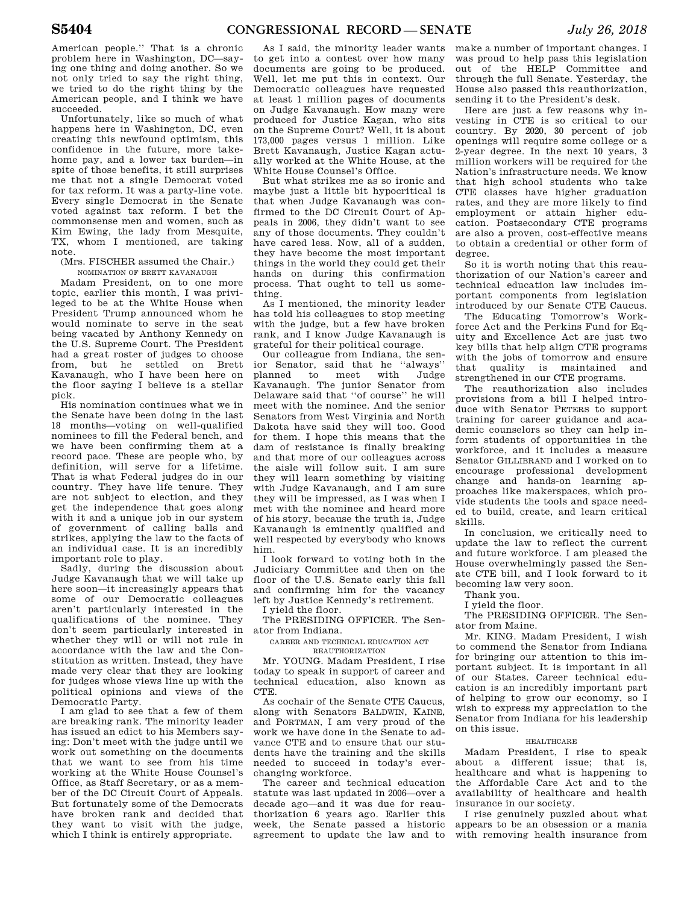American people.'' That is a chronic problem here in Washington, DC—saying one thing and doing another. So we not only tried to say the right thing, we tried to do the right thing by the American people, and I think we have succeeded.

Unfortunately, like so much of what happens here in Washington, DC, even creating this newfound optimism, this confidence in the future, more takehome pay, and a lower tax burden—in spite of those benefits, it still surprises me that not a single Democrat voted for tax reform. It was a party-line vote. Every single Democrat in the Senate voted against tax reform. I bet the commonsense men and women, such as Kim Ewing, the lady from Mesquite, TX, whom I mentioned, are taking note.

(Mrs. FISCHER assumed the Chair.)

NOMINATION OF BRETT KAVANAUGH Madam President, on to one more topic, earlier this month, I was privileged to be at the White House when President Trump announced whom he would nominate to serve in the seat being vacated by Anthony Kennedy on the U.S. Supreme Court. The President had a great roster of judges to choose from, but he settled on Brett Kavanaugh, who I have been here on the floor saying I believe is a stellar pick.

His nomination continues what we in the Senate have been doing in the last 18 months—voting on well-qualified nominees to fill the Federal bench, and we have been confirming them at a record pace. These are people who, by definition, will serve for a lifetime. That is what Federal judges do in our country. They have life tenure. They are not subject to election, and they get the independence that goes along with it and a unique job in our system of government of calling balls and strikes, applying the law to the facts of an individual case. It is an incredibly important role to play.

Sadly, during the discussion about Judge Kavanaugh that we will take up here soon—it increasingly appears that some of our Democratic colleagues aren't particularly interested in the qualifications of the nominee. They don't seem particularly interested in whether they will or will not rule in accordance with the law and the Constitution as written. Instead, they have made very clear that they are looking for judges whose views line up with the political opinions and views of the Democratic Party.

I am glad to see that a few of them are breaking rank. The minority leader has issued an edict to his Members saying: Don't meet with the judge until we work out something on the documents that we want to see from his time working at the White House Counsel's Office, as Staff Secretary, or as a member of the DC Circuit Court of Appeals. But fortunately some of the Democrats have broken rank and decided that they want to visit with the judge, which I think is entirely appropriate.

As I said, the minority leader wants to get into a contest over how many documents are going to be produced. Well, let me put this in context. Our Democratic colleagues have requested at least 1 million pages of documents on Judge Kavanaugh. How many were produced for Justice Kagan, who sits on the Supreme Court? Well, it is about 173,000 pages versus 1 million. Like Brett Kavanaugh, Justice Kagan actually worked at the White House, at the White House Counsel's Office.

But what strikes me as so ironic and maybe just a little bit hypocritical is that when Judge Kavanaugh was confirmed to the DC Circuit Court of Appeals in 2006, they didn't want to see any of those documents. They couldn't have cared less. Now, all of a sudden, they have become the most important things in the world they could get their hands on during this confirmation process. That ought to tell us something.

As I mentioned, the minority leader has told his colleagues to stop meeting with the judge, but a few have broken rank, and I know Judge Kavanaugh is grateful for their political courage.

Our colleague from Indiana, the senior Senator, said that he ''always'' planned to meet with Judge Kavanaugh. The junior Senator from Delaware said that ''of course'' he will meet with the nominee. And the senior Senators from West Virginia and North Dakota have said they will too. Good for them. I hope this means that the dam of resistance is finally breaking and that more of our colleagues across the aisle will follow suit. I am sure they will learn something by visiting with Judge Kavanaugh, and I am sure they will be impressed, as I was when I met with the nominee and heard more of his story, because the truth is, Judge Kavanaugh is eminently qualified and well respected by everybody who knows him.

I look forward to voting both in the Judiciary Committee and then on the floor of the U.S. Senate early this fall and confirming him for the vacancy left by Justice Kennedy's retirement.

I yield the floor.

The PRESIDING OFFICER. The Senator from Indiana.

CAREER AND TECHNICAL EDUCATION ACT REAUTHORIZATION

Mr. YOUNG. Madam President, I rise today to speak in support of career and technical education, also known as CTE.

As cochair of the Senate CTE Caucus, along with Senators BALDWIN, KAINE, and PORTMAN, I am very proud of the work we have done in the Senate to advance CTE and to ensure that our students have the training and the skills needed to succeed in today's everchanging workforce.

The career and technical education statute was last updated in 2006—over a decade ago—and it was due for reauthorization 6 years ago. Earlier this week, the Senate passed a historic agreement to update the law and to

make a number of important changes. I was proud to help pass this legislation out of the HELP Committee and through the full Senate. Yesterday, the House also passed this reauthorization, sending it to the President's desk.

Here are just a few reasons why investing in CTE is so critical to our country. By 2020, 30 percent of job openings will require some college or a 2-year degree. In the next 10 years, 3 million workers will be required for the Nation's infrastructure needs. We know that high school students who take CTE classes have higher graduation rates, and they are more likely to find employment or attain higher education. Postsecondary CTE programs are also a proven, cost-effective means to obtain a credential or other form of degree.

So it is worth noting that this reauthorization of our Nation's career and technical education law includes important components from legislation introduced by our Senate CTE Caucus.

The Educating Tomorrow's Workforce Act and the Perkins Fund for Equity and Excellence Act are just two key bills that help align CTE programs with the jobs of tomorrow and ensure that quality is maintained and strengthened in our CTE programs.

The reauthorization also includes provisions from a bill I helped introduce with Senator PETERS to support training for career guidance and academic counselors so they can help inform students of opportunities in the workforce, and it includes a measure Senator GILLIBRAND and I worked on to encourage professional development change and hands-on learning approaches like makerspaces, which provide students the tools and space needed to build, create, and learn critical skills.

In conclusion, we critically need to update the law to reflect the current and future workforce. I am pleased the House overwhelmingly passed the Senate CTE bill, and I look forward to it becoming law very soon.

Thank you.

I yield the floor.

The PRESIDING OFFICER. The Senator from Maine.

Mr. KING. Madam President, I wish to commend the Senator from Indiana for bringing our attention to this important subject. It is important in all of our States. Career technical education is an incredibly important part of helping to grow our economy, so I wish to express my appreciation to the Senator from Indiana for his leadership on this issue.

### HEALTHCARE

Madam President, I rise to speak about a different issue; that is, healthcare and what is happening to the Affordable Care Act and to the availability of healthcare and health insurance in our society.

I rise genuinely puzzled about what appears to be an obsession or a mania with removing health insurance from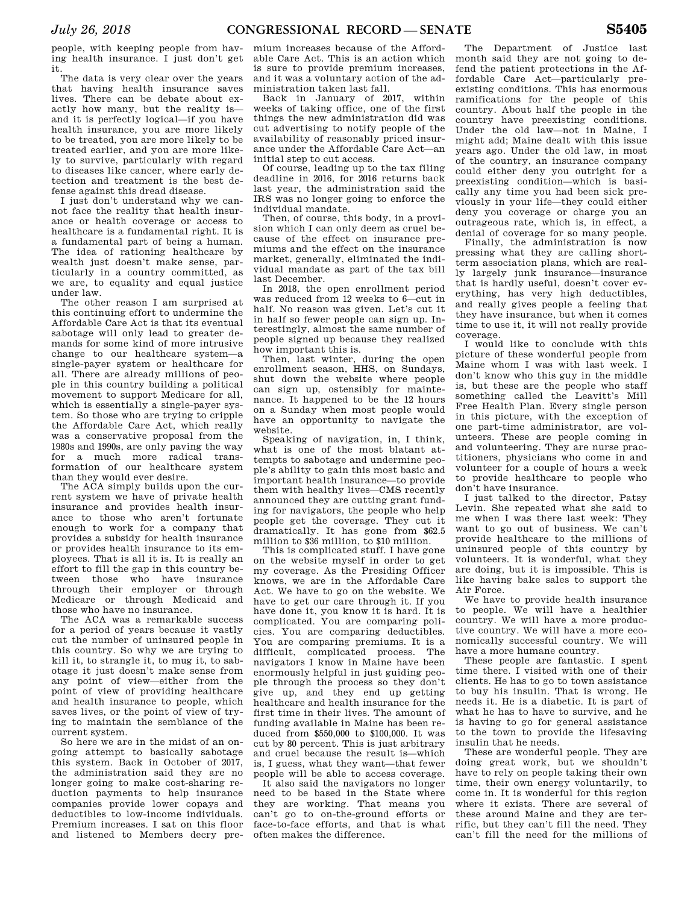people, with keeping people from having health insurance. I just don't get it.

The data is very clear over the years that having health insurance saves lives. There can be debate about exactly how many, but the reality is and it is perfectly logical—if you have health insurance, you are more likely to be treated, you are more likely to be treated earlier, and you are more likely to survive, particularly with regard to diseases like cancer, where early detection and treatment is the best defense against this dread disease.

I just don't understand why we cannot face the reality that health insurance or health coverage or access to healthcare is a fundamental right. It is a fundamental part of being a human. The idea of rationing healthcare by wealth just doesn't make sense, particularly in a country committed, as we are, to equality and equal justice under law.

The other reason I am surprised at this continuing effort to undermine the Affordable Care Act is that its eventual sabotage will only lead to greater demands for some kind of more intrusive change to our healthcare system—a single-payer system or healthcare for all. There are already millions of people in this country building a political movement to support Medicare for all, which is essentially a single-payer system. So those who are trying to cripple the Affordable Care Act, which really was a conservative proposal from the 1980s and 1990s, are only paving the way for a much more radical transformation of our healthcare system than they would ever desire.

The ACA simply builds upon the current system we have of private health insurance and provides health insurance to those who aren't fortunate enough to work for a company that provides a subsidy for health insurance or provides health insurance to its employees. That is all it is. It is really an effort to fill the gap in this country between those who have insurance through their employer or through Medicare or through Medicaid and those who have no insurance.

The ACA was a remarkable success for a period of years because it vastly cut the number of uninsured people in this country. So why we are trying to kill it, to strangle it, to mug it, to sabotage it just doesn't make sense from any point of view—either from the point of view of providing healthcare and health insurance to people, which saves lives, or the point of view of trying to maintain the semblance of the current system.

So here we are in the midst of an ongoing attempt to basically sabotage this system. Back in October of 2017, the administration said they are no longer going to make cost-sharing reduction payments to help insurance companies provide lower copays and deductibles to low-income individuals. Premium increases. I sat on this floor and listened to Members decry pre-

mium increases because of the Affordable Care Act. This is an action which is sure to provide premium increases, and it was a voluntary action of the administration taken last fall.

Back in January of 2017, within weeks of taking office, one of the first things the new administration did was cut advertising to notify people of the availability of reasonably priced insurance under the Affordable Care Act—an initial step to cut access.

Of course, leading up to the tax filing deadline in 2016, for 2016 returns back last year, the administration said the IRS was no longer going to enforce the individual mandate.

Then, of course, this body, in a provision which I can only deem as cruel because of the effect on insurance premiums and the effect on the insurance market, generally, eliminated the individual mandate as part of the tax bill last December.

In 2018, the open enrollment period was reduced from 12 weeks to 6—cut in half. No reason was given. Let's cut it in half so fewer people can sign up. Interestingly, almost the same number of people signed up because they realized how important this is.

Then, last winter, during the open enrollment season, HHS, on Sundays, shut down the website where people can sign up, ostensibly for maintenance. It happened to be the 12 hours on a Sunday when most people would have an opportunity to navigate the website.

Speaking of navigation, in, I think, what is one of the most blatant attempts to sabotage and undermine people's ability to gain this most basic and important health insurance—to provide them with healthy lives—CMS recently announced they are cutting grant funding for navigators, the people who help people get the coverage. They cut it dramatically. It has gone from \$62.5 million to \$36 million, to \$10 million.

This is complicated stuff. I have gone on the website myself in order to get my coverage. As the Presiding Officer knows, we are in the Affordable Care Act. We have to go on the website. We have to get our care through it. If you have done it, you know it is hard. It is complicated. You are comparing policies. You are comparing deductibles. You are comparing premiums. It is a difficult, complicated process. The navigators I know in Maine have been enormously helpful in just guiding people through the process so they don't give up, and they end up getting healthcare and health insurance for the first time in their lives. The amount of funding available in Maine has been reduced from \$550,000 to \$100,000. It was cut by 80 percent. This is just arbitrary and cruel because the result is—which is, I guess, what they want—that fewer people will be able to access coverage.

It also said the navigators no longer need to be based in the State where they are working. That means you can't go to on-the-ground efforts or face-to-face efforts, and that is what often makes the difference.

The Department of Justice last month said they are not going to defend the patient protections in the Affordable Care Act—particularly preexisting conditions. This has enormous ramifications for the people of this country. About half the people in the country have preexisting conditions. Under the old law—not in Maine, I might add; Maine dealt with this issue years ago. Under the old law, in most of the country, an insurance company could either deny you outright for a preexisting condition—which is basically any time you had been sick previously in your life—they could either deny you coverage or charge you an outrageous rate, which is, in effect, a denial of coverage for so many people.

Finally, the administration is now pressing what they are calling shortterm association plans, which are really largely junk insurance—insurance that is hardly useful, doesn't cover everything, has very high deductibles, and really gives people a feeling that they have insurance, but when it comes time to use it, it will not really provide coverage.

I would like to conclude with this picture of these wonderful people from Maine whom I was with last week. I don't know who this guy in the middle is, but these are the people who staff something called the Leavitt's Mill Free Health Plan. Every single person in this picture, with the exception of one part-time administrator, are volunteers. These are people coming in and volunteering. They are nurse practitioners, physicians who come in and volunteer for a couple of hours a week to provide healthcare to people who don't have insurance.

I just talked to the director, Patsy Levin. She repeated what she said to me when I was there last week: They want to go out of business. We can't provide healthcare to the millions of uninsured people of this country by volunteers. It is wonderful, what they are doing, but it is impossible. This is like having bake sales to support the Air Force.

We have to provide health insurance to people. We will have a healthier country. We will have a more productive country. We will have a more economically successful country. We will have a more humane country.

These people are fantastic. I spent time there. I visited with one of their clients. He has to go to town assistance to buy his insulin. That is wrong. He needs it. He is a diabetic. It is part of what he has to have to survive, and he is having to go for general assistance to the town to provide the lifesaving insulin that he needs.

These are wonderful people. They are doing great work, but we shouldn't have to rely on people taking their own time, their own energy voluntarily, to come in. It is wonderful for this region where it exists. There are several of these around Maine and they are terrific, but they can't fill the need. They can't fill the need for the millions of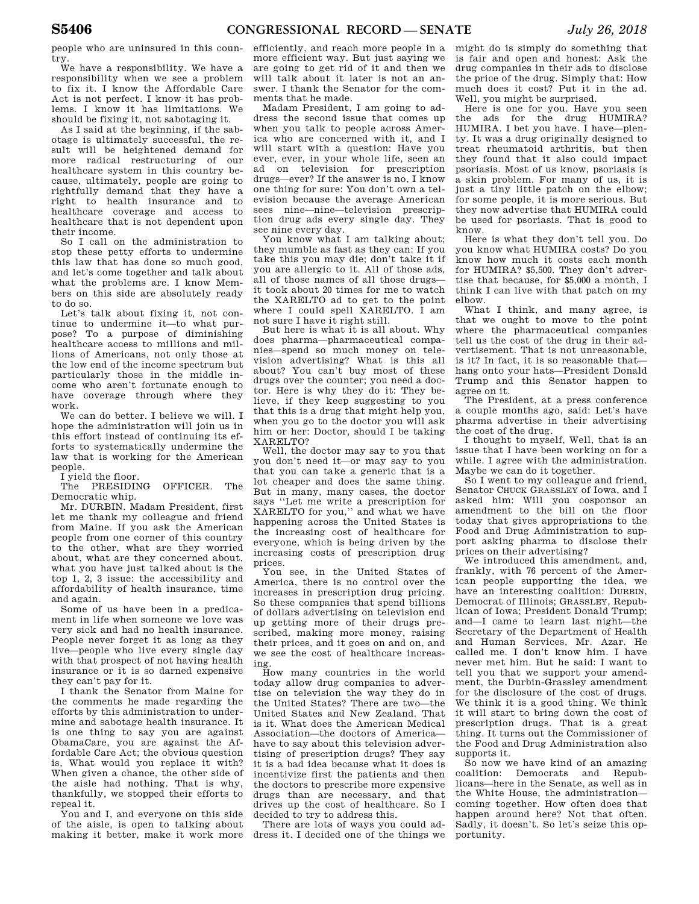people who are uninsured in this country.

We have a responsibility. We have a responsibility when we see a problem to fix it. I know the Affordable Care Act is not perfect. I know it has problems. I know it has limitations. We should be fixing it, not sabotaging it.

As I said at the beginning, if the sabotage is ultimately successful, the result will be heightened demand for more radical restructuring of our healthcare system in this country because, ultimately, people are going to rightfully demand that they have a right to health insurance and to healthcare coverage and access to healthcare that is not dependent upon their income.

So I call on the administration to stop these petty efforts to undermine this law that has done so much good, and let's come together and talk about what the problems are. I know Members on this side are absolutely ready to do so.

Let's talk about fixing it, not continue to undermine it—to what purpose? To a purpose of diminishing healthcare access to millions and millions of Americans, not only those at the low end of the income spectrum but particularly those in the middle income who aren't fortunate enough to have coverage through where they work.

We can do better. I believe we will. I hope the administration will join us in this effort instead of continuing its efforts to systematically undermine the law that is working for the American people.

I yield the floor.

The PRESIDING OFFICER. The Democratic whip.

Mr. DURBIN. Madam President, first let me thank my colleague and friend from Maine. If you ask the American people from one corner of this country to the other, what are they worried about, what are they concerned about, what you have just talked about is the top 1, 2, 3 issue: the accessibility and affordability of health insurance, time and again.

Some of us have been in a predicament in life when someone we love was very sick and had no health insurance. People never forget it as long as they live—people who live every single day with that prospect of not having health insurance or it is so darned expensive they can't pay for it.

I thank the Senator from Maine for the comments he made regarding the efforts by this administration to undermine and sabotage health insurance. It is one thing to say you are against ObamaCare, you are against the Affordable Care Act; the obvious question is, What would you replace it with? When given a chance, the other side of the aisle had nothing. That is why, thankfully, we stopped their efforts to repeal it.

You and I, and everyone on this side of the aisle, is open to talking about making it better, make it work more

efficiently, and reach more people in a more efficient way. But just saying we are going to get rid of it and then we will talk about it later is not an answer. I thank the Senator for the comments that he made.

Madam President, I am going to address the second issue that comes up when you talk to people across America who are concerned with it, and I will start with a question: Have you ever, ever, in your whole life, seen an ad on television for prescription drugs—ever? If the answer is no, I know one thing for sure: You don't own a television because the average American sees nine—nine—television prescription drug ads every single day. They see nine every day.

You know what I am talking about; they mumble as fast as they can: If you take this you may die; don't take it if you are allergic to it. All of those ads, all of those names of all those drugs it took about 20 times for me to watch the XARELTO ad to get to the point where I could spell XARELTO. I am not sure I have it right still.

But here is what it is all about. Why does pharma—pharmaceutical companies—spend so much money on television advertising? What is this all about? You can't buy most of these drugs over the counter; you need a doctor. Here is why they do it: They believe, if they keep suggesting to you that this is a drug that might help you, when you go to the doctor you will ask him or her: Doctor, should I be taking XARELTO?

Well, the doctor may say to you that you don't need it—or may say to you that you can take a generic that is a lot cheaper and does the same thing. But in many, many cases, the doctor says ''Let me write a prescription for XARELTO for you,'' and what we have happening across the United States is the increasing cost of healthcare for everyone, which is being driven by the increasing costs of prescription drug prices.

You see, in the United States of America, there is no control over the increases in prescription drug pricing. So these companies that spend billions of dollars advertising on television end up getting more of their drugs prescribed, making more money, raising their prices, and it goes on and on, and we see the cost of healthcare increasing.

How many countries in the world today allow drug companies to advertise on television the way they do in the United States? There are two—the United States and New Zealand. That is it. What does the American Medical Association—the doctors of America have to say about this television advertising of prescription drugs? They say it is a bad idea because what it does is incentivize first the patients and then the doctors to prescribe more expensive drugs than are necessary, and that drives up the cost of healthcare. So I decided to try to address this.

There are lots of ways you could address it. I decided one of the things we might do is simply do something that is fair and open and honest: Ask the drug companies in their ads to disclose the price of the drug. Simply that: How much does it cost? Put it in the ad. Well, you might be surprised.

Here is one for you. Have you seen the ads for the drug HUMIRA? HUMIRA. I bet you have. I have—plenty. It was a drug originally designed to treat rheumatoid arthritis, but then they found that it also could impact psoriasis. Most of us know, psoriasis is a skin problem. For many of us, it is just a tiny little patch on the elbow; for some people, it is more serious. But they now advertise that HUMIRA could be used for psoriasis. That is good to know.

Here is what they don't tell you. Do you know what HUMIRA costs? Do you know how much it costs each month for HUMIRA? \$5,500. They don't advertise that because, for \$5,000 a month, I think I can live with that patch on my elbow.

What I think, and many agree, is that we ought to move to the point where the pharmaceutical companies tell us the cost of the drug in their advertisement. That is not unreasonable, is it? In fact, it is so reasonable that hang onto your hats—President Donald Trump and this Senator happen to agree on it.

The President, at a press conference a couple months ago, said: Let's have pharma advertise in their advertising the cost of the drug.

I thought to myself, Well, that is an issue that I have been working on for a while. I agree with the administration. Maybe we can do it together.

So I went to my colleague and friend, Senator CHUCK GRASSLEY of Iowa, and I asked him: Will you cosponsor an amendment to the bill on the floor today that gives appropriations to the Food and Drug Administration to support asking pharma to disclose their prices on their advertising?

We introduced this amendment, and, frankly, with 76 percent of the American people supporting the idea, we have an interesting coalition: DURBIN, Democrat of Illinois; GRASSLEY, Republican of Iowa; President Donald Trump; and—I came to learn last night—the Secretary of the Department of Health and Human Services, Mr. Azar. He called me. I don't know him. I have never met him. But he said: I want to tell you that we support your amendment, the Durbin-Grassley amendment for the disclosure of the cost of drugs. We think it is a good thing. We think it will start to bring down the cost of prescription drugs. That is a great thing. It turns out the Commissioner of the Food and Drug Administration also supports it.

So now we have kind of an amazing coalition: Democrats and Republicans—here in the Senate, as well as in the White House, the administration coming together. How often does that happen around here? Not that often. Sadly, it doesn't. So let's seize this opportunity.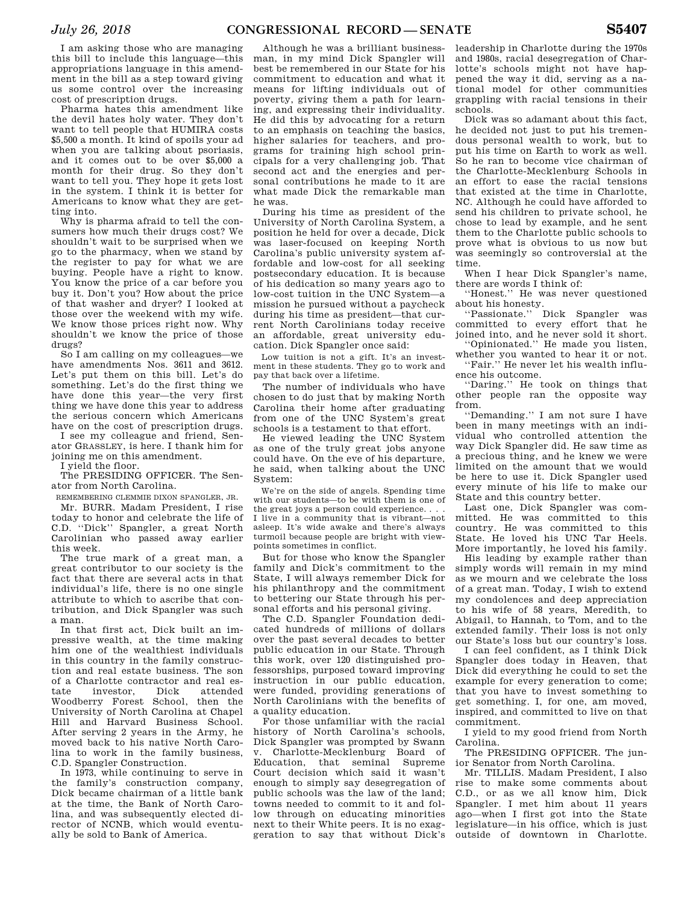I am asking those who are managing this bill to include this language—this appropriations language in this amendment in the bill as a step toward giving us some control over the increasing cost of prescription drugs.

Pharma hates this amendment like the devil hates holy water. They don't want to tell people that HUMIRA costs \$5,500 a month. It kind of spoils your ad when you are talking about psoriasis, and it comes out to be over \$5,000 a month for their drug. So they don't want to tell you. They hope it gets lost in the system. I think it is better for Americans to know what they are getting into.

Why is pharma afraid to tell the consumers how much their drugs cost? We shouldn't wait to be surprised when we go to the pharmacy, when we stand by the register to pay for what we are buying. People have a right to know. You know the price of a car before you buy it. Don't you? How about the price of that washer and dryer? I looked at those over the weekend with my wife. We know those prices right now. Why shouldn't we know the price of those drugs?

So I am calling on my colleagues—we have amendments Nos. 3611 and 3612. Let's put them on this bill. Let's do something. Let's do the first thing we have done this year—the very first thing we have done this year to address the serious concern which Americans have on the cost of prescription drugs.

I see my colleague and friend, Senator GRASSLEY, is here. I thank him for joining me on this amendment.

I yield the floor.

The PRESIDING OFFICER. The Senator from North Carolina.

REMEMBERING CLEMMIE DIXON SPANGLER, JR.

Mr. BURR. Madam President, I rise today to honor and celebrate the life of C.D. ''Dick'' Spangler, a great North Carolinian who passed away earlier this week.

The true mark of a great man, a great contributor to our society is the fact that there are several acts in that individual's life, there is no one single attribute to which to ascribe that contribution, and Dick Spangler was such a man.

In that first act, Dick built an impressive wealth, at the time making him one of the wealthiest individuals in this country in the family construction and real estate business. The son of a Charlotte contractor and real estate investor, Dick attended Woodberry Forest School, then the University of North Carolina at Chapel Hill and Harvard Business School. After serving 2 years in the Army, he moved back to his native North Carolina to work in the family business, C.D. Spangler Construction.

In 1973, while continuing to serve in the family's construction company, Dick became chairman of a little bank at the time, the Bank of North Carolina, and was subsequently elected director of NCNB, which would eventually be sold to Bank of America.

Although he was a brilliant businessman, in my mind Dick Spangler will best be remembered in our State for his commitment to education and what it means for lifting individuals out of poverty, giving them a path for learning, and expressing their individuality. He did this by advocating for a return to an emphasis on teaching the basics, higher salaries for teachers, and programs for training high school principals for a very challenging job. That second act and the energies and personal contributions he made to it are what made Dick the remarkable man he was.

During his time as president of the University of North Carolina System, a position he held for over a decade, Dick was laser-focused on keeping North Carolina's public university system affordable and low-cost for all seeking postsecondary education. It is because of his dedication so many years ago to low-cost tuition in the UNC System—a mission he pursued without a paycheck during his time as president—that current North Carolinians today receive an affordable, great university education. Dick Spangler once said:

Low tuition is not a gift. It's an investment in these students. They go to work and pay that back over a lifetime.

The number of individuals who have chosen to do just that by making North Carolina their home after graduating from one of the UNC System's great schools is a testament to that effort.

He viewed leading the UNC System as one of the truly great jobs anyone could have. On the eve of his departure, he said, when talking about the UNC System:

We're on the side of angels. Spending time with our students—to be with them is one of the great joys a person could experience. . . . I live in a community that is vibrant—not asleep. It's wide awake and there's always turmoil because people are bright with viewpoints sometimes in conflict.

But for those who know the Spangler family and Dick's commitment to the State, I will always remember Dick for his philanthropy and the commitment to bettering our State through his personal efforts and his personal giving.

The C.D. Spangler Foundation dedicated hundreds of millions of dollars over the past several decades to better public education in our State. Through this work, over 120 distinguished professorships, purposed toward improving instruction in our public education, were funded, providing generations of North Carolinians with the benefits of a quality education.

For those unfamiliar with the racial history of North Carolina's schools, Dick Spangler was prompted by Swann v. Charlotte-Mecklenburg Board of Education, that seminal Supreme Court decision which said it wasn't enough to simply say desegregation of public schools was the law of the land; towns needed to commit to it and follow through on educating minorities next to their White peers. It is no exaggeration to say that without Dick's

leadership in Charlotte during the 1970s and 1980s, racial desegregation of Charlotte's schools might not have happened the way it did, serving as a national model for other communities grappling with racial tensions in their schools.

Dick was so adamant about this fact, he decided not just to put his tremendous personal wealth to work, but to put his time on Earth to work as well. So he ran to become vice chairman of the Charlotte-Mecklenburg Schools in an effort to ease the racial tensions that existed at the time in Charlotte, NC. Although he could have afforded to send his children to private school, he chose to lead by example, and he sent them to the Charlotte public schools to prove what is obvious to us now but was seemingly so controversial at the time.

When I hear Dick Spangler's name, there are words I think of:

''Honest.'' He was never questioned about his honesty.<br>
"Passionate."

Dick Spangler was committed to every effort that he joined into, and he never sold it short.

''Opinionated.'' He made you listen, whether you wanted to hear it or not.

''Fair.'' He never let his wealth influence his outcome.

''Daring.'' He took on things that other people ran the opposite way from.

''Demanding.'' I am not sure I have been in many meetings with an individual who controlled attention the way Dick Spangler did. He saw time as a precious thing, and he knew we were limited on the amount that we would be here to use it. Dick Spangler used every minute of his life to make our State and this country better.

Last one, Dick Spangler was committed. He was committed to this country. He was committed to this State. He loved his UNC Tar Heels. More importantly, he loved his family.

His leading by example rather than simply words will remain in my mind as we mourn and we celebrate the loss of a great man. Today, I wish to extend my condolences and deep appreciation to his wife of 58 years, Meredith, to Abigail, to Hannah, to Tom, and to the extended family. Their loss is not only our State's loss but our country's loss.

I can feel confident, as I think Dick Spangler does today in Heaven, that Dick did everything he could to set the example for every generation to come; that you have to invest something to get something. I, for one, am moved, inspired, and committed to live on that commitment.

I yield to my good friend from North Carolina.

The PRESIDING OFFICER. The junior Senator from North Carolina.

Mr. TILLIS. Madam President, I also rise to make some comments about C.D., or as we all know him, Dick Spangler. I met him about 11 years ago—when I first got into the State legislature—in his office, which is just outside of downtown in Charlotte.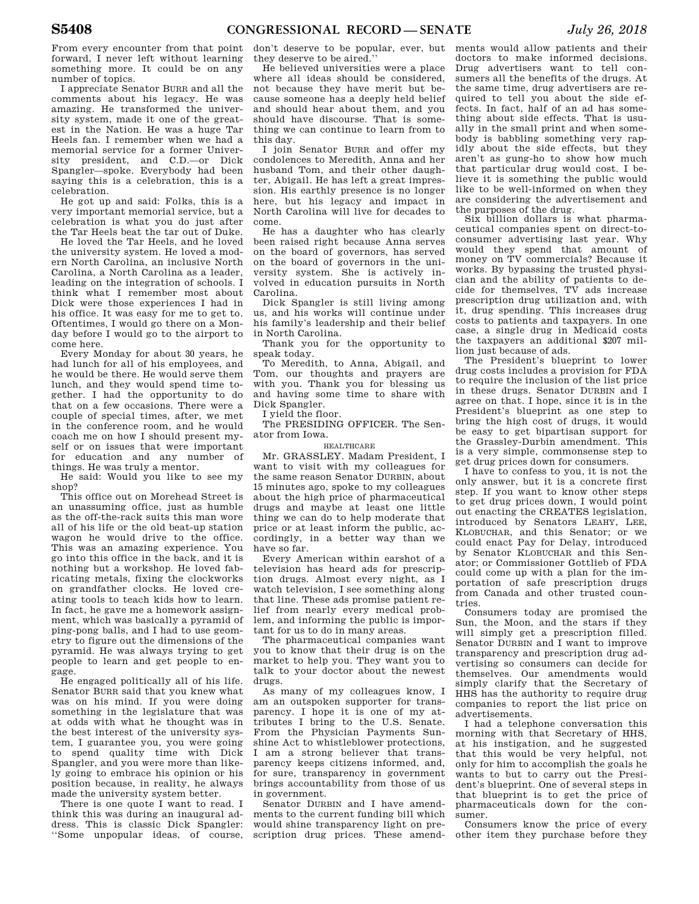From every encounter from that point forward, I never left without learning something more. It could be on any number of topics.

I appreciate Senator BURR and all the comments about his legacy. He was amazing. He transformed the university system, made it one of the greatest in the Nation. He was a huge Tar Heels fan. I remember when we had a memorial service for a former University president, and C.D.—or Dick Spangler—spoke. Everybody had been saying this is a celebration, this is a celebration.

He got up and said: Folks, this is a very important memorial service, but a celebration is what you do just after the Tar Heels beat the tar out of Duke.

He loved the Tar Heels, and he loved the university system. He loved a modern North Carolina, an inclusive North Carolina, a North Carolina as a leader, leading on the integration of schools. I think what I remember most about Dick were those experiences I had in his office. It was easy for me to get to. Oftentimes, I would go there on a Monday before I would go to the airport to come here.

Every Monday for about 30 years, he had lunch for all of his employees, and he would be there. He would serve them lunch, and they would spend time together. I had the opportunity to do that on a few occasions. There were a couple of special times, after, we met in the conference room, and he would coach me on how I should present myself or on issues that were important for education and any number of things. He was truly a mentor.

He said: Would you like to see my shop?

This office out on Morehead Street is an unassuming office, just as humble as the off-the-rack suits this man wore all of his life or the old beat-up station wagon he would drive to the office. This was an amazing experience. You go into this office in the back, and it is nothing but a workshop. He loved fabricating metals, fixing the clockworks on grandfather clocks. He loved creating tools to teach kids how to learn. In fact, he gave me a homework assignment, which was basically a pyramid of ping-pong balls, and I had to use geometry to figure out the dimensions of the pyramid. He was always trying to get people to learn and get people to engage.

He engaged politically all of his life. Senator BURR said that you knew what was on his mind. If you were doing something in the legislature that was at odds with what he thought was in the best interest of the university system, I guarantee you, you were going to spend quality time with Dick Spangler, and you were more than likely going to embrace his opinion or his position because, in reality, he always made the university system better.

There is one quote I want to read. I think this was during an inaugural address. This is classic Dick Spangler: ''Some unpopular ideas, of course,

don't deserve to be popular, ever, but they deserve to be aired.''

He believed universities were a place where all ideas should be considered, not because they have merit but because someone has a deeply held belief and should hear about them, and you should have discourse. That is something we can continue to learn from to this day.

I join Senator BURR and offer my condolences to Meredith, Anna and her husband Tom, and their other daughter, Abigail. He has left a great impression. His earthly presence is no longer here, but his legacy and impact in North Carolina will live for decades to come.

He has a daughter who has clearly been raised right because Anna serves on the board of governors, has served on the board of governors in the university system. She is actively involved in education pursuits in North Carolina.

Dick Spangler is still living among us, and his works will continue under his family's leadership and their belief in North Carolina.

Thank you for the opportunity to speak today.

To Meredith, to Anna, Abigail, and Tom, our thoughts and prayers are with you. Thank you for blessing us and having some time to share with Dick Spangler.

I yield the floor.

The PRESIDING OFFICER. The Senator from Iowa.

HEALTHCARE

Mr. GRASSLEY. Madam President, I want to visit with my colleagues for the same reason Senator DURBIN, about 15 minutes ago, spoke to my colleagues about the high price of pharmaceutical drugs and maybe at least one little thing we can do to help moderate that price or at least inform the public, accordingly, in a better way than we have so far.

Every American within earshot of a television has heard ads for prescription drugs. Almost every night, as I watch television, I see something along that line. These ads promise patient relief from nearly every medical problem, and informing the public is important for us to do in many areas.

The pharmaceutical companies want you to know that their drug is on the market to help you. They want you to talk to your doctor about the newest drugs.

As many of my colleagues know, I am an outspoken supporter for transparency. I hope it is one of my attributes I bring to the U.S. Senate. From the Physician Payments Sunshine Act to whistleblower protections, I am a strong believer that transparency keeps citizens informed, and, for sure, transparency in government brings accountability from those of us in government.

Senator DURBIN and I have amendments to the current funding bill which would shine transparency light on prescription drug prices. These amend-

ments would allow patients and their doctors to make informed decisions. Drug advertisers want to tell consumers all the benefits of the drugs. At the same time, drug advertisers are required to tell you about the side effects. In fact, half of an ad has something about side effects. That is usually in the small print and when somebody is babbling something very rapidly about the side effects, but they aren't as gung-ho to show how much that particular drug would cost. I believe it is something the public would like to be well-informed on when they are considering the advertisement and the purposes of the drug.

Six billion dollars is what pharmaceutical companies spent on direct-toconsumer advertising last year. Why would they spend that amount of money on TV commercials? Because it works. By bypassing the trusted physician and the ability of patients to decide for themselves, TV ads increase prescription drug utilization and, with it, drug spending. This increases drug costs to patients and taxpayers. In one case, a single drug in Medicaid costs the taxpayers an additional \$207 million just because of ads.

The President's blueprint to lower drug costs includes a provision for FDA to require the inclusion of the list price in these drugs. Senator DURBIN and I agree on that. I hope, since it is in the President's blueprint as one step to bring the high cost of drugs, it would be easy to get bipartisan support for the Grassley-Durbin amendment. This is a very simple, commonsense step to get drug prices down for consumers.

I have to confess to you, it is not the only answer, but it is a concrete first step. If you want to know other steps to get drug prices down, I would point out enacting the CREATES legislation, introduced by Senators LEAHY, LEE, KLOBUCHAR, and this Senator; or we could enact Pay for Delay, introduced by Senator KLOBUCHAR and this Senator; or Commissioner Gottlieb of FDA could come up with a plan for the importation of safe prescription drugs from Canada and other trusted countries.

Consumers today are promised the Sun, the Moon, and the stars if they will simply get a prescription filled. Senator DURBIN and I want to improve transparency and prescription drug advertising so consumers can decide for themselves. Our amendments would simply clarify that the Secretary of HHS has the authority to require drug companies to report the list price on advertisements.

I had a telephone conversation this morning with that Secretary of HHS, at his instigation, and he suggested that this would be very helpful, not only for him to accomplish the goals he wants to but to carry out the President's blueprint. One of several steps in that blueprint is to get the price of pharmaceuticals down for the consumer.

Consumers know the price of every other item they purchase before they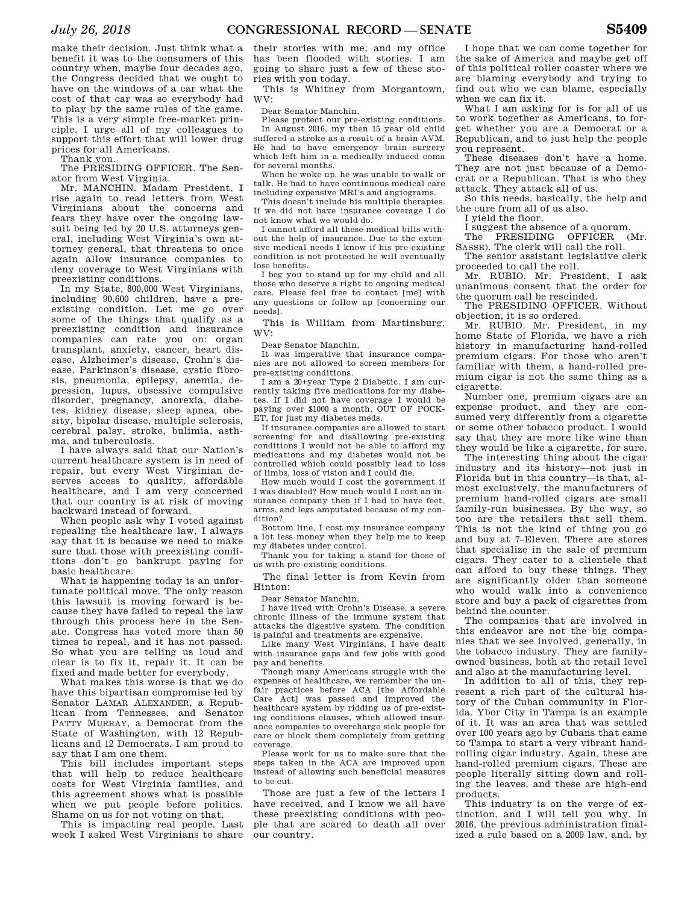make their decision. Just think what a benefit it was to the consumers of this country when, maybe four decades ago, the Congress decided that we ought to have on the windows of a car what the cost of that car was so everybody had to play by the same rules of the game. This is a very simple free-market principle. I urge all of my colleagues to support this effort that will lower drug prices for all Americans.

Thank you.

The PRESIDING OFFICER. The Senator from West Virginia.

Mr. MANCHIN. Madam President, I rise again to read letters from West Virginians about the concerns and fears they have over the ongoing lawsuit being led by 20 U.S. attorneys general, including West Virginia's own attorney general, that threatens to once again allow insurance companies to deny coverage to West Virginians with preexisting conditions.

In my State, 800,000 West Virginians, including 90,600 children, have a preexisting condition. Let me go over some of the things that qualify as a preexisting condition and insurance companies can rate you on: organ transplant, anxiety, cancer, heart disease, Alzheimer's disease, Crohn's disease, Parkinson's disease, cystic fibrosis, pneumonia, epilepsy, anemia, depression, lupus, obsessive compulsive disorder, pregnancy, anorexia, diabetes, kidney disease, sleep apnea, obesity, bipolar disease, multiple sclerosis, cerebral palsy, stroke, bulimia, asthma, and tuberculosis.

I have always said that our Nation's current healthcare system is in need of repair, but every West Virginian deserves access to quality, affordable healthcare, and I am very concerned that our country is at risk of moving backward instead of forward.

When people ask why I voted against repealing the healthcare law, I always say that it is because we need to make sure that those with preexisting conditions don't go bankrupt paying for basic healthcare.

What is happening today is an unfortunate political move. The only reason this lawsuit is moving forward is because they have failed to repeal the law through this process here in the Senate. Congress has voted more than 50 times to repeal, and it has not passed. So what you are telling us loud and clear is to fix it, repair it. It can be fixed and made better for everybody.

What makes this worse is that we do have this bipartisan compromise led by Senator LAMAR ALEXANDER, a Republican from Tennessee, and Senator PATTY MURRAY, a Democrat from the State of Washington, with 12 Republicans and 12 Democrats. I am proud to say that I am one them.

This bill includes important steps that will help to reduce healthcare costs for West Virginia families, and this agreement shows what is possible when we put people before politics. Shame on us for not voting on that.

This is impacting real people. Last week I asked West Virginians to share

their stories with me, and my office has been flooded with stories. I am going to share just a few of these stories with you today.

This is Whitney from Morgantown, WV:

Dear Senator Manchin,

Please protect our pre-existing conditions. In August 2016, my then 15 year old child suffered a stroke as a result of a brain AVM. He had to have emergency brain surgery which left him in a medically induced coma for several months.

When he woke up, he was unable to walk or talk. He had to have continuous medical care including expensive MRI's and angiograms.

This doesn't include his multiple therapies. If we did not have insurance coverage I do not know what we would do.

I cannot afford all these medical bills without the help of insurance. Due to the extensive medical needs I know if his pre-existing condition is not protected he will eventually lose benefits.

I beg you to stand up for my child and all those who deserve a right to ongoing medical care. Please feel free to contact [me] with any questions or follow up [concerning our needs].

This is William from Martinsburg, WV:

Dear Senator Manchin,

It was imperative that insurance companies are not allowed to screen members for pre-existing conditions.

I am a 20+year Type 2 Diabetic. I am currently taking five medications for my diabetes. If I did not have coverage I would be paying over \$1000 a month, OUT OF POCK-ET, for just my diabetes meds.

If insurance companies are allowed to start screening for and disallowing pre-existing conditions I would not be able to afford my medications and my diabetes would not be controlled which could possibly lead to loss of limbs, loss of vision and I could die.

How much would I cost the government if I was disabled? How much would I cost an insurance company then if I had to have feet, arms, and legs amputated because of my condition?

Bottom line, I cost my insurance company a lot less money when they help me to keep my diabetes under control.

Thank you for taking a stand for those of us with pre-existing conditions.

The final letter is from Kevin from Hinton:

Dear Senator Manchin,

I have lived with Crohn's Disease, a severe chronic illness of the immune system that attacks the digestive system. The condition is painful and treatments are expensive.

Like many West Virginians, I have dealt with insurance gaps and few jobs with good pay and benefits.

Though many Americans struggle with the expenses of healthcare, we remember the unfair practices before ACA [the Affordable Care Act] was passed and improved the healthcare system by ridding us of pre-existing conditions clauses, which allowed insurance companies to overcharge sick people for care or block them completely from getting coverage.

Please work for us to make sure that the steps taken in the ACA are improved upon instead of allowing such beneficial measures to be cut.

Those are just a few of the letters I have received, and I know we all have these preexisting conditions with people that are scared to death all over our country.

I hope that we can come together for the sake of America and maybe get off of this political roller coaster where we are blaming everybody and trying to find out who we can blame, especially when we can fix it.

What I am asking for is for all of us to work together as Americans, to forget whether you are a Democrat or a Republican, and to just help the people you represent.

These diseases don't have a home. They are not just because of a Democrat or a Republican. That is who they attack. They attack all of us.

So this needs, basically, the help and the cure from all of us also.

I yield the floor.

I suggest the absence of a quorum.

The PRESIDING OFFICER (Mr.

SASSE). The clerk will call the roll. The senior assistant legislative clerk

proceeded to call the roll. Mr. RUBIO. Mr. President, I ask

unanimous consent that the order for the quorum call be rescinded.

The PRESIDING OFFICER. Without objection, it is so ordered.

Mr. RUBIO. Mr. President, in my home State of Florida, we have a rich history in manufacturing hand-rolled premium cigars. For those who aren't familiar with them, a hand-rolled premium cigar is not the same thing as a cigarette.

Number one, premium cigars are an expense product, and they are consumed very differently from a cigarette or some other tobacco product. I would say that they are more like wine than they would be like a cigarette, for sure.

The interesting thing about the cigar industry and its history—not just in Florida but in this country—is that, almost exclusively, the manufacturers of premium hand-rolled cigars are small family-run businesses. By the way, so too are the retailers that sell them. This is not the kind of thing you go and buy at 7–Eleven. There are stores that specialize in the sale of premium cigars. They cater to a clientele that can afford to buy these things. They are significantly older than someone who would walk into a convenience store and buy a pack of cigarettes from behind the counter.

The companies that are involved in this endeavor are not the big companies that we see involved, generally, in the tobacco industry. They are familyowned business, both at the retail level and also at the manufacturing level.

In addition to all of this, they represent a rich part of the cultural history of the Cuban community in Florida. Ybor City in Tampa is an example of it. It was an area that was settled over 100 years ago by Cubans that came to Tampa to start a very vibrant handrolling cigar industry. Again, these are hand-rolled premium cigars. These are people literally sitting down and rolling the leaves, and these are high-end products.

This industry is on the verge of extinction, and I will tell you why. In 2016, the previous administration finalized a rule based on a 2009 law, and, by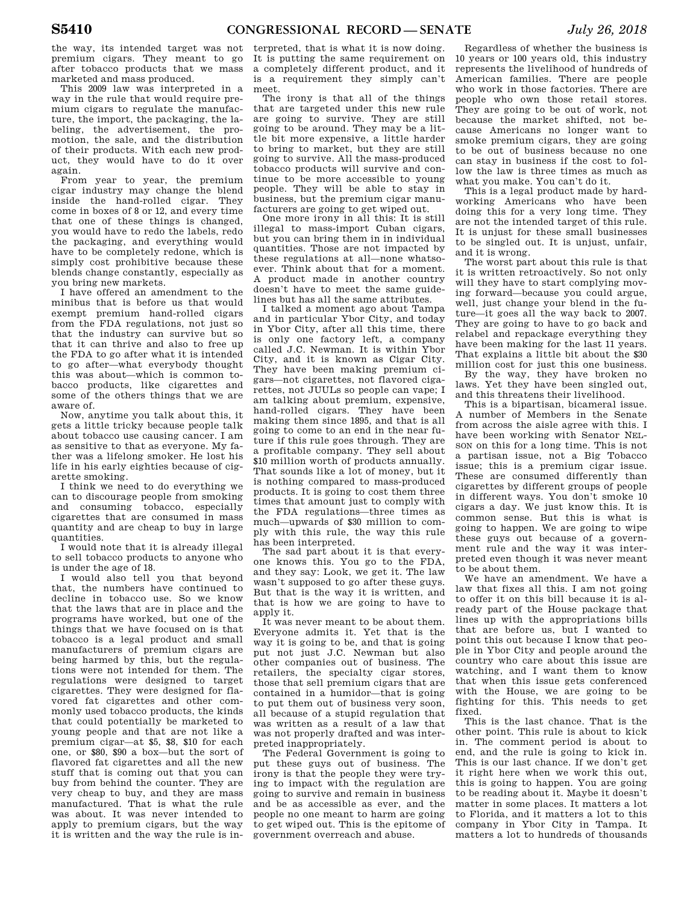the way, its intended target was not premium cigars. They meant to go after tobacco products that we mass marketed and mass produced.

This 2009 law was interpreted in a way in the rule that would require premium cigars to regulate the manufacture, the import, the packaging, the labeling, the advertisement, the promotion, the sale, and the distribution of their products. With each new product, they would have to do it over again.

From year to year, the premium cigar industry may change the blend inside the hand-rolled cigar. They come in boxes of 8 or 12, and every time that one of these things is changed you would have to redo the labels, redo the packaging, and everything would have to be completely redone, which is simply cost prohibitive because these blends change constantly, especially as you bring new markets.

I have offered an amendment to the minibus that is before us that would exempt premium hand-rolled cigars from the FDA regulations, not just so that the industry can survive but so that it can thrive and also to free up the FDA to go after what it is intended to go after—what everybody thought this was about—which is common tobacco products, like cigarettes and some of the others things that we are aware of.

Now, anytime you talk about this, it gets a little tricky because people talk about tobacco use causing cancer. I am as sensitive to that as everyone. My father was a lifelong smoker. He lost his life in his early eighties because of cigarette smoking.

I think we need to do everything we can to discourage people from smoking and consuming tobacco, especially cigarettes that are consumed in mass quantity and are cheap to buy in large quantities.

I would note that it is already illegal to sell tobacco products to anyone who is under the age of 18.

I would also tell you that beyond that, the numbers have continued to decline in tobacco use. So we know that the laws that are in place and the programs have worked, but one of the things that we have focused on is that tobacco is a legal product and small manufacturers of premium cigars are being harmed by this, but the regulations were not intended for them. The regulations were designed to target cigarettes. They were designed for flavored fat cigarettes and other commonly used tobacco products, the kinds that could potentially be marketed to young people and that are not like a premium cigar—at \$5, \$8, \$10 for each one, or \$80, \$90 a box—but the sort of flavored fat cigarettes and all the new stuff that is coming out that you can buy from behind the counter. They are very cheap to buy, and they are mass manufactured. That is what the rule was about. It was never intended to apply to premium cigars, but the way it is written and the way the rule is in-

terpreted, that is what it is now doing. It is putting the same requirement on a completely different product, and it is a requirement they simply can't meet.

The irony is that all of the things that are targeted under this new rule are going to survive. They are still going to be around. They may be a little bit more expensive, a little harder to bring to market, but they are still going to survive. All the mass-produced tobacco products will survive and continue to be more accessible to young people. They will be able to stay in business, but the premium cigar manufacturers are going to get wiped out.

One more irony in all this: It is still illegal to mass-import Cuban cigars, but you can bring them in in individual quantities. Those are not impacted by these regulations at all—none whatsoever. Think about that for a moment. A product made in another country doesn't have to meet the same guidelines but has all the same attributes.

I talked a moment ago about Tampa and in particular Ybor City, and today in Ybor City, after all this time, there is only one factory left, a company called J.C. Newman. It is within Ybor City, and it is known as Cigar City. They have been making premium cigars—not cigarettes, not flavored cigarettes, not JUULs so people can vape; I am talking about premium, expensive, hand-rolled cigars. They have been making them since 1895, and that is all going to come to an end in the near future if this rule goes through. They are a profitable company. They sell about \$10 million worth of products annually. That sounds like a lot of money, but it is nothing compared to mass-produced products. It is going to cost them three times that amount just to comply with the FDA regulations—three times as much—upwards of \$30 million to comply with this rule, the way this rule has been interpreted.

The sad part about it is that everyone knows this. You go to the FDA, and they say: Look, we get it. The law wasn't supposed to go after these guys. But that is the way it is written, and that is how we are going to have to apply it.

It was never meant to be about them. Everyone admits it. Yet that is the way it is going to be, and that is going put not just J.C. Newman but also other companies out of business. The retailers, the specialty cigar stores, those that sell premium cigars that are contained in a humidor—that is going to put them out of business very soon all because of a stupid regulation that was written as a result of a law that was not properly drafted and was interpreted inappropriately.

The Federal Government is going to put these guys out of business. The irony is that the people they were trying to impact with the regulation are going to survive and remain in business and be as accessible as ever, and the people no one meant to harm are going to get wiped out. This is the epitome of government overreach and abuse.

Regardless of whether the business is 10 years or 100 years old, this industry represents the livelihood of hundreds of American families. There are people who work in those factories. There are people who own those retail stores. They are going to be out of work, not because the market shifted, not because Americans no longer want to smoke premium cigars, they are going to be out of business because no one can stay in business if the cost to follow the law is three times as much as what you make. You can't do it.

This is a legal product made by hardworking Americans who have been doing this for a very long time. They are not the intended target of this rule. It is unjust for these small businesses to be singled out. It is unjust, unfair, and it is wrong.

The worst part about this rule is that it is written retroactively. So not only will they have to start complying moving forward—because you could argue, well, just change your blend in the future—it goes all the way back to 2007. They are going to have to go back and relabel and repackage everything they have been making for the last 11 years. That explains a little bit about the \$30 million cost for just this one business.

By the way, they have broken no laws. Yet they have been singled out, and this threatens their livelihood.

This is a bipartisan, bicameral issue. A number of Members in the Senate from across the aisle agree with this. I have been working with Senator NEL-SON on this for a long time. This is not a partisan issue, not a Big Tobacco issue; this is a premium cigar issue. These are consumed differently than cigarettes by different groups of people in different ways. You don't smoke 10 cigars a day. We just know this. It is common sense. But this is what is going to happen. We are going to wipe these guys out because of a government rule and the way it was interpreted even though it was never meant to be about them.

We have an amendment. We have a law that fixes all this. I am not going to offer it on this bill because it is already part of the House package that lines up with the appropriations bills that are before us, but I wanted to point this out because I know that people in Ybor City and people around the country who care about this issue are watching, and I want them to know that when this issue gets conferenced with the House, we are going to be fighting for this. This needs to get fixed.

This is the last chance. That is the other point. This rule is about to kick in. The comment period is about to end, and the rule is going to kick in. This is our last chance. If we don't get it right here when we work this out, this is going to happen. You are going to be reading about it. Maybe it doesn't matter in some places. It matters a lot to Florida, and it matters a lot to this company in Ybor City in Tampa. It matters a lot to hundreds of thousands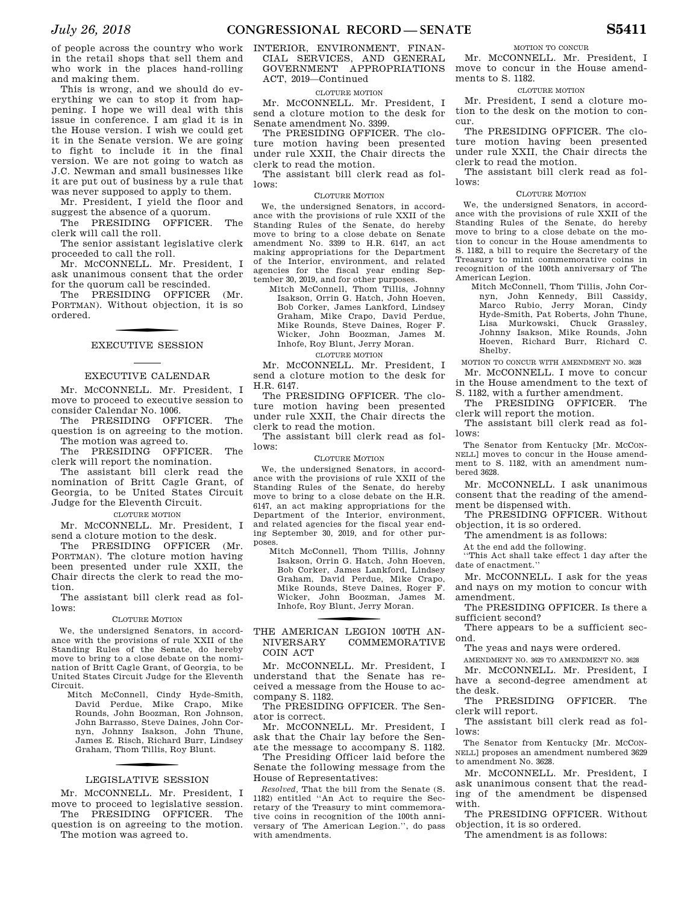of people across the country who work in the retail shops that sell them and who work in the places hand-rolling and making them.

This is wrong, and we should do everything we can to stop it from happening. I hope we will deal with this issue in conference. I am glad it is in the House version. I wish we could get it in the Senate version. We are going to fight to include it in the final version. We are not going to watch as J.C. Newman and small businesses like it are put out of business by a rule that was never supposed to apply to them.

Mr. President, I yield the floor and suggest the absence of a quorum.

The PRESIDING OFFICER. The clerk will call the roll.

The senior assistant legislative clerk proceeded to call the roll.

Mr. MCCONNELL. Mr. President, I ask unanimous consent that the order for the quorum call be rescinded.

The PRESIDING OFFICER (Mr. PORTMAN). Without objection, it is so ordered.

### EXECUTIVE SESSION

### EXECUTIVE CALENDAR

Mr. McCONNELL. Mr. President. I move to proceed to executive session to consider Calendar No. 1006.

The PRESIDING OFFICER. The question is on agreeing to the motion. The motion was agreed to.

The PRESIDING OFFICER. The clerk will report the nomination.

The assistant bill clerk read the nomination of Britt Cagle Grant, of Georgia, to be United States Circuit Judge for the Eleventh Circuit.

### CLOTURE MOTION

Mr. MCCONNELL. Mr. President, I send a cloture motion to the desk.

The PRESIDING OFFICER (Mr. PORTMAN). The cloture motion having been presented under rule XXII, the Chair directs the clerk to read the motion.

The assistant bill clerk read as follows:

### CLOTURE MOTION

We, the undersigned Senators, in accordance with the provisions of rule XXII of the Standing Rules of the Senate, do hereby move to bring to a close debate on the nomination of Britt Cagle Grant, of Georgia, to be United States Circuit Judge for the Eleventh Circuit.

Mitch McConnell, Cindy Hyde-Smith, David Perdue, Mike Crapo, Mike Rounds, John Boozman, Ron Johnson, John Barrasso, Steve Daines, John Cornyn, Johnny Isakson, John Thune, James E. Risch, Richard Burr, Lindsey Graham, Thom Tillis, Roy Blunt.

### LEGISLATIVE SESSION

Mr. MCCONNELL. Mr. President, I move to proceed to legislative session. The PRESIDING OFFICER. The

question is on agreeing to the motion. The motion was agreed to.

### INTERIOR, ENVIRONMENT, FINAN-CIAL SERVICES, AND GENERAL GOVERNMENT APPROPRIATIONS ACT, 2019—Continued

### CLOTURE MOTION

Mr. MCCONNELL. Mr. President, I send a cloture motion to the desk for Senate amendment No. 3399.

The PRESIDING OFFICER. The cloture motion having been presented under rule XXII, the Chair directs the clerk to read the motion.

The assistant bill clerk read as follows:

### CLOTURE MOTION

We, the undersigned Senators, in accordance with the provisions of rule XXII of the Standing Rules of the Senate, do hereby move to bring to a close debate on Senate amendment No. 3399 to H.R. 6147, an act making appropriations for the Department of the Interior, environment, and related agencies for the fiscal year ending September 30, 2019, and for other purposes.

Mitch McConnell, Thom Tillis, Johnny Isakson, Orrin G. Hatch, John Hoeven, Bob Corker, James Lankford, Lindsey Graham, Mike Crapo, David Perdue, Mike Rounds, Steve Daines, Roger F. Wicker, John Boozman, James M. Inhofe, Roy Blunt, Jerry Moran.

### CLOTURE MOTION

Mr. MCCONNELL. Mr. President, I send a cloture motion to the desk for H.R. 6147.

The PRESIDING OFFICER. The cloture motion having been presented under rule XXII, the Chair directs the clerk to read the motion.

The assistant bill clerk read as follows:

### CLOTURE MOTION

We, the undersigned Senators, in accordance with the provisions of rule XXII of the Standing Rules of the Senate, do hereby move to bring to a close debate on the H.R. 6147, an act making appropriations for the Department of the Interior, environment, and related agencies for the fiscal year ending September 30, 2019, and for other purposes.

Mitch McConnell, Thom Tillis, Johnny Isakson, Orrin G. Hatch, John Hoeven, Bob Corker, James Lankford, Lindsey Graham, David Perdue, Mike Crapo, Mike Rounds, Steve Daines, Roger F. Wicker, John Boozman, James M. Inhofe, Roy Blunt, Jerry Moran.

### THE AMERICAN LEGION 100TH AN-NIVERSARY COMMEMORATIVE COIN ACT

Mr. MCCONNELL. Mr. President, I understand that the Senate has received a message from the House to accompany S. 1182.

The PRESIDING OFFICER. The Senator is correct.

Mr. McCONNELL. Mr. President. I ask that the Chair lay before the Senate the message to accompany S. 1182.

The Presiding Officer laid before the Senate the following message from the House of Representatives:

*Resolved,* That the bill from the Senate (S. 1182) entitled ''An Act to require the Secretary of the Treasury to mint commemorative coins in recognition of the 100th anniversary of The American Legion.'', do pass with amendments.

MOTION TO CONCUR

Mr. MCCONNELL. Mr. President, I move to concur in the House amendments to S. 1182.

### CLOTURE MOTION

Mr. President, I send a cloture motion to the desk on the motion to concur.

The PRESIDING OFFICER. The cloture motion having been presented under rule XXII, the Chair directs the clerk to read the motion.

The assistant bill clerk read as follows:

### CLOTURE MOTION

We, the undersigned Senators, in accordance with the provisions of rule XXII of the Standing Rules of the Senate, do hereby move to bring to a close debate on the motion to concur in the House amendments to S. 1182, a bill to require the Secretary of the Treasury to mint commemorative coins in recognition of the 100th anniversary of The American Legion.

Mitch McConnell, Thom Tillis, John Cornyn, John Kennedy, Bill Cassidy, Marco Rubio, Jerry Moran, Cindy Hyde-Smith, Pat Roberts, John Thune, Lisa Murkowski, Chuck Grassley, Johnny Isakson, Mike Rounds, John Hoeven, Richard Burr, Richard C. Shelby.

MOTION TO CONCUR WITH AMENDMENT NO. 3628

Mr. MCCONNELL. I move to concur in the House amendment to the text of S. 1182, with a further amendment.

The PRESIDING OFFICER. The clerk will report the motion.

The assistant bill clerk read as follows:

The Senator from Kentucky [Mr. McCoN-NELL] moves to concur in the House amendment to S. 1182, with an amendment numbered 3628.

Mr. MCCONNELL. I ask unanimous consent that the reading of the amendment be dispensed with.

The PRESIDING OFFICER. Without objection, it is so ordered.

The amendment is as follows:

At the end add the following.

''This Act shall take effect 1 day after the date of enactment.''

Mr. MCCONNELL. I ask for the yeas and nays on my motion to concur with amendment.

The PRESIDING OFFICER. Is there a sufficient second?

There appears to be a sufficient second.

The yeas and nays were ordered.

AMENDMENT NO. 3629 TO AMENDMENT NO. 3628

Mr. MCCONNELL. Mr. President, I have a second-degree amendment at the desk.

The PRESIDING OFFICER. The clerk will report.

The assistant bill clerk read as follows:

The Senator from Kentucky [Mr. McCoN-NELL] proposes an amendment numbered 3629 to amendment No. 3628.

Mr. MCCONNELL. Mr. President, I ask unanimous consent that the reading of the amendment be dispensed with.

The PRESIDING OFFICER. Without objection, it is so ordered.

The amendment is as follows: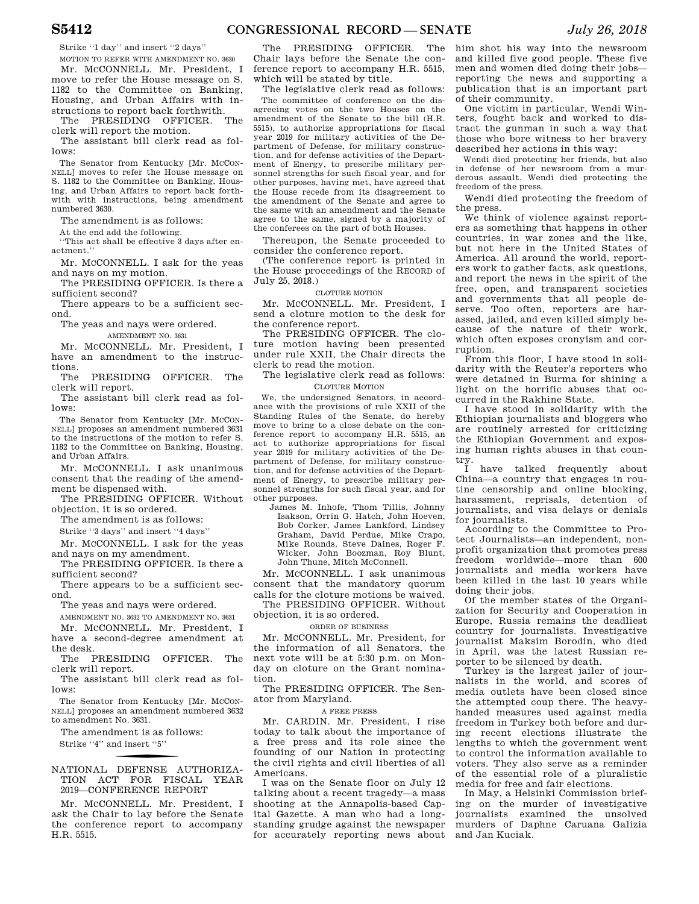Strike ''1 day'' and insert ''2 days''

MOTION TO REFER WITH AMENDMENT NO. 3630 Mr. MCCONNELL. Mr. President, I move to refer the House message on S. 1182 to the Committee on Banking, Housing, and Urban Affairs with instructions to report back forthwith.

The PRESIDING OFFICER. The clerk will report the motion.

The assistant bill clerk read as follows:

The Senator from Kentucky [Mr. MCCON-NELL] moves to refer the House message on S. 1182 to the Committee on Banking, Housing, and Urban Affairs to report back forthwith with instructions, being amendment numbered 3630.

The amendment is as follows:

At the end add the following.

''This act shall be effective 3 days after enactment.''

Mr. MCCONNELL. I ask for the yeas and nays on my motion.

The PRESIDING OFFICER. Is there a sufficient second?

There appears to be a sufficient second.

The yeas and nays were ordered.

AMENDMENT NO. 3631

Mr. MCCONNELL. Mr. President, I have an amendment to the instructions.

The PRESIDING OFFICER. The clerk will report.

The assistant bill clerk read as follows:

The Senator from Kentucky [Mr. McCoN-NELL] proposes an amendment numbered 3631 to the instructions of the motion to refer S. 1182 to the Committee on Banking, Housing, and Urban Affairs.

Mr. MCCONNELL. I ask unanimous consent that the reading of the amendment be dispensed with.

The PRESIDING OFFICER. Without objection, it is so ordered.

The amendment is as follows:

Strike ''3 days'' and insert ''4 days''

Mr. MCCONNELL. I ask for the yeas and nays on my amendment.

The PRESIDING OFFICER. Is there a sufficient second?

There appears to be a sufficient second.

The yeas and nays were ordered.

AMENDMENT NO. 3632 TO AMENDMENT NO. 3631 Mr. MCCONNELL. Mr. President, I have a second-degree amendment at

the desk. The PRESIDING OFFICER. The

clerk will report. The assistant bill clerk read as fol-

lows:

The Senator from Kentucky [Mr. MCCON-NELL] proposes an amendment numbered 3632 to amendment No. 3631.

The amendment is as follows: Strike "4" and insert "5"

f NATIONAL DEFENSE AUTHORIZA-TION ACT FOR FISCAL YEAR 2019—CONFERENCE REPORT

Mr. MCCONNELL. Mr. President, I ask the Chair to lay before the Senate the conference report to accompany H.R. 5515.

The PRESIDING OFFICER. The Chair lays before the Senate the conference report to accompany H.R. 5515, which will be stated by title.

The legislative clerk read as follows: The committee of conference on the disagreeing votes on the two Houses on the amendment of the Senate to the bill (H.R. 5515), to authorize appropriations for fiscal year 2019 for military activities of the Department of Defense, for military construction, and for defense activities of the Department of Energy, to prescribe military personnel strengths for such fiscal year, and for other purposes, having met, have agreed that the House recede from its disagreement to the amendment of the Senate and agree to the same with an amendment and the Senate agree to the same, signed by a majority of the conferees on the part of both Houses.

Thereupon, the Senate proceeded to consider the conference report.

(The conference report is printed in the House proceedings of the RECORD of July 25, 2018.)

CLOTURE MOTION

Mr. MCCONNELL. Mr. President, I send a cloture motion to the desk for the conference report.

The PRESIDING OFFICER. The cloture motion having been presented under rule XXII, the Chair directs the clerk to read the motion.

The legislative clerk read as follows: CLOTURE MOTION

We, the undersigned Senators, in accordance with the provisions of rule XXII of the Standing Rules of the Senate, do hereby move to bring to a close debate on the conference report to accompany H.R. 5515, an act to authorize appropriations for fiscal year 2019 for military activities of the Department of Defense, for military construction, and for defense activities of the Department of Energy, to prescribe military personnel strengths for such fiscal year, and for other purposes.

James M. Inhofe, Thom Tillis, Johnny Isakson, Orrin G. Hatch, John Hoeven, Bob Corker, James Lankford, Lindsey Graham, David Perdue, Mike Crapo, Mike Rounds, Steve Daines, Roger F. Wicker, John Boozman, Roy Blunt, John Thune, Mitch McConnell.

Mr. MCCONNELL. I ask unanimous consent that the mandatory quorum calls for the cloture motions be waived.

The PRESIDING OFFICER. Without objection, it is so ordered.

ORDER OF BUSINESS

Mr. MCCONNELL. Mr. President, for the information of all Senators, the next vote will be at 5:30 p.m. on Monday on cloture on the Grant nomination.

The PRESIDING OFFICER. The Senator from Maryland.

A FREE PRESS

Mr. CARDIN. Mr. President, I rise today to talk about the importance of a free press and its role since the founding of our Nation in protecting the civil rights and civil liberties of all Americans.

I was on the Senate floor on July 12 talking about a recent tragedy—a mass shooting at the Annapolis-based Capital Gazette. A man who had a longstanding grudge against the newspaper for accurately reporting news about

him shot his way into the newsroom and killed five good people. These five men and women died doing their jobs reporting the news and supporting a publication that is an important part of their community.

One victim in particular, Wendi Winters, fought back and worked to distract the gunman in such a way that those who bore witness to her bravery described her actions in this way:

Wendi died protecting her friends, but also in defense of her newsroom from a murderous assault. Wendi died protecting the freedom of the press.

Wendi died protecting the freedom of the press.

We think of violence against reporters as something that happens in other countries, in war zones and the like, but not here in the United States of America. All around the world, reporters work to gather facts, ask questions, and report the news in the spirit of the free, open, and transparent societies and governments that all people deserve. Too often, reporters are harassed, jailed, and even killed simply because of the nature of their work, which often exposes cronyism and corruption.

From this floor, I have stood in solidarity with the Reuter's reporters who were detained in Burma for shining a light on the horrific abuses that occurred in the Rakhine State.

I have stood in solidarity with the Ethiopian journalists and bloggers who are routinely arrested for criticizing the Ethiopian Government and exposing human rights abuses in that country.

I have talked frequently about China—a country that engages in routine censorship and online blocking, harassment, reprisals, detention of journalists, and visa delays or denials for journalists.

According to the Committee to Protect Journalists—an independent, nonprofit organization that promotes press freedom worldwide—more than 600 journalists and media workers have been killed in the last 10 years while doing their jobs.

Of the member states of the Organization for Security and Cooperation in Europe, Russia remains the deadliest country for journalists. Investigative journalist Maksim Borodin, who died in April, was the latest Russian reporter to be silenced by death.

Turkey is the largest jailer of journalists in the world, and scores of media outlets have been closed since the attempted coup there. The heavyhanded measures used against media freedom in Turkey both before and during recent elections illustrate the lengths to which the government went to control the information available to voters. They also serve as a reminder of the essential role of a pluralistic media for free and fair elections.

In May, a Helsinki Commission briefing on the murder of investigative journalists examined the unsolved murders of Daphne Caruana Galizia and Jan Kuciak.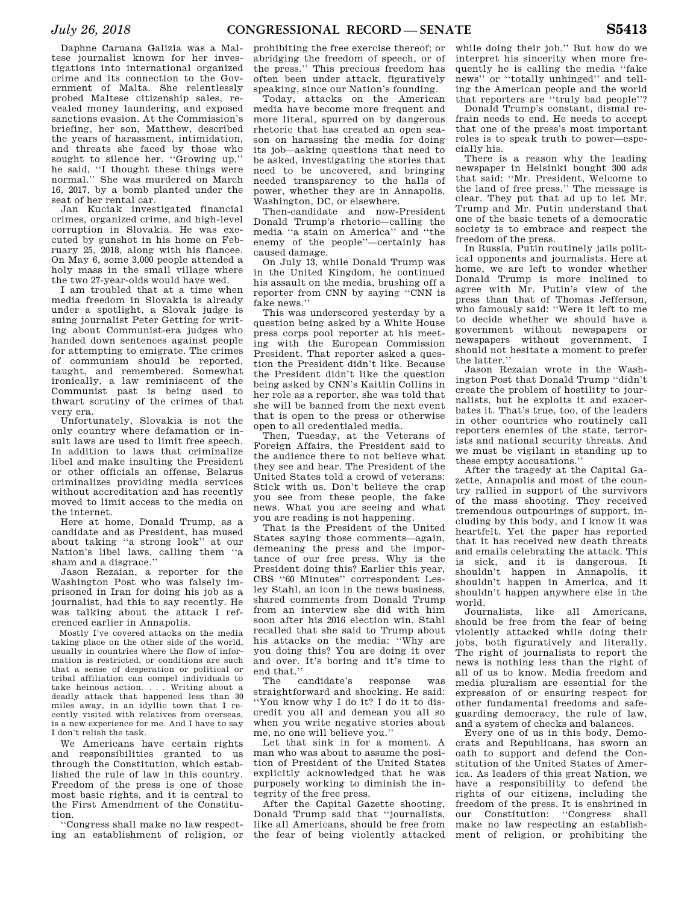Daphne Caruana Galizia was a Maltese journalist known for her investigations into international organized crime and its connection to the Government of Malta. She relentlessly probed Maltese citizenship sales, revealed money laundering, and exposed sanctions evasion. At the Commission's briefing, her son, Matthew, described the years of harassment, intimidation, and threats she faced by those who sought to silence her. ''Growing up,'' he said, ''I thought these things were normal.'' She was murdered on March 16, 2017, by a bomb planted under the seat of her rental car.

Jan Kuciak investigated financial crimes, organized crime, and high-level corruption in Slovakia. He was executed by gunshot in his home on February 25, 2018, along with his fiancee. On May 6, some 3,000 people attended a holy mass in the small village where the two 27-year-olds would have wed.

I am troubled that at a time when media freedom in Slovakia is already under a spotlight, a Slovak judge is suing journalist Peter Getting for writing about Communist-era judges who handed down sentences against people for attempting to emigrate. The crimes of communism should be reported, taught, and remembered. Somewhat ironically, a law reminiscent of the Communist past is being used to thwart scrutiny of the crimes of that very era.

Unfortunately, Slovakia is not the only country where defamation or insult laws are used to limit free speech. In addition to laws that criminalize libel and make insulting the President or other officials an offense, Belarus criminalizes providing media services without accreditation and has recently moved to limit access to the media on the internet.

Here at home, Donald Trump, as a candidate and as President, has mused about taking ''a strong look'' at our Nation's libel laws, calling them ''a sham and a disgrace.''

Jason Rezaian, a reporter for the Washington Post who was falsely imprisoned in Iran for doing his job as a journalist, had this to say recently. He was talking about the attack I referenced earlier in Annapolis.

Mostly I've covered attacks on the media taking place on the other side of the world, usually in countries where the flow of information is restricted, or conditions are such that a sense of desperation or political or tribal affiliation can compel individuals to take heinous action. . . . Writing about a deadly attack that happened less than 30 miles away, in an idyllic town that I re-cently visited with relatives from overseas, is a new experience for me. And I have to say I don't relish the task.

We Americans have certain rights and responsibilities granted to us through the Constitution, which established the rule of law in this country. Freedom of the press is one of those most basic rights, and it is central to the First Amendment of the Constitution.

''Congress shall make no law respecting an establishment of religion, or

prohibiting the free exercise thereof; or abridging the freedom of speech, or of the press.'' This precious freedom has often been under attack, figuratively speaking, since our Nation's founding.

Today, attacks on the American media have become more frequent and more literal, spurred on by dangerous rhetoric that has created an open season on harassing the media for doing its job—asking questions that need to be asked, investigating the stories that need to be uncovered, and bringing needed transparency to the halls of power, whether they are in Annapolis, Washington, DC, or elsewhere.

Then-candidate and now-President Donald Trump's rhetoric—calling the media ''a stain on America'' and ''the enemy of the people''—certainly has caused damage.

On July 13, while Donald Trump was in the United Kingdom, he continued his assault on the media, brushing off a reporter from CNN by saying ''CNN is fake news.''

This was underscored yesterday by a question being asked by a White House press corps pool reporter at his meeting with the European Commission President. That reporter asked a question the President didn't like. Because the President didn't like the question being asked by CNN's Kaitlin Collins in her role as a reporter, she was told that she will be banned from the next event that is open to the press or otherwise open to all credentialed media.

Then, Tuesday, at the Veterans of Foreign Affairs, the President said to the audience there to not believe what they see and hear. The President of the United States told a crowd of veterans: Stick with us. Don't believe the crap you see from these people, the fake news. What you are seeing and what you are reading is not happening.

That is the President of the United States saying those comments—again, demeaning the press and the importance of our free press. Why is the President doing this? Earlier this year, CBS ''60 Minutes'' correspondent Lesley Stahl, an icon in the news business, shared comments from Donald Trump from an interview she did with him soon after his 2016 election win. Stahl recalled that she said to Trump about his attacks on the media: ''Why are you doing this? You are doing it over and over. It's boring and it's time to end that.''

candidate's response was straightforward and shocking. He said: ''You know why I do it? I do it to discredit you all and demean you all so when you write negative stories about me, no one will believe you.''

Let that sink in for a moment. A man who was about to assume the position of President of the United States explicitly acknowledged that he was purposely working to diminish the integrity of the free press.

After the Capital Gazette shooting, Donald Trump said that ''journalists, like all Americans, should be free from the fear of being violently attacked

while doing their job.'' But how do we interpret his sincerity when more frequently he is calling the media ''fake news'' or ''totally unhinged'' and telling the American people and the world that reporters are ''truly bad people''?

Donald Trump's constant, dismal refrain needs to end. He needs to accept that one of the press's most important roles is to speak truth to power—especially his.

There is a reason why the leading newspaper in Helsinki bought 300 ads that said: ''Mr. President, Welcome to the land of free press.'' The message is clear. They put that ad up to let Mr. Trump and Mr. Putin understand that one of the basic tenets of a democratic society is to embrace and respect the freedom of the press.

In Russia, Putin routinely jails political opponents and journalists. Here at home, we are left to wonder whether Donald Trump is more inclined to agree with Mr. Putin's view of the press than that of Thomas Jefferson, who famously said: ''Were it left to me to decide whether we should have a government without newspapers or newspapers without government, I should not hesitate a moment to prefer the latter.''

Jason Rezaian wrote in the Washington Post that Donald Trump ''didn't create the problem of hostility to journalists, but he exploits it and exacerbates it. That's true, too, of the leaders in other countries who routinely call reporters enemies of the state, terrorists and national security threats. And we must be vigilant in standing up to these empty accusations.''

After the tragedy at the Capital Gazette, Annapolis and most of the country rallied in support of the survivors of the mass shooting. They received tremendous outpourings of support, including by this body, and I know it was heartfelt. Yet the paper has reported that it has received new death threats and emails celebrating the attack. This is sick, and it is dangerous. It shouldn't happen in Annapolis, it shouldn't happen in America, and it shouldn't happen anywhere else in the world.

Journalists, like all Americans, should be free from the fear of being violently attacked while doing their jobs, both figuratively and literally. The right of journalists to report the news is nothing less than the right of all of us to know. Media freedom and media pluralism are essential for the expression of or ensuring respect for other fundamental freedoms and safeguarding democracy, the rule of law, and a system of checks and balances.

Every one of us in this body, Democrats and Republicans, has sworn an oath to support and defend the Constitution of the United States of America. As leaders of this great Nation, we have a responsibility to defend the rights of our citizens, including the freedom of the press. It is enshrined in our Constitution: ''Congress shall make no law respecting an establishment of religion, or prohibiting the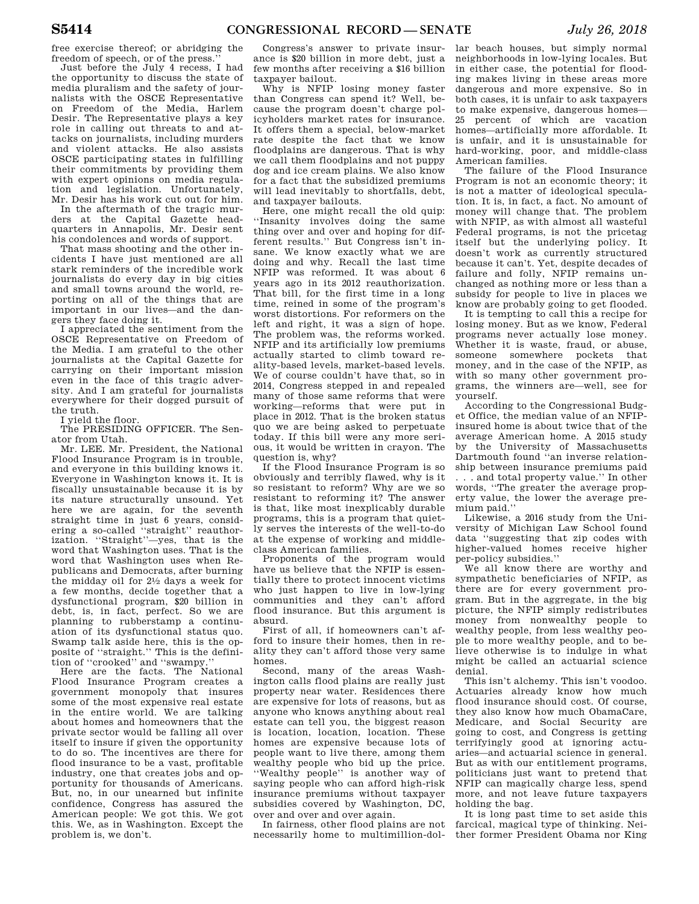free exercise thereof; or abridging the freedom of speech, or of the press.''

Just before the July 4 recess, I had the opportunity to discuss the state of media pluralism and the safety of journalists with the OSCE Representative on Freedom of the Media, Harlem Desir. The Representative plays a key role in calling out threats to and attacks on journalists, including murders and violent attacks. He also assists OSCE participating states in fulfilling their commitments by providing them with expert opinions on media regulation and legislation. Unfortunately, Mr. Desir has his work cut out for him.

In the aftermath of the tragic murders at the Capital Gazette headquarters in Annapolis, Mr. Desir sent his condolences and words of support.

That mass shooting and the other incidents I have just mentioned are all stark reminders of the incredible work journalists do every day in big cities and small towns around the world, reporting on all of the things that are important in our lives—and the dangers they face doing it.

I appreciated the sentiment from the OSCE Representative on Freedom of the Media. I am grateful to the other journalists at the Capital Gazette for carrying on their important mission even in the face of this tragic adversity. And I am grateful for journalists everywhere for their dogged pursuit of the truth.

I yield the floor.

The PRESIDING OFFICER. The Senator from Utah.

Mr. LEE. Mr. President, the National Flood Insurance Program is in trouble, and everyone in this building knows it. Everyone in Washington knows it. It is fiscally unsustainable because it is by its nature structurally unsound. Yet here we are again, for the seventh straight time in just 6 years, considering a so-called ''straight'' reauthorization. ''Straight''—yes, that is the word that Washington uses. That is the word that Washington uses when Republicans and Democrats, after burning the midday oil for 21⁄2 days a week for a few months, decide together that a dysfunctional program, \$20 billion in debt, is, in fact, perfect. So we are planning to rubberstamp a continuation of its dysfunctional status quo. Swamp talk aside here, this is the opposite of ''straight.'' This is the definition of ''crooked'' and ''swampy.''

Here are the facts. The National Flood Insurance Program creates a government monopoly that insures some of the most expensive real estate in the entire world. We are talking about homes and homeowners that the private sector would be falling all over itself to insure if given the opportunity to do so. The incentives are there for flood insurance to be a vast, profitable industry, one that creates jobs and opportunity for thousands of Americans. But, no, in our unearned but infinite confidence, Congress has assured the American people: We got this. We got this. We, as in Washington. Except the problem is, we don't.

Congress's answer to private insurance is \$20 billion in more debt, just a few months after receiving a \$16 billion taxpayer bailout.

Why is NFIP losing money faster than Congress can spend it? Well, because the program doesn't charge policyholders market rates for insurance. It offers them a special, below-market rate despite the fact that we know floodplains are dangerous. That is why we call them floodplains and not puppy dog and ice cream plains. We also know for a fact that the subsidized premiums will lead inevitably to shortfalls, debt, and taxpayer bailouts.

Here, one might recall the old quip: ''Insanity involves doing the same thing over and over and hoping for different results.'' But Congress isn't insane. We know exactly what we are doing and why. Recall the last time NFIP was reformed. It was about 6 years ago in its 2012 reauthorization. That bill, for the first time in a long time, reined in some of the program's worst distortions. For reformers on the left and right, it was a sign of hope. The problem was, the reforms worked. NFIP and its artificially low premiums actually started to climb toward reality-based levels, market-based levels. We of course couldn't have that, so in 2014, Congress stepped in and repealed many of those same reforms that were working—reforms that were put in place in 2012. That is the broken status quo we are being asked to perpetuate today. If this bill were any more serious, it would be written in crayon. The question is, why?

If the Flood Insurance Program is so obviously and terribly flawed, why is it so resistant to reform? Why are we so resistant to reforming it? The answer is that, like most inexplicably durable programs, this is a program that quietly serves the interests of the well-to-do at the expense of working and middleclass American families.

Proponents of the program would have us believe that the NFIP is essentially there to protect innocent victims who just happen to live in low-lying communities and they can't afford flood insurance. But this argument is absurd.

First of all, if homeowners can't afford to insure their homes, then in reality they can't afford those very same homes.

Second, many of the areas Washington calls flood plains are really just property near water. Residences there are expensive for lots of reasons, but as anyone who knows anything about real estate can tell you, the biggest reason is location, location, location. These homes are expensive because lots of people want to live there, among them wealthy people who bid up the price. ''Wealthy people'' is another way of saying people who can afford high-risk insurance premiums without taxpayer subsidies covered by Washington, DC, over and over and over again.

In fairness, other flood plains are not necessarily home to multimillion-dol-ther former President Obama nor King

lar beach houses, but simply normal neighborhoods in low-lying locales. But in either case, the potential for flooding makes living in these areas more dangerous and more expensive. So in both cases, it is unfair to ask taxpayers to make expensive, dangerous homes— 25 percent of which are vacation homes—artificially more affordable. It is unfair, and it is unsustainable for hard-working, poor, and middle-class American families.

The failure of the Flood Insurance Program is not an economic theory; it is not a matter of ideological speculation. It is, in fact, a fact. No amount of money will change that. The problem with NFIP, as with almost all wasteful Federal programs, is not the pricetag itself but the underlying policy. It doesn't work as currently structured because it can't. Yet, despite decades of failure and folly, NFIP remains unchanged as nothing more or less than a subsidy for people to live in places we know are probably going to get flooded.

It is tempting to call this a recipe for losing money. But as we know, Federal programs never actually lose money. Whether it is waste, fraud, or abuse, someone somewhere pockets that money, and in the case of the NFIP, as with so many other government programs, the winners are—well, see for yourself.

According to the Congressional Budget Office, the median value of an NFIPinsured home is about twice that of the average American home. A 2015 study by the University of Massachusetts Dartmouth found ''an inverse relationship between insurance premiums paid

. . . and total property value.'' In other words, ''The greater the average property value, the lower the average premium paid.''

Likewise, a 2016 study from the University of Michigan Law School found data ''suggesting that zip codes with higher-valued homes receive higher per-policy subsidies.''

We all know there are worthy and sympathetic beneficiaries of NFIP, as there are for every government program. But in the aggregate, in the big picture, the NFIP simply redistributes money from nonwealthy people to wealthy people, from less wealthy people to more wealthy people, and to believe otherwise is to indulge in what might be called an actuarial science denial.

This isn't alchemy. This isn't voodoo. Actuaries already know how much flood insurance should cost. Of course, they also know how much ObamaCare, Medicare, and Social Security are going to cost, and Congress is getting terrifyingly good at ignoring actuaries—and actuarial science in general. But as with our entitlement programs, politicians just want to pretend that NFIP can magically charge less, spend more, and not leave future taxpayers holding the bag.

It is long past time to set aside this farcical, magical type of thinking. Nei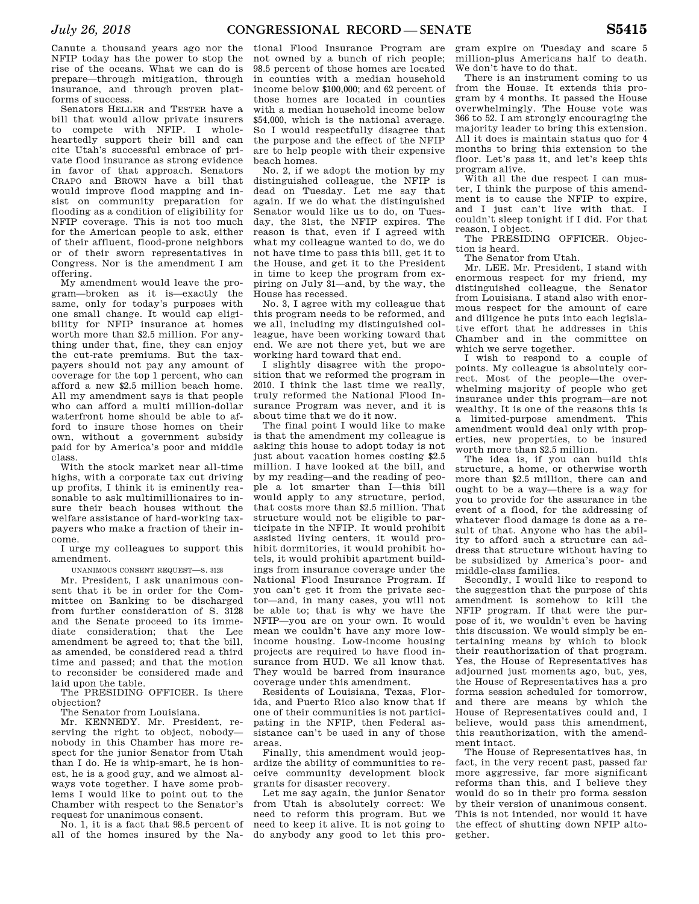Canute a thousand years ago nor the NFIP today has the power to stop the rise of the oceans. What we can do is prepare—through mitigation, through insurance, and through proven platforms of success.

Senators HELLER and TESTER have a bill that would allow private insurers to compete with NFIP. I wholeheartedly support their bill and can cite Utah's successful embrace of private flood insurance as strong evidence in favor of that approach. Senators CRAPO and BROWN have a bill that would improve flood mapping and insist on community preparation for flooding as a condition of eligibility for NFIP coverage. This is not too much for the American people to ask, either of their affluent, flood-prone neighbors or of their sworn representatives in Congress. Nor is the amendment I am offering.

My amendment would leave the program—broken as it is—exactly the same, only for today's purposes with one small change. It would cap eligibility for NFIP insurance at homes worth more than \$2.5 million. For anything under that, fine, they can enjoy the cut-rate premiums. But the taxpayers should not pay any amount of coverage for the top 1 percent, who can afford a new \$2.5 million beach home. All my amendment says is that people who can afford a multi million-dollar waterfront home should be able to afford to insure those homes on their own, without a government subsidy paid for by America's poor and middle class.

With the stock market near all-time highs, with a corporate tax cut driving up profits, I think it is eminently reasonable to ask multimillionaires to insure their beach houses without the welfare assistance of hard-working taxpayers who make a fraction of their income.

I urge my colleagues to support this amendment.

UNANIMOUS CONSENT REQUEST—S. 3128

Mr. President, I ask unanimous consent that it be in order for the Committee on Banking to be discharged from further consideration of S. 3128 and the Senate proceed to its immediate consideration; that the Lee amendment be agreed to; that the bill, as amended, be considered read a third time and passed; and that the motion to reconsider be considered made and laid upon the table.

The PRESIDING OFFICER. Is there objection?

The Senator from Louisiana.

Mr. KENNEDY. Mr. President, reserving the right to object, nobody nobody in this Chamber has more respect for the junior Senator from Utah than I do. He is whip-smart, he is honest, he is a good guy, and we almost always vote together. I have some problems I would like to point out to the Chamber with respect to the Senator's request for unanimous consent.

No. 1, it is a fact that 98.5 percent of all of the homes insured by the Na-

tional Flood Insurance Program are not owned by a bunch of rich people; 98.5 percent of those homes are located in counties with a median household income below \$100,000; and 62 percent of those homes are located in counties with a median household income below \$54,000, which is the national average. So I would respectfully disagree that the purpose and the effect of the NFIP are to help people with their expensive beach homes.

No. 2, if we adopt the motion by my distinguished colleague, the NFIP is dead on Tuesday. Let me say that again. If we do what the distinguished Senator would like us to do, on Tuesday, the 31st, the NFIP expires. The reason is that, even if I agreed with what my colleague wanted to do, we do not have time to pass this bill, get it to the House, and get it to the President in time to keep the program from expiring on July 31—and, by the way, the House has recessed.

No. 3, I agree with my colleague that this program needs to be reformed, and we all, including my distinguished colleague, have been working toward that end. We are not there yet, but we are working hard toward that end.

I slightly disagree with the proposition that we reformed the program in 2010. I think the last time we really, truly reformed the National Flood Insurance Program was never, and it is about time that we do it now.

The final point I would like to make is that the amendment my colleague is asking this house to adopt today is not just about vacation homes costing \$2.5 million. I have looked at the bill, and by my reading—and the reading of people a lot smarter than I—this bill would apply to any structure, period, that costs more than \$2.5 million. That structure would not be eligible to participate in the NFIP. It would prohibit assisted living centers, it would prohibit dormitories, it would prohibit hotels, it would prohibit apartment buildings from insurance coverage under the National Flood Insurance Program. If you can't get it from the private sector—and, in many cases, you will not be able to; that is why we have the NFIP—you are on your own. It would mean we couldn't have any more lowincome housing. Low-income housing projects are required to have flood insurance from HUD. We all know that. They would be barred from insurance coverage under this amendment.

Residents of Louisiana, Texas, Florida, and Puerto Rico also know that if one of their communities is not participating in the NFIP, then Federal assistance can't be used in any of those areas.

Finally, this amendment would jeopardize the ability of communities to receive community development block grants for disaster recovery.

Let me say again, the junior Senator from Utah is absolutely correct: We need to reform this program. But we need to keep it alive. It is not going to do anybody any good to let this pro-

gram expire on Tuesday and scare 5 million-plus Americans half to death. We don't have to do that.

There is an instrument coming to us from the House. It extends this program by 4 months. It passed the House overwhelmingly. The House vote was 366 to 52. I am strongly encouraging the majority leader to bring this extension. All it does is maintain status quo for 4 months to bring this extension to the floor. Let's pass it, and let's keep this program alive.

With all the due respect I can muster, I think the purpose of this amendment is to cause the NFIP to expire, and I just can't live with that. I couldn't sleep tonight if I did. For that reason, I object.

The PRESIDING OFFICER. Objection is heard.

The Senator from Utah.

Mr. LEE. Mr. President, I stand with enormous respect for my friend, my distinguished colleague, the Senator from Louisiana. I stand also with enormous respect for the amount of care and diligence he puts into each legislative effort that he addresses in this Chamber and in the committee on which we serve together.

I wish to respond to a couple of points. My colleague is absolutely correct. Most of the people—the overwhelming majority of people who get insurance under this program—are not wealthy. It is one of the reasons this is a limited-purpose amendment. This amendment would deal only with properties, new properties, to be insured worth more than \$2.5 million.

The idea is, if you can build this structure, a home, or otherwise worth more than \$2.5 million, there can and ought to be a way—there is a way for you to provide for the assurance in the event of a flood, for the addressing of whatever flood damage is done as a result of that. Anyone who has the ability to afford such a structure can address that structure without having to be subsidized by America's poor- and middle-class families.

Secondly, I would like to respond to the suggestion that the purpose of this amendment is somehow to kill the NFIP program. If that were the purpose of it, we wouldn't even be having this discussion. We would simply be entertaining means by which to block their reauthorization of that program. Yes, the House of Representatives has adjourned just moments ago, but, yes, the House of Representatives has a pro forma session scheduled for tomorrow, and there are means by which the House of Representatives could and, I believe, would pass this amendment, this reauthorization, with the amendment intact.

The House of Representatives has, in fact, in the very recent past, passed far more aggressive, far more significant reforms than this, and I believe they would do so in their pro forma session by their version of unanimous consent. This is not intended, nor would it have the effect of shutting down NFIP altogether.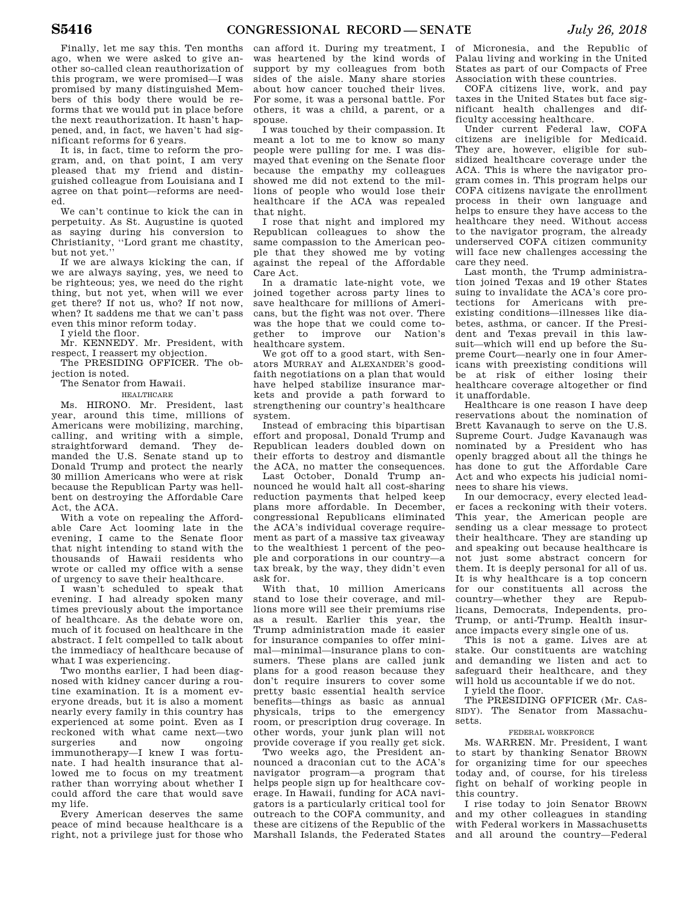Finally, let me say this. Ten months ago, when we were asked to give another so-called clean reauthorization of this program, we were promised—I was promised by many distinguished Members of this body there would be reforms that we would put in place before the next reauthorization. It hasn't happened, and, in fact, we haven't had significant reforms for 6 years.

It is, in fact, time to reform the program, and, on that point, I am very pleased that my friend and distinguished colleague from Louisiana and I agree on that point—reforms are needed.

We can't continue to kick the can in perpetuity. As St. Augustine is quoted as saying during his conversion to Christianity, ''Lord grant me chastity, but not yet.''

If we are always kicking the can, if we are always saying, yes, we need to be righteous; yes, we need do the right thing, but not yet, when will we ever get there? If not us, who? If not now, when? It saddens me that we can't pass even this minor reform today.

I yield the floor.

Mr. KENNEDY. Mr. President, with respect, I reassert my objection.

The PRESIDING OFFICER. The objection is noted.

The Senator from Hawaii.

### HEALTHCARE

Ms. HIRONO. Mr. President, last year, around this time, millions of Americans were mobilizing, marching, calling, and writing with a simple, straightforward demand. They demanded the U.S. Senate stand up to Donald Trump and protect the nearly 30 million Americans who were at risk because the Republican Party was hellbent on destroying the Affordable Care Act, the ACA.

With a vote on repealing the Affordable Care Act looming late in the evening, I came to the Senate floor that night intending to stand with the thousands of Hawaii residents who wrote or called my office with a sense of urgency to save their healthcare.

I wasn't scheduled to speak that evening. I had already spoken many times previously about the importance of healthcare. As the debate wore on, much of it focused on healthcare in the abstract. I felt compelled to talk about the immediacy of healthcare because of what I was experiencing.

Two months earlier, I had been diagnosed with kidney cancer during a routine examination. It is a moment everyone dreads, but it is also a moment nearly every family in this country has experienced at some point. Even as I reckoned with what came next—two surgeries and now ongoing immunotherapy—I knew I was fortunate. I had health insurance that allowed me to focus on my treatment rather than worrying about whether I could afford the care that would save my life.

Every American deserves the same peace of mind because healthcare is a right, not a privilege just for those who

can afford it. During my treatment, I was heartened by the kind words of support by my colleagues from both sides of the aisle. Many share stories about how cancer touched their lives. For some, it was a personal battle. For others, it was a child, a parent, or a spouse.

I was touched by their compassion. It meant a lot to me to know so many people were pulling for me. I was dismayed that evening on the Senate floor because the empathy my colleagues showed me did not extend to the millions of people who would lose their healthcare if the ACA was repealed that night.

I rose that night and implored my Republican colleagues to show the same compassion to the American people that they showed me by voting against the repeal of the Affordable Care Act.

In a dramatic late-night vote, we joined together across party lines to save healthcare for millions of Americans, but the fight was not over. There was the hope that we could come together to improve our Nation's healthcare system.

We got off to a good start, with Senators MURRAY and ALEXANDER'S goodfaith negotiations on a plan that would have helped stabilize insurance markets and provide a path forward to strengthening our country's healthcare system.

Instead of embracing this bipartisan effort and proposal, Donald Trump and Republican leaders doubled down on their efforts to destroy and dismantle the ACA, no matter the consequences.

Last October, Donald Trump announced he would halt all cost-sharing reduction payments that helped keep plans more affordable. In December, congressional Republicans eliminated the ACA's individual coverage requirement as part of a massive tax giveaway to the wealthiest 1 percent of the people and corporations in our country—a tax break, by the way, they didn't even ask for.

With that, 10 million Americans stand to lose their coverage, and millions more will see their premiums rise as a result. Earlier this year, the Trump administration made it easier for insurance companies to offer minimal—minimal—insurance plans to consumers. These plans are called junk plans for a good reason because they don't require insurers to cover some pretty basic essential health service benefits—things as basic as annual physicals, trips to the emergency room, or prescription drug coverage. In other words, your junk plan will not provide coverage if you really get sick.

Two weeks ago, the President announced a draconian cut to the ACA's navigator program—a program that helps people sign up for healthcare coverage. In Hawaii, funding for ACA navigators is a particularly critical tool for outreach to the COFA community, and these are citizens of the Republic of the Marshall Islands, the Federated States

of Micronesia, and the Republic of Palau living and working in the United States as part of our Compacts of Free Association with these countries.

COFA citizens live, work, and pay taxes in the United States but face significant health challenges and difficulty accessing healthcare.

Under current Federal law, COFA citizens are ineligible for Medicaid. They are, however, eligible for subsidized healthcare coverage under the ACA. This is where the navigator program comes in. This program helps our COFA citizens navigate the enrollment process in their own language and helps to ensure they have access to the healthcare they need. Without access to the navigator program, the already underserved COFA citizen community will face new challenges accessing the care they need.

Last month, the Trump administration joined Texas and 19 other States suing to invalidate the ACA's core protections for Americans with preexisting conditions—illnesses like diabetes, asthma, or cancer. If the President and Texas prevail in this lawsuit—which will end up before the Supreme Court—nearly one in four Americans with preexisting conditions will be at risk of either losing their healthcare coverage altogether or find it unaffordable.

Healthcare is one reason I have deep reservations about the nomination of Brett Kavanaugh to serve on the U.S. Supreme Court. Judge Kavanaugh was nominated by a President who has openly bragged about all the things he has done to gut the Affordable Care Act and who expects his judicial nominees to share his views.

In our democracy, every elected leader faces a reckoning with their voters. This year, the American people are sending us a clear message to protect their healthcare. They are standing up and speaking out because healthcare is not just some abstract concern for them. It is deeply personal for all of us. It is why healthcare is a top concern for our constituents all across the country—whether they are Republicans, Democrats, Independents, pro-Trump, or anti-Trump. Health insurance impacts every single one of us.

This is not a game. Lives are at stake. Our constituents are watching and demanding we listen and act to safeguard their healthcare, and they will hold us accountable if we do not.

I yield the floor.

The PRESIDING OFFICER (Mr. CAS-SIDY). The Senator from Massachusetts.

### FEDERAL WORKFORCE

Ms. WARREN. Mr. President, I want to start by thanking Senator BROWN for organizing time for our speeches today and, of course, for his tireless fight on behalf of working people in this country.

I rise today to join Senator BROWN and my other colleagues in standing with Federal workers in Massachusetts and all around the country—Federal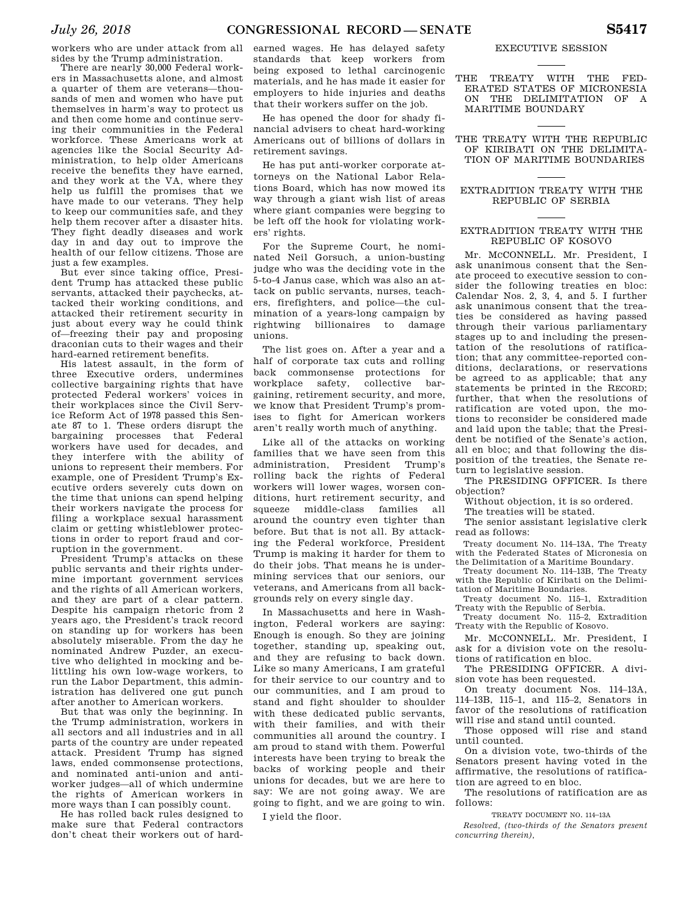workers who are under attack from all sides by the Trump administration.

There are nearly 30,000 Federal workers in Massachusetts alone, and almost a quarter of them are veterans—thousands of men and women who have put themselves in harm's way to protect us and then come home and continue serving their communities in the Federal workforce. These Americans work at agencies like the Social Security Administration, to help older Americans receive the benefits they have earned, and they work at the VA, where they help us fulfill the promises that we have made to our veterans. They help to keep our communities safe, and they help them recover after a disaster hits. They fight deadly diseases and work day in and day out to improve the health of our fellow citizens. Those are just a few examples.

But ever since taking office, President Trump has attacked these public servants, attacked their paychecks, attacked their working conditions, and attacked their retirement security in just about every way he could think of—freezing their pay and proposing draconian cuts to their wages and their hard-earned retirement benefits.

His latest assault, in the form of three Executive orders, undermines collective bargaining rights that have protected Federal workers' voices in their workplaces since the Civil Service Reform Act of 1978 passed this Senate 87 to 1. These orders disrupt the bargaining processes that Federal workers have used for decades, and they interfere with the ability of unions to represent their members. For example, one of President Trump's Executive orders severely cuts down on the time that unions can spend helping their workers navigate the process for filing a workplace sexual harassment claim or getting whistleblower protections in order to report fraud and corruption in the government.

President Trump's attacks on these public servants and their rights undermine important government services and the rights of all American workers, and they are part of a clear pattern. Despite his campaign rhetoric from 2 years ago, the President's track record on standing up for workers has been absolutely miserable. From the day he nominated Andrew Puzder, an executive who delighted in mocking and belittling his own low-wage workers, to run the Labor Department, this administration has delivered one gut punch after another to American workers.

But that was only the beginning. In the Trump administration, workers in all sectors and all industries and in all parts of the country are under repeated attack. President Trump has signed laws, ended commonsense protections, and nominated anti-union and antiworker judges—all of which undermine the rights of American workers in more ways than I can possibly count.

He has rolled back rules designed to make sure that Federal contractors don't cheat their workers out of hardearned wages. He has delayed safety standards that keep workers from being exposed to lethal carcinogenic materials, and he has made it easier for employers to hide injuries and deaths that their workers suffer on the job.

He has opened the door for shady financial advisers to cheat hard-working Americans out of billions of dollars in retirement savings.

He has put anti-worker corporate attorneys on the National Labor Relations Board, which has now mowed its way through a giant wish list of areas where giant companies were begging to be left off the hook for violating workers' rights.

For the Supreme Court, he nominated Neil Gorsuch, a union-busting judge who was the deciding vote in the 5-to-4 Janus case, which was also an attack on public servants, nurses, teachers, firefighters, and police—the culmination of a years-long campaign by rightwing billionaires to damage unions.

The list goes on. After a year and a half of corporate tax cuts and rolling back commonsense protections for workplace safety, collective bargaining, retirement security, and more, we know that President Trump's promises to fight for American workers aren't really worth much of anything.

Like all of the attacks on working families that we have seen from this administration, President Trump's rolling back the rights of Federal workers will lower wages, worsen conditions, hurt retirement security, and squeeze middle-class families all around the country even tighter than before. But that is not all. By attacking the Federal workforce, President Trump is making it harder for them to do their jobs. That means he is undermining services that our seniors, our veterans, and Americans from all backgrounds rely on every single day.

In Massachusetts and here in Washington, Federal workers are saying: Enough is enough. So they are joining together, standing up, speaking out, and they are refusing to back down. Like so many Americans, I am grateful for their service to our country and to our communities, and I am proud to stand and fight shoulder to shoulder with these dedicated public servants, with their families, and with their communities all around the country. I am proud to stand with them. Powerful interests have been trying to break the backs of working people and their unions for decades, but we are here to say: We are not going away. We are going to fight, and we are going to win.

I yield the floor.

### EXECUTIVE SESSION

THE TREATY WITH THE FED-ERATED STATES OF MICRONESIA ON THE DELIMITATION OF A MARITIME BOUNDARY

THE TREATY WITH THE REPUBLIC OF KIRIBATI ON THE DELIMITA-TION OF MARITIME BOUNDARIES

### EXTRADITION TREATY WITH THE REPUBLIC OF SERBIA

### EXTRADITION TREATY WITH THE REPUBLIC OF KOSOVO

Mr. MCCONNELL. Mr. President, I ask unanimous consent that the Senate proceed to executive session to consider the following treaties en bloc: Calendar Nos. 2, 3, 4, and 5. I further ask unanimous consent that the treaties be considered as having passed through their various parliamentary stages up to and including the presentation of the resolutions of ratification; that any committee-reported conditions, declarations, or reservations be agreed to as applicable; that any statements be printed in the RECORD; further, that when the resolutions of ratification are voted upon, the motions to reconsider be considered made and laid upon the table; that the President be notified of the Senate's action, all en bloc; and that following the disposition of the treaties, the Senate return to legislative session.

The PRESIDING OFFICER. Is there objection?

Without objection, it is so ordered.

The treaties will be stated.

The senior assistant legislative clerk read as follows:

Treaty document No. 114–13A, The Treaty with the Federated States of Micronesia on the Delimitation of a Maritime Boundary.

Treaty document No. 114–13B, The Treaty with the Republic of Kiribati on the Delimitation of Maritime Boundaries.

Treaty document No. 115–1, Extradition Treaty with the Republic of Serbia.

Treaty document No. 115–2, Extradition Treaty with the Republic of Kosovo.

Mr. McCONNELL. Mr. President, I ask for a division vote on the resolutions of ratification en bloc.

The PRESIDING OFFICER. A division vote has been requested.

On treaty document Nos. 114–13A, 114–13B, 115–1, and 115–2, Senators in favor of the resolutions of ratification will rise and stand until counted.

Those opposed will rise and stand until counted.

On a division vote, two-thirds of the Senators present having voted in the affirmative, the resolutions of ratification are agreed to en bloc.

The resolutions of ratification are as follows:

TREATY DOCUMENT NO. 114–13A *Resolved, (two-thirds of the Senators present concurring therein),*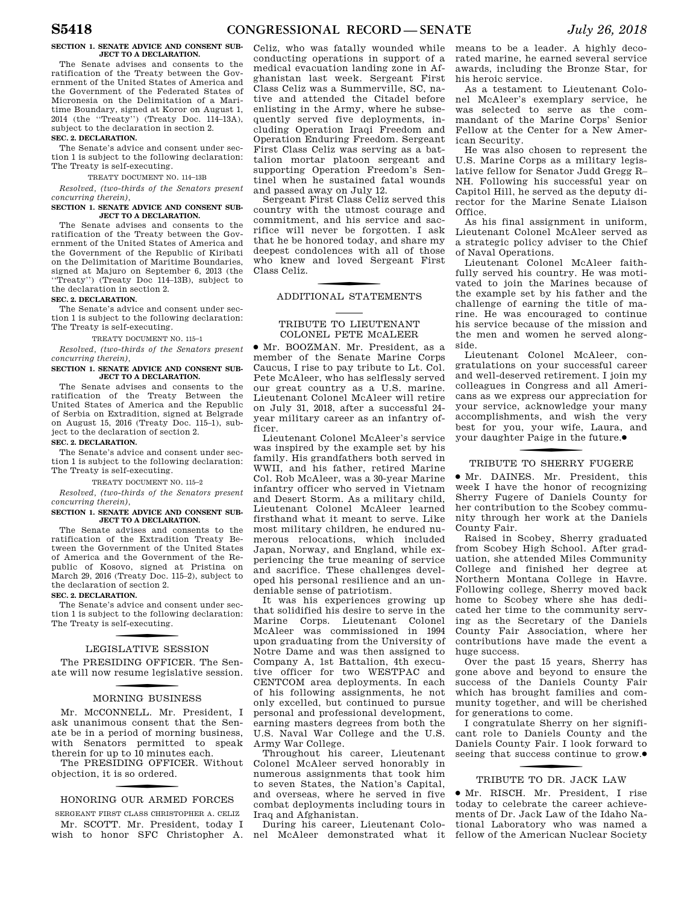### **SECTION 1. SENATE ADVICE AND CONSENT SUB-JECT TO A DECLARATION.**

The Senate advises and consents to the ratification of the Treaty between the Government of the United States of America and the Government of the Federated States of Micronesia on the Delimitation of a Maritime Boundary, signed at Koror on August 1, 2014 (the ''Treaty'') (Treaty Doc. 114–13A), subject to the declaration in section 2.

### **SEC. 2. DECLARATION.**

The Senate's advice and consent under section 1 is subject to the following declaration: The Treaty is self-executing.

### TREATY DOCUMENT NO. 114–13B

*Resolved, (two-thirds of the Senators present concurring therein),* 

### **SECTION 1. SENATE ADVICE AND CONSENT SUB-JECT TO A DECLARATION.**

The Senate advises and consents to the ratification of the Treaty between the Government of the United States of America and the Government of the Republic of Kiribati on the Delimitation of Maritime Boundaries, signed at Majuro on September 6, 2013 (the ''Treaty'') (Treaty Doc 114–13B), subject to the declaration in section 2.

### **SEC. 2. DECLARATION.**

The Senate's advice and consent under section 1 is subject to the following declaration: The Treaty is self-executing.

### TREATY DOCUMENT NO. 115–1

*Resolved, (two-thirds of the Senators present concurring therein),* 

### **SECTION 1. SENATE ADVICE AND CONSENT SUB-JECT TO A DECLARATION.**

The Senate advises and consents to the ratification of the Treaty Between the United States of America and the Republic of Serbia on Extradition, signed at Belgrade on August 15, 2016 (Treaty Doc. 115–1), subject to the declaration of section 2.

### **SEC. 2. DECLARATION.**

The Senate's advice and consent under section 1 is subject to the following declaration: The Treaty is self-executing.

### TREATY DOCUMENT NO. 115–2

*Resolved, (two-thirds of the Senators present concurring therein),* 

### **SECTION 1. SENATE ADVICE AND CONSENT SUB-JECT TO A DECLARATION.**

The Senate advises and consents to the ratification of the Extradition Treaty Between the Government of the United States of America and the Government of the Republic of Kosovo, signed at Pristina on March 29, 2016 (Treaty Doc. 115–2), subject to the declaration of section 2.

### **SEC. 2. DECLARATION.**

The Senate's advice and consent under section 1 is subject to the following declaration: The Treaty is self-executing.

# f LEGISLATIVE SESSION

The PRESIDING OFFICER. The Senate will now resume legislative session.

# f MORNING BUSINESS

Mr. MCCONNELL. Mr. President, I ask unanimous consent that the Senate be in a period of morning business, with Senators permitted to speak therein for up to 10 minutes each.

The PRESIDING OFFICER. Without objection, it is so ordered.

# f HONORING OUR ARMED FORCES

SERGEANT FIRST CLASS CHRISTOPHER A. CELIZ Mr. SCOTT. Mr. President, today I

Celiz, who was fatally wounded while conducting operations in support of a medical evacuation landing zone in Afghanistan last week. Sergeant First Class Celiz was a Summerville, SC, native and attended the Citadel before enlisting in the Army, where he subsequently served five deployments, including Operation Iraqi Freedom and Operation Enduring Freedom. Sergeant First Class Celiz was serving as a battalion mortar platoon sergeant and supporting Operation Freedom's Sentinel when he sustained fatal wounds and passed away on July 12.

Sergeant First Class Celiz served this country with the utmost courage and commitment, and his service and sacrifice will never be forgotten. I ask that he be honored today, and share my deepest condolences with all of those who knew and loved Sergeant First Class Celiz.

# f ADDITIONAL STATEMENTS

### TRIBUTE TO LIEUTENANT COLONEL PETE MCALEER

∑ Mr. BOOZMAN. Mr. President, as a member of the Senate Marine Corps Caucus, I rise to pay tribute to Lt. Col. Pete McAleer, who has selflessly served our great country as a U.S. marine. Lieutenant Colonel McAleer will retire on July 31, 2018, after a successful 24 year military career as an infantry officer.

Lieutenant Colonel McAleer's service was inspired by the example set by his family. His grandfathers both served in WWII, and his father, retired Marine Col. Rob McAleer, was a 30-year Marine infantry officer who served in Vietnam and Desert Storm. As a military child, Lieutenant Colonel McAleer learned firsthand what it meant to serve. Like most military children, he endured numerous relocations, which included Japan, Norway, and England, while experiencing the true meaning of service and sacrifice. These challenges developed his personal resilience and an undeniable sense of patriotism.

It was his experiences growing up that solidified his desire to serve in the Marine Corps. Lieutenant Colonel McAleer was commissioned in 1994 upon graduating from the University of Notre Dame and was then assigned to Company A, 1st Battalion, 4th executive officer for two WESTPAC and CENTCOM area deployments. In each of his following assignments, he not only excelled, but continued to pursue personal and professional development, earning masters degrees from both the U.S. Naval War College and the U.S. Army War College.

Throughout his career, Lieutenant Colonel McAleer served honorably in numerous assignments that took him to seven States, the Nation's Capital, and overseas, where he served in five combat deployments including tours in Iraq and Afghanistan.

During his career, Lieutenant Colo-

means to be a leader. A highly decorated marine, he earned several service awards, including the Bronze Star, for his heroic service.

As a testament to Lieutenant Colonel McAleer's exemplary service, he was selected to serve as the commandant of the Marine Corps' Senior Fellow at the Center for a New American Security.

He was also chosen to represent the U.S. Marine Corps as a military legislative fellow for Senator Judd Gregg R– NH. Following his successful year on Capitol Hill, he served as the deputy director for the Marine Senate Liaison Office.

As his final assignment in uniform, Lieutenant Colonel McAleer served as a strategic policy adviser to the Chief of Naval Operations.

Lieutenant Colonel McAleer faithfully served his country. He was motivated to join the Marines because of the example set by his father and the challenge of earning the title of marine. He was encouraged to continue his service because of the mission and the men and women he served alongside.

Lieutenant Colonel McAleer, congratulations on your successful career and well-deserved retirement. I join my colleagues in Congress and all Americans as we express our appreciation for your service, acknowledge your many accomplishments, and wish the very best for you, your wife, Laura, and your daughter Paige in the future. ∑

# f TRIBUTE TO SHERRY FUGERE

∑ Mr. DAINES. Mr. President, this week I have the honor of recognizing Sherry Fugere of Daniels County for her contribution to the Scobey community through her work at the Daniels County Fair.

Raised in Scobey, Sherry graduated from Scobey High School. After graduation, she attended Miles Community College and finished her degree at Northern Montana College in Havre. Following college, Sherry moved back home to Scobey where she has dedicated her time to the community serving as the Secretary of the Daniels County Fair Association, where her contributions have made the event a huge success.

Over the past 15 years, Sherry has gone above and beyond to ensure the success of the Daniels County Fair which has brought families and community together, and will be cherished for generations to come.

I congratulate Sherry on her significant role to Daniels County and the Daniels County Fair. I look forward to seeing that success continue to grow.●

# f TRIBUTE TO DR. JACK LAW

wish to honor SFC Christopher A. nel McAleer demonstrated what it fellow of the American Nuclear Society ∑ Mr. RISCH. Mr. President, I rise today to celebrate the career achievements of Dr. Jack Law of the Idaho National Laboratory who was named a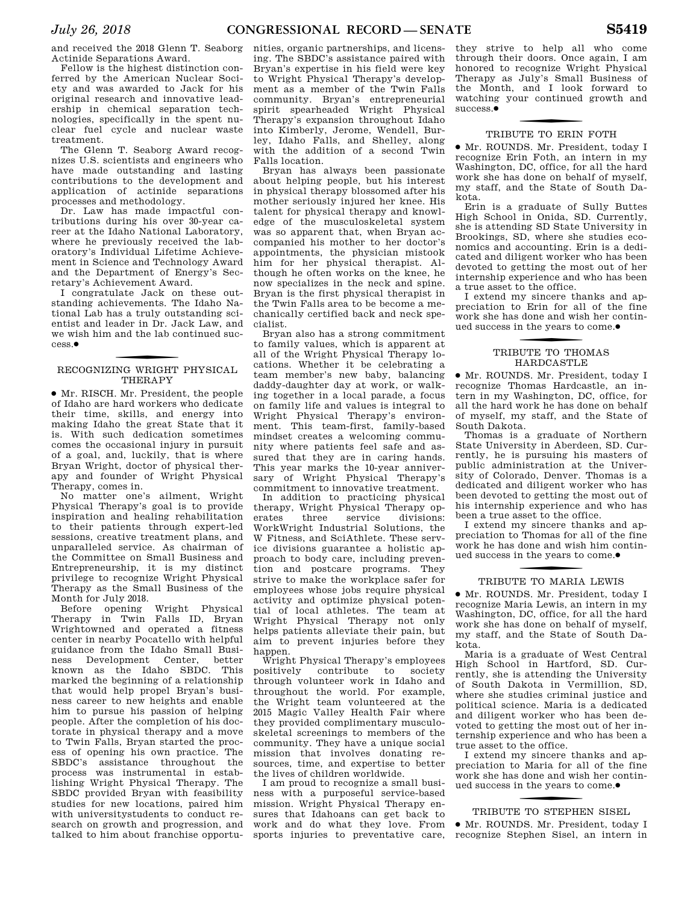and received the 2018 Glenn T. Seaborg Actinide Separations Award.

Fellow is the highest distinction conferred by the American Nuclear Society and was awarded to Jack for his original research and innovative leadership in chemical separation technologies, specifically in the spent nuclear fuel cycle and nuclear waste treatment.

The Glenn T. Seaborg Award recognizes U.S. scientists and engineers who have made outstanding and lasting contributions to the development and application of actinide separations processes and methodology.

Dr. Law has made impactful contributions during his over 30-year career at the Idaho National Laboratory, where he previously received the laboratory's Individual Lifetime Achievement in Science and Technology Award and the Department of Energy's Secretary's Achievement Award.

I congratulate Jack on these outstanding achievements. The Idaho National Lab has a truly outstanding scientist and leader in Dr. Jack Law, and we wish him and the lab continued success.∑

# f RECOGNIZING WRIGHT PHYSICAL **THERAPY**

∑ Mr. RISCH. Mr. President, the people of Idaho are hard workers who dedicate their time, skills, and energy into making Idaho the great State that it is. With such dedication sometimes comes the occasional injury in pursuit of a goal, and, luckily, that is where Bryan Wright, doctor of physical therapy and founder of Wright Physical Therapy, comes in.

No matter one's ailment, Wright Physical Therapy's goal is to provide inspiration and healing rehabilitation to their patients through expert-led sessions, creative treatment plans, and unparalleled service. As chairman of the Committee on Small Business and Entrepreneurship, it is my distinct privilege to recognize Wright Physical Therapy as the Small Business of the

Month for July 2018.<br>Before opening Wright Physical Therapy in Twin Falls ID, Bryan Wrightowned and operated a fitness center in nearby Pocatello with helpful guidance from the Idaho Small Business Development Center, better known as the Idaho SBDC. This marked the beginning of a relationship that would help propel Bryan's business career to new heights and enable him to pursue his passion of helping people. After the completion of his doctorate in physical therapy and a move to Twin Falls, Bryan started the process of opening his own practice. The SBDC's assistance throughout the process was instrumental in establishing Wright Physical Therapy. The SBDC provided Bryan with feasibility studies for new locations, paired him with universitystudents to conduct research on growth and progression, and talked to him about franchise opportu-

nities, organic partnerships, and licensing. The SBDC's assistance paired with Bryan's expertise in his field were key to Wright Physical Therapy's development as a member of the Twin Falls community. Bryan's entrepreneurial spirit spearheaded Wright Physical Therapy's expansion throughout Idaho into Kimberly, Jerome, Wendell, Burley, Idaho Falls, and Shelley, along with the addition of a second Twin Falls location.

Bryan has always been passionate about helping people, but his interest in physical therapy blossomed after his mother seriously injured her knee. His talent for physical therapy and knowledge of the musculoskeletal system was so apparent that, when Bryan accompanied his mother to her doctor's appointments, the physician mistook him for her physical therapist. Although he often works on the knee, he now specializes in the neck and spine. Bryan is the first physical therapist in the Twin Falls area to be become a mechanically certified back and neck specialist.

Bryan also has a strong commitment to family values, which is apparent at all of the Wright Physical Therapy locations. Whether it be celebrating a team member's new baby, balancing daddy-daughter day at work, or walking together in a local parade, a focus on family life and values is integral to Wright Physical Therapy's environment. This team-first, family-based mindset creates a welcoming community where patients feel safe and assured that they are in caring hands. This year marks the 10-year anniversary of Wright Physical Therapy's commitment to innovative treatment.

In addition to practicing physical therapy, Wright Physical Therapy operates three service divisions: WorkWright Industrial Solutions, the W Fitness, and SciAthlete. These service divisions guarantee a holistic approach to body care, including prevention and postcare programs. They strive to make the workplace safer for employees whose jobs require physical activity and optimize physical potential of local athletes. The team at Wright Physical Therapy not only helps patients alleviate their pain, but aim to prevent injuries before they happen.

Wright Physical Therapy's employees positively contribute to society through volunteer work in Idaho and throughout the world. For example, the Wright team volunteered at the 2015 Magic Valley Health Fair where they provided complimentary musculoskeletal screenings to members of the community. They have a unique social mission that involves donating resources, time, and expertise to better the lives of children worldwide.

I am proud to recognize a small business with a purposeful service-based mission. Wright Physical Therapy ensures that Idahoans can get back to work and do what they love. From sports injuries to preventative care,

they strive to help all who come through their doors. Once again, I am honored to recognize Wright Physical Therapy as July's Small Business of the Month, and I look forward to watching your continued growth and success.∑

# f TRIBUTE TO ERIN FOTH

∑ Mr. ROUNDS. Mr. President, today I recognize Erin Foth, an intern in my Washington, DC, office, for all the hard work she has done on behalf of myself, my staff, and the State of South Dakota.

Erin is a graduate of Sully Buttes High School in Onida, SD. Currently, she is attending SD State University in Brookings, SD, where she studies economics and accounting. Erin is a dedicated and diligent worker who has been devoted to getting the most out of her internship experience and who has been a true asset to the office.

I extend my sincere thanks and appreciation to Erin for all of the fine work she has done and wish her continued success in the years to come. ∑

# TRIBUTE TO THOMAS HARDCASTLE

∑ Mr. ROUNDS. Mr. President, today I recognize Thomas Hardcastle, an intern in my Washington, DC, office, for all the hard work he has done on behalf of myself, my staff, and the State of South Dakota.

Thomas is a graduate of Northern State University in Aberdeen, SD. Currently, he is pursuing his masters of public administration at the University of Colorado, Denver. Thomas is a dedicated and diligent worker who has been devoted to getting the most out of his internship experience and who has been a true asset to the office.

I extend my sincere thanks and appreciation to Thomas for all of the fine work he has done and wish him continued success in the years to come. ∑

# f TRIBUTE TO MARIA LEWIS

∑ Mr. ROUNDS. Mr. President, today I recognize Maria Lewis, an intern in my Washington, DC, office, for all the hard work she has done on behalf of myself, my staff, and the State of South Dakota.

Maria is a graduate of West Central High School in Hartford, SD. Currently, she is attending the University of South Dakota in Vermillion, SD, where she studies criminal justice and political science. Maria is a dedicated and diligent worker who has been devoted to getting the most out of her internship experience and who has been a true asset to the office.

I extend my sincere thanks and appreciation to Maria for all of the fine work she has done and wish her continued success in the years to come. ∑

# f TRIBUTE TO STEPHEN SISEL

∑ Mr. ROUNDS. Mr. President, today I recognize Stephen Sisel, an intern in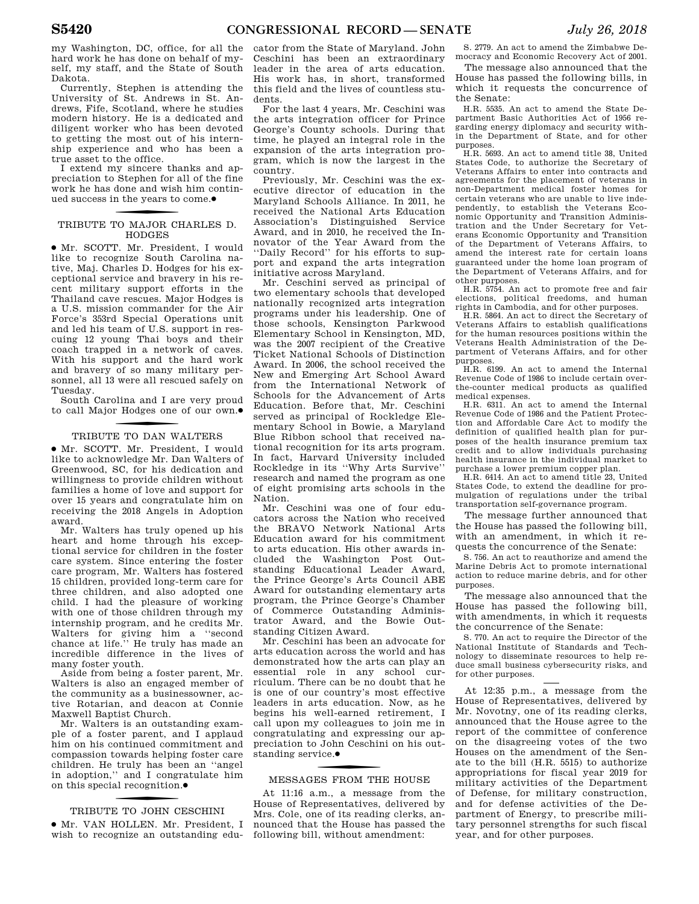my Washington, DC, office, for all the hard work he has done on behalf of myself, my staff, and the State of South Dakota.

Currently, Stephen is attending the University of St. Andrews in St. Andrews, Fife, Scotland, where he studies modern history. He is a dedicated and diligent worker who has been devoted to getting the most out of his internship experience and who has been a true asset to the office.

I extend my sincere thanks and appreciation to Stephen for all of the fine work he has done and wish him continued success in the years to come. ∑

# f TRIBUTE TO MAJOR CHARLES D. HODGES

∑ Mr. SCOTT. Mr. President, I would like to recognize South Carolina native, Maj. Charles D. Hodges for his exceptional service and bravery in his recent military support efforts in the Thailand cave rescues. Major Hodges is a U.S. mission commander for the Air Force's 353rd Special Operations unit and led his team of U.S. support in rescuing 12 young Thai boys and their coach trapped in a network of caves. With his support and the hard work and bravery of so many military personnel, all 13 were all rescued safely on Tuesday.

South Carolina and I are very proud to call Major Hodges one of our own. ∑

# f TRIBUTE TO DAN WALTERS

∑ Mr. SCOTT. Mr. President, I would like to acknowledge Mr. Dan Walters of Greenwood, SC, for his dedication and willingness to provide children without families a home of love and support for over 15 years and congratulate him on receiving the 2018 Angels in Adoption award.

Mr. Walters has truly opened up his heart and home through his exceptional service for children in the foster care system. Since entering the foster care program, Mr. Walters has fostered 15 children, provided long-term care for three children, and also adopted one child. I had the pleasure of working with one of those children through my internship program, and he credits Mr. Walters for giving him a ''second chance at life.'' He truly has made an incredible difference in the lives of many foster youth.

Aside from being a foster parent, Mr. Walters is also an engaged member of the community as a businessowner, active Rotarian, and deacon at Connie Maxwell Baptist Church.

Mr. Walters is an outstanding example of a foster parent, and I applaud him on his continued commitment and compassion towards helping foster care children. He truly has been an ''angel in adoption,'' and I congratulate him on this special recognition. ∑

# f TRIBUTE TO JOHN CESCHINI

∑ Mr. VAN HOLLEN. Mr. President, I wish to recognize an outstanding edu-

cator from the State of Maryland. John Ceschini has been an extraordinary leader in the area of arts education. His work has, in short, transformed this field and the lives of countless students.

For the last 4 years, Mr. Ceschini was the arts integration officer for Prince George's County schools. During that time, he played an integral role in the expansion of the arts integration program, which is now the largest in the country.

Previously, Mr. Ceschini was the executive director of education in the Maryland Schools Alliance. In 2011, he received the National Arts Education Association's Distinguished Service Award, and in 2010, he received the Innovator of the Year Award from the ''Daily Record'' for his efforts to support and expand the arts integration initiative across Maryland.

Mr. Ceschini served as principal of two elementary schools that developed nationally recognized arts integration programs under his leadership. One of those schools, Kensington Parkwood Elementary School in Kensington, MD, was the 2007 recipient of the Creative Ticket National Schools of Distinction Award. In 2006, the school received the New and Emerging Art School Award from the International Network of Schools for the Advancement of Arts Education. Before that, Mr. Ceschini served as principal of Rockledge Elementary School in Bowie, a Maryland Blue Ribbon school that received national recognition for its arts program. In fact, Harvard University included Rockledge in its ''Why Arts Survive'' research and named the program as one of eight promising arts schools in the Nation.

Mr. Ceschini was one of four educators across the Nation who received the BRAVO Network National Arts Education award for his commitment to arts education. His other awards included the Washington Post Outstanding Educational Leader Award, the Prince George's Arts Council ABE Award for outstanding elementary arts program, the Prince George's Chamber of Commerce Outstanding Administrator Award, and the Bowie Outstanding Citizen Award.

Mr. Ceschini has been an advocate for arts education across the world and has demonstrated how the arts can play an essential role in any school curriculum. There can be no doubt that he is one of our country's most effective leaders in arts education. Now, as he begins his well-earned retirement, I call upon my colleagues to join me in congratulating and expressing our appreciation to John Ceschini on his out--<br>standing service.●

# f MESSAGES FROM THE HOUSE

At 11:16 a.m., a message from the House of Representatives, delivered by Mrs. Cole, one of its reading clerks, announced that the House has passed the following bill, without amendment:

S. 2779. An act to amend the Zimbabwe Democracy and Economic Recovery Act of 2001.

The message also announced that the House has passed the following bills, in which it requests the concurrence of the Senate:

H.R. 5535. An act to amend the State Department Basic Authorities Act of 1956 regarding energy diplomacy and security within the Department of State, and for other purposes.

H.R. 5693. An act to amend title 38, United States Code, to authorize the Secretary of Veterans Affairs to enter into contracts and agreements for the placement of veterans in non-Department medical foster homes for certain veterans who are unable to live independently, to establish the Veterans Economic Opportunity and Transition Administration and the Under Secretary for Veterans Economic Opportunity and Transition of the Department of Veterans Affairs, to amend the interest rate for certain loans guaranteed under the home loan program of the Department of Veterans Affairs, and for other purposes.

H.R. 5754. An act to promote free and fair elections, political freedoms, and human rights in Cambodia, and for other purposes.

H.R. 5864. An act to direct the Secretary of Veterans Affairs to establish qualifications for the human resources positions within the Veterans Health Administration of the Department of Veterans Affairs, and for other purposes.

H.R. 6199. An act to amend the Internal Revenue Code of 1986 to include certain overthe-counter medical products as qualified medical expenses.

H.R. 6311. An act to amend the Internal Revenue Code of 1986 and the Patient Protection and Affordable Care Act to modify the definition of qualified health plan for purposes of the health insurance premium tax credit and to allow individuals purchasing health insurance in the individual market to purchase a lower premium copper plan.

H.R. 6414. An act to amend title 23, United States Code, to extend the deadline for promulgation of regulations under the tribal transportation self-governance program.

The message further announced that the House has passed the following bill, with an amendment, in which it requests the concurrence of the Senate:

S. 756. An act to reauthorize and amend the Marine Debris Act to promote international action to reduce marine debris, and for other purposes.

The message also announced that the House has passed the following bill, with amendments, in which it requests the concurrence of the Senate:

S. 770. An act to require the Director of the National Institute of Standards and Technology to disseminate resources to help reduce small business cybersecurity risks, and for other purposes.

At 12:35 p.m., a message from the House of Representatives, delivered by Mr. Novotny, one of its reading clerks, announced that the House agree to the report of the committee of conference on the disagreeing votes of the two Houses on the amendment of the Senate to the bill (H.R. 5515) to authorize appropriations for fiscal year 2019 for military activities of the Department of Defense, for military construction, and for defense activities of the Department of Energy, to prescribe military personnel strengths for such fiscal year, and for other purposes.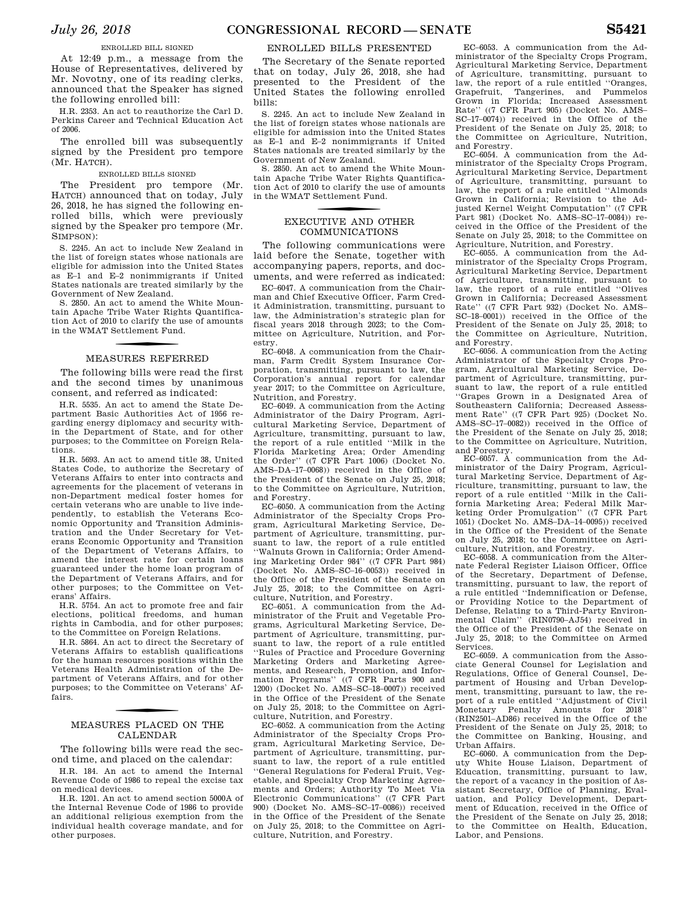At 12:49 p.m., a message from the House of Representatives, delivered by Mr. Novotny, one of its reading clerks, announced that the Speaker has signed the following enrolled bill:

H.R. 2353. An act to reauthorize the Carl D. Perkins Career and Technical Education Act of 2006.

The enrolled bill was subsequently signed by the President pro tempore (Mr. HATCH).

### ENROLLED BILLS SIGNED

The President pro tempore (Mr. HATCH) announced that on today, July 26, 2018, he has signed the following enrolled bills, which were previously signed by the Speaker pro tempore (Mr. SIMPSON):

S. 2245. An act to include New Zealand in the list of foreign states whose nationals are eligible for admission into the United States as E–1 and E–2 nonimmigrants if United States nationals are treated similarly by the Government of New Zealand.

S. 2850. An act to amend the White Mountain Apache Tribe Water Rights Quantification Act of 2010 to clarify the use of amounts in the WMAT Settlement Fund.

# f MEASURES REFERRED

The following bills were read the first and the second times by unanimous consent, and referred as indicated:

H.R. 5535. An act to amend the State Department Basic Authorities Act of 1956 regarding energy diplomacy and security within the Department of State, and for other purposes; to the Committee on Foreign Relations.

H.R. 5693. An act to amend title 38, United States Code, to authorize the Secretary of Veterans Affairs to enter into contracts and agreements for the placement of veterans in non-Department medical foster homes for certain veterans who are unable to live independently, to establish the Veterans Economic Opportunity and Transition Administration and the Under Secretary for Veterans Economic Opportunity and Transition of the Department of Veterans Affairs, to amend the interest rate for certain loans guaranteed under the home loan program of the Department of Veterans Affairs, and for other purposes; to the Committee on Veterans' Affairs.

H.R. 5754. An act to promote free and fair elections, political freedoms, and human rights in Cambodia, and for other purposes; to the Committee on Foreign Relations.

H.R. 5864. An act to direct the Secretary of Veterans Affairs to establish qualifications for the human resources positions within the Veterans Health Administration of the Department of Veterans Affairs, and for other purposes; to the Committee on Veterans' Affairs.

# f MEASURES PLACED ON THE CALENDAR

The following bills were read the second time, and placed on the calendar:

H.R. 184. An act to amend the Internal Revenue Code of 1986 to repeal the excise tax on medical devices.

H.R. 1201. An act to amend section 5000A of the Internal Revenue Code of 1986 to provide an additional religious exemption from the individual health coverage mandate, and for other purposes.

### ENROLLED BILLS PRESENTED

The Secretary of the Senate reported that on today, July 26, 2018, she had presented to the President of the United States the following enrolled bills:

S. 2245. An act to include New Zealand in the list of foreign states whose nationals are eligible for admission into the United States as E–1 and E–2 nonimmigrants if United States nationals are treated similarly by the Government of New Zealand.

S. 2850. An act to amend the White Mountain Apache Tribe Water Rights Quantification Act of 2010 to clarify the use of amounts in the WMAT Settlement Fund.

# f EXECUTIVE AND OTHER COMMUNICATIONS

The following communications were laid before the Senate, together with accompanying papers, reports, and documents, and were referred as indicated:

EC–6047. A communication from the Chairman and Chief Executive Officer, Farm Credit Administration, transmitting, pursuant to law, the Administration's strategic plan for fiscal years 2018 through 2023; to the Committee on Agriculture, Nutrition, and Forestry.

EC–6048. A communication from the Chairman, Farm Credit System Insurance Corporation, transmitting, pursuant to law, the Corporation's annual report for calendar year 2017; to the Committee on Agriculture, Nutrition, and Forestry.

EC–6049. A communication from the Acting Administrator of the Dairy Program, Agricultural Marketing Service, Department of Agriculture, transmitting, pursuant to law, the report of a rule entitled ''Milk in the Florida Marketing Area; Order Amending the Order'' ((7 CFR Part 1006) (Docket No. AMS–DA–17–0068)) received in the Office of the President of the Senate on July 25, 2018; to the Committee on Agriculture, Nutrition, and Forestry.

EC–6050. A communication from the Acting Administrator of the Specialty Crops Program, Agricultural Marketing Service, Department of Agriculture, transmitting, pursuant to law, the report of a rule entitled ''Walnuts Grown in California; Order Amending Marketing Order 984'' ((7 CFR Part 984) (Docket No. AMS–SC–16–0053)) received in the Office of the President of the Senate on July 25, 2018; to the Committee on Agriculture, Nutrition, and Forestry.

EC–6051. A communication from the Administrator of the Fruit and Vegetable Programs, Agricultural Marketing Service, Department of Agriculture, transmitting, pursuant to law, the report of a rule entitled ''Rules of Practice and Procedure Governing Marketing Orders and Marketing Agreements, and Research, Promotion, and Information Programs'' ((7 CFR Parts 900 and 1200) (Docket No. AMS–SC–18–0007)) received in the Office of the President of the Senate on July 25, 2018; to the Committee on Agriculture, Nutrition, and Forestry.

EC–6052. A communication from the Acting Administrator of the Specialty Crops Program, Agricultural Marketing Service, Department of Agriculture, transmitting, pursuant to law, the report of a rule entitled ''General Regulations for Federal Fruit, Vegetable, and Specialty Crop Marketing Agreements and Orders; Authority To Meet Via Electronic Communications'' ((7 CFR Part 900) (Docket No. AMS–SC–17–0086)) received in the Office of the President of the Senate on July 25, 2018; to the Committee on Agriculture, Nutrition, and Forestry.

EC–6053. A communication from the Administrator of the Specialty Crops Program, Agricultural Marketing Service, Department of Agriculture, transmitting, pursuant to law, the report of a rule entitled ''Oranges, Grapefruit, Tangerines, and Pummelos Grown in Florida; Increased Assessment Rate'' ((7 CFR Part 905) (Docket No. AMS– SC–17–0074)) received in the Office of the President of the Senate on July 25, 2018; to the Committee on Agriculture, Nutrition, and Forestry.

EC–6054. A communication from the Administrator of the Specialty Crops Program, Agricultural Marketing Service, Department of Agriculture, transmitting, pursuant to law, the report of a rule entitled ''Almonds Grown in California; Revision to the Adjusted Kernel Weight Computation'' ((7 CFR Part 981) (Docket No. AMS–SC–17–0084)) received in the Office of the President of the Senate on July 25, 2018; to the Committee on Agriculture, Nutrition, and Forestry.

EC–6055. A communication from the Administrator of the Specialty Crops Program, Agricultural Marketing Service, Department of Agriculture, transmitting, pursuant to law, the report of a rule entitled ''Olives Grown in California; Decreased Assessment Rate'' ((7 CFR Part 932) (Docket No. AMS– SC–18–0001)) received in the Office of the President of the Senate on July 25, 2018; to the Committee on Agriculture, Nutrition, and Forestry.

EC–6056. A communication from the Acting Administrator of the Specialty Crops Program, Agricultural Marketing Service, Department of Agriculture, transmitting, pursuant to law, the report of a rule entitled ''Grapes Grown in a Designated Area of Southeastern California; Decreased Assessment Rate'' ((7 CFR Part 925) (Docket No. AMS–SC–17–0082)) received in the Office of the President of the Senate on July 25, 2018; to the Committee on Agriculture, Nutrition, and Forestry.

EC–6057. A communication from the Administrator of the Dairy Program, Agricultural Marketing Service, Department of Agriculture, transmitting, pursuant to law, the report of a rule entitled ''Milk in the California Marketing Area; Federal Milk Marketing Order Promulgation'' ((7 CFR Part 1051) (Docket No. AMS–DA–14–0095)) received in the Office of the President of the Senate on July 25, 2018; to the Committee on Agriculture, Nutrition, and Forestry.

EC–6058. A communication from the Alternate Federal Register Liaison Officer, Office of the Secretary, Department of Defense, transmitting, pursuant to law, the report of a rule entitled ''Indemnification or Defense, or Providing Notice to the Department of Defense, Relating to a Third-Party Environmental Claim'' (RIN0790–AJ54) received in the Office of the President of the Senate on July 25, 2018; to the Committee on Armed Services.

EC–6059. A communication from the Associate General Counsel for Legislation and Regulations, Office of General Counsel, Department of Housing and Urban Development, transmitting, pursuant to law, the report of a rule entitled ''Adjustment of Civil Monetary Penalty Amounts for 2018'' (RIN2501–AD86) received in the Office of the President of the Senate on July 25, 2018; to the Committee on Banking, Housing, and Urban Affairs.

EC–6060. A communication from the Deputy White House Liaison, Department of Education, transmitting, pursuant to law, the report of a vacancy in the position of Assistant Secretary, Office of Planning, Evaluation, and Policy Development, Department of Education, received in the Office of the President of the Senate on July 25, 2018; to the Committee on Health, Education, Labor, and Pensions.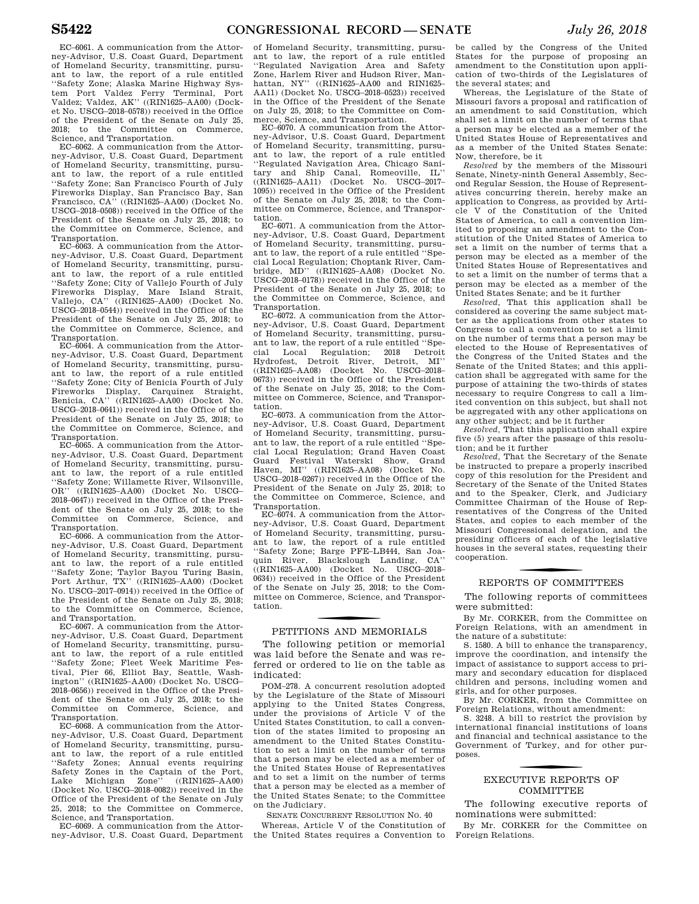Science, and Transportation. EC–6062. A communication from the Attorney-Advisor, U.S. Coast Guard, Department of Homeland Security, transmitting, pursuant to law, the report of a rule entitled ''Safety Zone; San Francisco Fourth of July Fireworks Display, San Francisco Bay, San Francisco, CA'' ((RIN1625–AA00) (Docket No. USCG–2018–0508)) received in the Office of the President of the Senate on July 25, 2018; to the Committee on Commerce, Science, and Transportation.

EC–6063. A communication from the Attorney-Advisor, U.S. Coast Guard, Department of Homeland Security, transmitting, pursuant to law, the report of a rule entitled ''Safety Zone; City of Vallejo Fourth of July Fireworks Display, Mare Island Strait, Vallejo, CA'' ((RIN1625–AA00) (Docket No. USCG–2018–0544)) received in the Office of the President of the Senate on July 25, 2018; to the Committee on Commerce, Science, and Transportation.

EC–6064. A communication from the Attorney-Advisor, U.S. Coast Guard, Department of Homeland Security, transmitting, pursuant to law, the report of a rule entitled ''Safety Zone; City of Benicia Fourth of July Fireworks Display, Carquinez Straight, Benicia, CA'' ((RIN1625–AA00) (Docket No. USCG–2018–0641)) received in the Office of the President of the Senate on July 25, 2018; to the Committee on Commerce, Science, and Transportation.

EC–6065. A communication from the Attorney-Advisor, U.S. Coast Guard, Department of Homeland Security, transmitting, pursuant to law, the report of a rule entitled ''Safety Zone; Willamette River, Wilsonville, OR'' ((RIN1625–AA00) (Docket No. USCG– 2018–0647)) received in the Office of the President of the Senate on July 25, 2018; to the Committee on Commerce, Science, and Transportation.

EC–6066. A communication from the Attorney-Advisor, U.S. Coast Guard, Department of Homeland Security, transmitting, pursuant to law, the report of a rule entitled ''Safety Zone; Taylor Bayou Turing Basin, Port Arthur, TX'' ((RIN1625–AA00) (Docket No. USCG–2017–0914)) received in the Office of the President of the Senate on July 25, 2018; to the Committee on Commerce, Science, and Transportation.

EC–6067. A communication from the Attorney-Advisor, U.S. Coast Guard, Department of Homeland Security, transmitting, pursuant to law, the report of a rule entitled ''Safety Zone; Fleet Week Maritime Festival, Pier 66, Elliot Bay, Seattle, Washington'' ((RIN1625–AA00) (Docket No. USCG– 2018–0656)) received in the Office of the President of the Senate on July 25, 2018; to the Committee on Commerce, Science, and Transportation.

EC–6068. A communication from the Attorney-Advisor, U.S. Coast Guard, Department of Homeland Security, transmitting, pursuant to law, the report of a rule entitled ''Safety Zones; Annual events requiring Safety Zones in the Captain of the Port,<br>Lake Michigan Zone'' ((RIN1625-AA00) Lake Michigan Zone" (Docket No. USCG–2018–0082)) received in the Office of the President of the Senate on July 25, 2018; to the Committee on Commerce, Science, and Transportation.

EC–6069. A communication from the Attorney-Advisor, U.S. Coast Guard, Department

of Homeland Security, transmitting, pursuant to law, the report of a rule entitled ''Regulated Navigation Area and Safety Zone, Harlem River and Hudson River, Manhattan, NY'' ((RIN1625–AA00 and RIN1625– AA11) (Docket No. USCG–2018–0523)) received in the Office of the President of the Senate on July 25, 2018; to the Committee on Commerce, Science, and Transportation.

EC–6070. A communication from the Attorney-Advisor, U.S. Coast Guard, Department of Homeland Security, transmitting, pursuant to law, the report of a rule entitled ''Regulated Navigation Area, Chicago Sanitary and Ship Canal, Romeoville, IL'' ((RIN1625–AA11) (Docket No. USCG–2017– 1095)) received in the Office of the President of the Senate on July 25, 2018; to the Committee on Commerce, Science, and Transportation.

EC–6071. A communication from the Attorney-Advisor, U.S. Coast Guard, Department of Homeland Security, transmitting, pursuant to law, the report of a rule entitled ''Special Local Regulation; Choptank River, Cam-<br>bridge, MD'' ((RIN1625-AA08) (Docket No.  $(KIN1625-AA08)$  (Docket No. USCG–2018–0178)) received in the Office of the President of the Senate on July 25, 2018; to the Committee on Commerce, Science, and Transportation.

EC–6072. A communication from the Attorney-Advisor, U.S. Coast Guard, Department of Homeland Security, transmitting, pursuant to law, the report of a rule entitled ''Special Local Regulation; 2018 Detroit Hydrofest, Detroit River, Detroit, MI'' ((RIN1625–AA08) (Docket No. USCG–2018– 0673)) received in the Office of the President of the Senate on July 25, 2018; to the Committee on Commerce, Science, and Transportation.

EC–6073. A communication from the Attorney-Advisor, U.S. Coast Guard, Department of Homeland Security, transmitting, pursuant to law, the report of a rule entitled ''Special Local Regulation; Grand Haven Coast Guard Festival Waterski Show, Grand<br>Haven, MI'' ((RIN1625–AA08) (Docket No. MI" ((RIN1625–AA08) (Docket No. USCG–2018–0267)) received in the Office of the President of the Senate on July 25, 2018; to the Committee on Commerce, Science, and Transportation.

EC–6074. A communication from the Attorney-Advisor, U.S. Coast Guard, Department of Homeland Security, transmitting, pursuant to law, the report of a rule entitled ''Safety Zone; Barge PFE–LB444, San Joaquin River, Blackslough Landing, CA'' ((RIN1625–AA00) (Docket No. USCG–2018– 0634)) received in the Office of the President of the Senate on July 25, 2018; to the Committee on Commerce, Science, and Transportation.

# f PETITIONS AND MEMORIALS

The following petition or memorial was laid before the Senate and was referred or ordered to lie on the table as indicated:

POM–278. A concurrent resolution adopted by the Legislature of the State of Missouri applying to the United States Congress, under the provisions of Article V of the United States Constitution, to call a convention of the states limited to proposing an amendment to the United States Constitution to set a limit on the number of terms that a person may be elected as a member of the United States House of Representatives and to set a limit on the number of terms that a person may be elected as a member of the United States Senate; to the Committee on the Judiciary.

SENATE CONCURRENT RESOLUTION NO. 40 Whereas, Article V of the Constitution of the United States requires a Convention to be called by the Congress of the United States for the purpose of proposing an amendment to the Constitution upon application of two-thirds of the Legislatures of the several states; and

Whereas, the Legislature of the State of Missouri favors a proposal and ratification of an amendment to said Constitution, which shall set a limit on the number of terms that a person may be elected as a member of the United States House of Representatives and as a member of the United States Senate: Now, therefore, be it

*Resolved* by the members of the Missouri Senate, Ninety-ninth General Assembly, Second Regular Session, the House of Representatives concurring therein, hereby make an application to Congress, as provided by Article V of the Constitution of the United States of America, to call a convention limited to proposing an amendment to the Constitution of the United States of America to set a limit on the number of terms that a person may be elected as a member of the United States House of Representatives and to set a limit on the number of terms that a person may be elected as a member of the United States Senate; and be it further

*Resolved,* That this application shall be considered as covering the same subject matter as the applications from other states to Congress to call a convention to set a limit on the number of terms that a person may be elected to the House of Representatives of the Congress of the United States and the Senate of the United States; and this application shall be aggregated with same for the purpose of attaining the two-thirds of states necessary to require Congress to call a limited convention on this subject, but shall not be aggregated with any other applications on any other subject; and be it further

*Resolved,* That this application shall expire five (5) years after the passage of this resolution; and be it further

*Resolved,* That the Secretary of the Senate be instructed to prepare a properly inscribed copy of this resolution for the President and Secretary of the Senate of the United States and to the Speaker, Clerk, and Judiciary Committee Chairman of the House of Representatives of the Congress of the United States, and copies to each member of the Missouri Congressional delegation, and the presiding officers of each of the legislative houses in the several states, requesting their cooperation.

# f REPORTS OF COMMITTEES

The following reports of committees were submitted:

By Mr. CORKER, from the Committee on Foreign Relations, with an amendment in the nature of a substitute:

S. 1580. A bill to enhance the transparency, improve the coordination, and intensify the impact of assistance to support access to primary and secondary education for displaced children and persons, including women and girls, and for other purposes.

By Mr. CORKER, from the Committee on Foreign Relations, without amendment:

S. 3248. A bill to restrict the provision by international financial institutions of loans and financial and technical assistance to the Government of Turkey, and for other purposes.

# f EXECUTIVE REPORTS OF **COMMITTEE**

The following executive reports of nominations were submitted:

By Mr. CORKER for the Committee on Foreign Relations.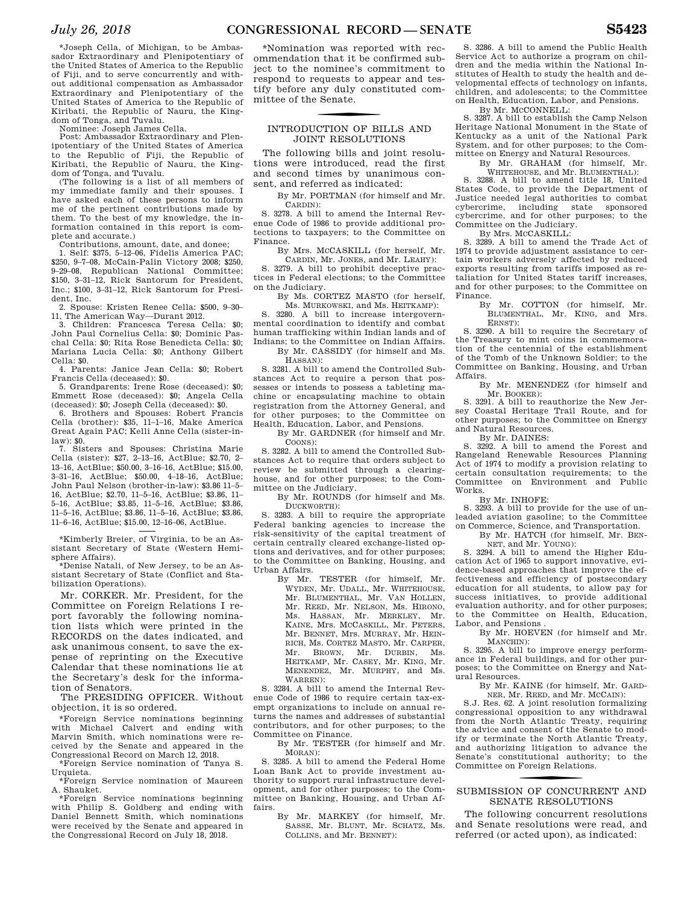\*Joseph Cella, of Michigan, to be Ambassador Extraordinary and Plenipotentiary of the United States of America to the Republic of Fiji, and to serve concurrently and without additional compensation as Ambassador Extraordinary and Plenipotentiary of the United States of America to the Republic of Kiribati, the Republic of Nauru, the Kingdom of Tonga, and Tuvalu.

Nominee: Joseph James Cella.

Post: Ambassador Extraordinary and Plenipotentiary of the United States of America to the Republic of Fiji, the Republic of Kiribati, the Republic of Nauru, the King-

dom of Tonga, and Tuvalu. (The following is a list of all members of my immediate family and their spouses. I have asked each of these persons to inform me of the pertinent contributions made by them. To the best of my knowledge, the information contained in this report is complete and accurate.)

Contributions, amount, date, and donee; 1. Self: \$375, 5–12–06, Fidelis America PAC; \$250, 9–7–08, McCain-Palin Victory 2008; \$250, 9–29–08, Republican National Committee; \$150, 3–31–12, Rick Santorum for President, Inc.; \$100, 3–31–12, Rick Santorum for President, Inc.

2. Spouse: Kristen Renee Cella: \$500, 9–30– 11, The American Way—Durant 2012.

3. Children: Francesca Teresa Cella: \$0; John Paul Cornelius Cella: \$0; Dominic Paschal Cella: \$0; Rita Rose Benedicta Cella: \$0; Mariana Lucia Cella: \$0; Anthony Gilbert Cella: \$0.

4. Parents: Janice Jean Cella: \$0; Robert Francis Cella (deceased): \$0.

5. Grandparents: Irene Rose (deceased): \$0; Emmett Rose (deceased): \$0; Angela Cella (deceased): \$0; Joseph Cella (deceased): \$0.

6. Brothers and Spouses: Robert Francis Cella (brother): \$35, 11–1–16, Make America Great Again PAC; Kelli Anne Cella (sister-inlaw): \$0.

7. Sisters and Spouses: Christina Marie Cella (sister): \$27, 2–13–16, ActBlue; \$2.70, 2– 13–16, ActBlue; \$50.00, 3–16–16, ActBlue; \$15.00, 3–31–16, ActBlue; \$50.00, 4–18–16, ActBlue; John Paul Nelson (brother-in-law): \$3.86 11–5– 16, ActBlue; \$2.70, 11–5–16, ActBlue; \$3.86, 11– 5–16, ActBlue; \$3.85, 11–5–16, ActBlue; \$3.86, 11–5–16, ActBlue; \$3.86, 11–5–16, ActBlue; \$3.86, 11–6–16, ActBlue; \$15.00, 12–16–06, ActBlue.

\*Kimberly Breier, of Virginia, to be an Assistant Secretary of State (Western Hemisphere Affairs).

\*Denise Natali, of New Jersey, to be an Assistant Secretary of State (Conflict and Stabilization Operations).

Mr. CORKER. Mr. President, for the Committee on Foreign Relations I report favorably the following nomination lists which were printed in the RECORDS on the dates indicated, and ask unanimous consent, to save the expense of reprinting on the Executive Calendar that these nominations lie at the Secretary's desk for the information of Senators.

The PRESIDING OFFICER. Without objection, it is so ordered.

\*Foreign Service nominations beginning with Michael Calvert and ending with Marvin Smith, which nominations were received by the Senate and appeared in the Congressional Record on March 12, 2018.

\*Foreign Service nomination of Tanya S. Urquieta.

\*Foreign Service nomination of Maureen A. Shauket.

\*Foreign Service nominations beginning with Philip S. Goldberg and ending with Daniel Bennett Smith, which nominations were received by the Senate and appeared in the Congressional Record on July 18, 2018.

\*Nomination was reported with recommendation that it be confirmed subject to the nominee's commitment to respond to requests to appear and testify before any duly constituted committee of the Senate.

### INTRODUCTION OF BILLS AND JOINT RESOLUTIONS

The following bills and joint resolutions were introduced, read the first and second times by unanimous consent, and referred as indicated:

By Mr. PORTMAN (for himself and Mr. CARDIN):

S. 3278. A bill to amend the Internal Revenue Code of 1986 to provide additional protections to taxpayers; to the Committee on Finance.

By Mrs. MCCASKILL (for herself, Mr.

CARDIN, Mr. JONES, and Mr. LEAHY): S. 3279. A bill to prohibit deceptive practices in Federal elections; to the Committee on the Judiciary.

By Ms. CORTEZ MASTO (for herself, Ms. MURKOWSKI, and Ms. HEITKAMP):

S. 3280. A bill to increase intergovernmental coordination to identify and combat human trafficking within Indian lands and of Indians; to the Committee on Indian Affairs. By Mr. CASSIDY (for himself and Ms.

HASSAN):

S. 3281. A bill to amend the Controlled Substances Act to require a person that possesses or intends to possess a tableting machine or encapsulating machine to obtain registration from the Attorney General, and for other purposes; to the Committee on Health, Education, Labor, and Pensions.

By Mr. GARDNER (for himself and Mr. COONS):

S. 3282. A bill to amend the Controlled Substances Act to require that orders subject to review be submitted through a clearinghouse, and for other purposes; to the Committee on the Judiciary.

By Mr. ROUNDS (for himself and Ms. DUCKWORTH):

S. 3283. A bill to require the appropriate Federal banking agencies to increase the risk-sensitivity of the capital treatment of certain centrally cleared exchange-listed options and derivatives, and for other purposes; to the Committee on Banking, Housing, and Urban Affairs.

By Mr. TESTER (for himself, Mr. WYDEN, Mr. UDALL, Mr. WHITEHOUSE, Mr. BLUMENTHAL, Mr. VAN HOLLEN, Mr. REED, Mr. NELSON, Ms. HIRONO, Ms. HASSAN, Mr. MERKLEY, Mr. KAINE, Mrs. MCCASKILL, Mr. PETERS, Mr. BENNET, Mrs. MURRAY, Mr. HEIN-RICH, Ms. CORTEZ MASTO, Mr. CARPER, Mr. BROWN, Mr. DURBIN, Ms. HEITKAMP, Mr. CASEY, Mr. KING, Mr. MENENDEZ, Mr. MURPHY, and Ms. WARREN):

S. 3284. A bill to amend the Internal Revenue Code of 1986 to require certain tax-exempt organizations to include on annual returns the names and addresses of substantial contributors, and for other purposes; to the Committee on Finance.

By Mr. TESTER (for himself and Mr. MORAN):

S. 3285. A bill to amend the Federal Home Loan Bank Act to provide investment authority to support rural infrastructure development, and for other purposes; to the Committee on Banking, Housing, and Urban Affairs.

By Mr. MARKEY (for himself, Mr. SASSE, Mr. BLUNT, Mr. SCHATZ, Ms. COLLINS, and Mr. BENNET):

S. 3286. A bill to amend the Public Health Service Act to authorize a program on children and the media within the National Institutes of Health to study the health and developmental effects of technology on infants, children, and adolescents; to the Committee on Health, Education, Labor, and Pensions.

By Mr. MCCONNELL: S. 3287. A bill to establish the Camp Nelson Heritage National Monument in the State of Kentucky as a unit of the National Park System, and for other purposes; to the Committee on Energy and Natural Resources.

By Mr. GRAHAM (for himself, Mr.

WHITEHOUSE, and Mr. BLUMENTHAL): S. 3288. A bill to amend title 18, United States Code, to provide the Department of Justice needed legal authorities to combat cybercrime, including state sponsored cybercrime, and for other purposes; to the Committee on the Judiciary.

By Mrs. MCCASKILL:

S. 3289. A bill to amend the Trade Act of 1974 to provide adjustment assistance to certain workers adversely affected by reduced exports resulting from tariffs imposed as retaliation for United States tariff increases, and for other purposes; to the Committee on Finance.

By Mr. COTTON (for himself, Mr. BLUMENTHAL, Mr. KING, and Mrs. ERNST):

S. 3290. A bill to require the Secretary of the Treasury to mint coins in commemoration of the centennial of the establishment of the Tomb of the Unknown Soldier; to the Committee on Banking, Housing, and Urban Affairs.

By Mr. MENENDEZ (for himself and Mr. BOOKER):

S. 3291. A bill to reauthorize the New Jersey Coastal Heritage Trail Route, and for other purposes; to the Committee on Energy and Natural Resources.

By Mr. DAINES:

S. 3292. A bill to amend the Forest and Rangeland Renewable Resources Planning Act of 1974 to modify a provision relating to certain consultation requirements; to the Committee on Environment and Public Works.

By Mr. INHOFE:

S. 3293. A bill to provide for the use of unleaded aviation gasoline; to the Committee on Commerce, Science, and Transportation.

By Mr. HATCH (for himself, Mr. BEN-

NET, and Mr. YOUNG): S. 3294. A bill to amend the Higher Education Act of 1965 to support innovative, evidence-based approaches that improve the effectiveness and efficiency of postsecondary education for all students, to allow pay for success initiatives, to provide additional evaluation authority, and for other purposes; to the Committee on Health, Education, Labor, and Pensions .

By Mr. HOEVEN (for himself and Mr. MANCHIN):

S. 3295. A bill to improve energy performance in Federal buildings, and for other purposes; to the Committee on Energy and Natural Resources.

> By Mr. KAINE (for himself, Mr. GARD-NER, Mr. REED, and Mr. MCCAIN):

S.J. Res. 62. A joint resolution formalizing congressional opposition to any withdrawal from the North Atlantic Treaty, requiring the advice and consent of the Senate to modify or terminate the North Atlantic Treaty, and authorizing litigation to advance the Senate's constitutional authority; to the Committee on Foreign Relations.

# SUBMISSION OF CONCURRENT AND SENATE RESOLUTIONS

The following concurrent resolutions and Senate resolutions were read, and referred (or acted upon), as indicated: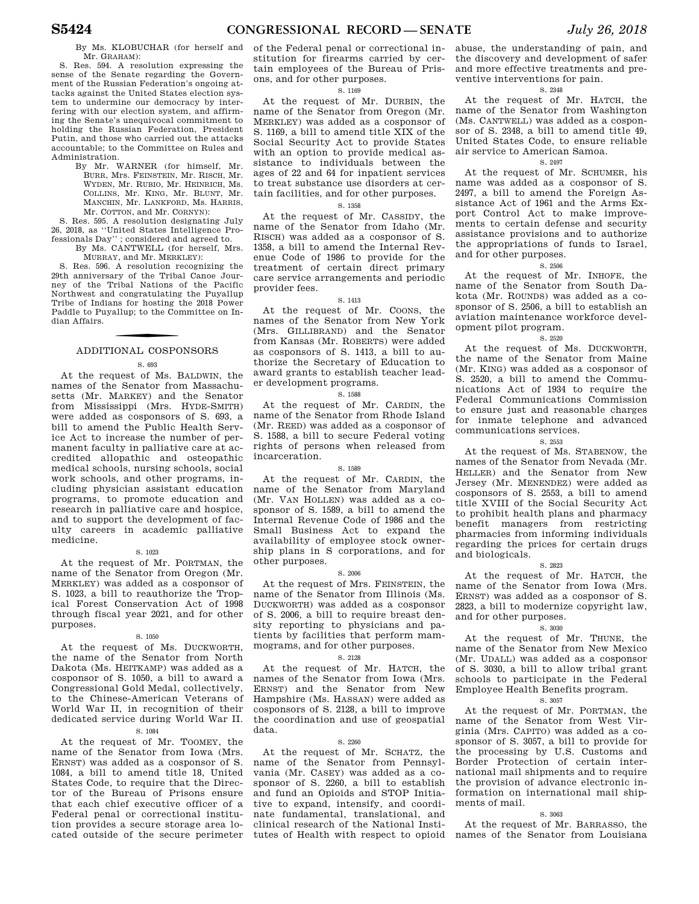By Ms. KLOBUCHAR (for herself and Mr. GRAHAM):

S. Res. 594. A resolution expressing the sense of the Senate regarding the Government of the Russian Federation's ongoing attacks against the United States election system to undermine our democracy by interfering with our election system, and affirming the Senate's unequivocal commitment to holding the Russian Federation, President Putin, and those who carried out the attacks accountable; to the Committee on Rules and Administration.

By Mr. WARNER (for himself, Mr. BURR, Mrs. FEINSTEIN, Mr. RISCH, Mr. WYDEN, Mr. RUBIO, Mr. HEINRICH, Ms. COLLINS, Mr. KING, Mr. BLUNT, Mr. MANCHIN, Mr. LANKFORD, Ms. HARRIS, Mr. COTTON, and Mr. CORNYN):

S. Res. 595. A resolution designating July 26, 2018, as ''United States Intelligence Professionals Day'' ; considered and agreed to.

By Ms. CANTWELL (for herself, Mrs. MURRAY, and Mr. MERKLEY):

S. Res. 596. A resolution recognizing the 29th anniversary of the Tribal Canoe Journey of the Tribal Nations of the Pacific Northwest and congratulating the Puyallup Tribe of Indians for hosting the 2018 Power Paddle to Puyallup; to the Committee on Indian Affairs.

# f ADDITIONAL COSPONSORS

### S. 693

At the request of Ms. BALDWIN, the names of the Senator from Massachusetts (Mr. MARKEY) and the Senator from Mississippi (Mrs. HYDE-SMITH) were added as cosponsors of S. 693, a bill to amend the Public Health Service Act to increase the number of permanent faculty in palliative care at accredited allopathic and osteopathic medical schools, nursing schools, social work schools, and other programs, including physician assistant education programs, to promote education and research in palliative care and hospice, and to support the development of faculty careers in academic palliative medicine.

### S. 1023

At the request of Mr. PORTMAN, the name of the Senator from Oregon (Mr. MERKLEY) was added as a cosponsor of S. 1023, a bill to reauthorize the Tropical Forest Conservation Act of 1998 through fiscal year 2021, and for other purposes.

### S. 1050

At the request of Ms. DUCKWORTH, the name of the Senator from North Dakota (Ms. HEITKAMP) was added as a cosponsor of S. 1050, a bill to award a Congressional Gold Medal, collectively, to the Chinese-American Veterans of World War II, in recognition of their dedicated service during World War II.

### S. 1084

At the request of Mr. TOOMEY, the name of the Senator from Iowa (Mrs. ERNST) was added as a cosponsor of S. 1084, a bill to amend title 18, United States Code, to require that the Director of the Bureau of Prisons ensure that each chief executive officer of a Federal penal or correctional institution provides a secure storage area located outside of the secure perimeter of the Federal penal or correctional institution for firearms carried by certain employees of the Bureau of Prisons, and for other purposes.

### S. 1169

At the request of Mr. DURBIN, the name of the Senator from Oregon (Mr. MERKLEY) was added as a cosponsor of S. 1169, a bill to amend title XIX of the Social Security Act to provide States with an option to provide medical assistance to individuals between the ages of 22 and 64 for inpatient services to treat substance use disorders at certain facilities, and for other purposes.

### S. 1358

At the request of Mr. CASSIDY, the name of the Senator from Idaho (Mr. RISCH) was added as a cosponsor of S. 1358, a bill to amend the Internal Revenue Code of 1986 to provide for the treatment of certain direct primary care service arrangements and periodic provider fees.

### S. 1413

At the request of Mr. COONS, the names of the Senator from New York (Mrs. GILLIBRAND) and the Senator from Kansas (Mr. ROBERTS) were added as cosponsors of S. 1413, a bill to authorize the Secretary of Education to award grants to establish teacher leader development programs.

### S. 1588

At the request of Mr. CARDIN, the name of the Senator from Rhode Island (Mr. REED) was added as a cosponsor of S. 1588, a bill to secure Federal voting rights of persons when released from incarceration.

### S. 1589

At the request of Mr. CARDIN, the name of the Senator from Maryland (Mr. VAN HOLLEN) was added as a cosponsor of S. 1589, a bill to amend the Internal Revenue Code of 1986 and the Small Business Act to expand the availability of employee stock ownership plans in S corporations, and for other purposes.

### S. 2006

At the request of Mrs. FEINSTEIN, the name of the Senator from Illinois (Ms. DUCKWORTH) was added as a cosponsor of S. 2006, a bill to require breast density reporting to physicians and patients by facilities that perform mammograms, and for other purposes.

### S. 2128

At the request of Mr. HATCH, the names of the Senator from Iowa (Mrs. ERNST) and the Senator from New Hampshire (Ms. HASSAN) were added as cosponsors of S. 2128, a bill to improve the coordination and use of geospatial data.

### S. 2260

At the request of Mr. SCHATZ, the name of the Senator from Pennsylvania (Mr. CASEY) was added as a cosponsor of S. 2260, a bill to establish and fund an Opioids and STOP Initiative to expand, intensify, and coordinate fundamental, translational, and clinical research of the National Instiabuse, the understanding of pain, and the discovery and development of safer and more effective treatments and preventive interventions for pain.

### S. 2348

At the request of Mr. HATCH, the name of the Senator from Washington (Ms. CANTWELL) was added as a cosponsor of S. 2348, a bill to amend title 49, United States Code, to ensure reliable air service to American Samoa.

### S. 2497

At the request of Mr. SCHUMER, his name was added as a cosponsor of S. 2497, a bill to amend the Foreign Assistance Act of 1961 and the Arms Export Control Act to make improvements to certain defense and security assistance provisions and to authorize the appropriations of funds to Israel, and for other purposes.

### S. 2506

At the request of Mr. INHOFE, the name of the Senator from South Dakota (Mr. ROUNDS) was added as a cosponsor of S. 2506, a bill to establish an aviation maintenance workforce development pilot program.

### S. 2520

At the request of Ms. DUCKWORTH, the name of the Senator from Maine (Mr. KING) was added as a cosponsor of S. 2520, a bill to amend the Communications Act of 1934 to require the Federal Communications Commission to ensure just and reasonable charges for inmate telephone and advanced communications services.

### S. 2553

At the request of Ms. STABENOW, the names of the Senator from Nevada (Mr. HELLER) and the Senator from New Jersey (Mr. MENENDEZ) were added as cosponsors of S. 2553, a bill to amend title XVIII of the Social Security Act to prohibit health plans and pharmacy benefit managers from restricting pharmacies from informing individuals regarding the prices for certain drugs and biologicals.

### S. 2823

At the request of Mr. HATCH, the name of the Senator from Iowa (Mrs. ERNST) was added as a cosponsor of S. 2823, a bill to modernize copyright law, and for other purposes.

### S. 3030

At the request of Mr. THUNE, the name of the Senator from New Mexico (Mr. UDALL) was added as a cosponsor of S. 3030, a bill to allow tribal grant schools to participate in the Federal Employee Health Benefits program.

### S. 3057

At the request of Mr. PORTMAN, the name of the Senator from West Virginia (Mrs. CAPITO) was added as a cosponsor of S. 3057, a bill to provide for the processing by U.S. Customs and Border Protection of certain international mail shipments and to require the provision of advance electronic information on international mail shipments of mail.

### S. 3063

tutes of Health with respect to opioid names of the Senator from Louisiana At the request of Mr. BARRASSO, the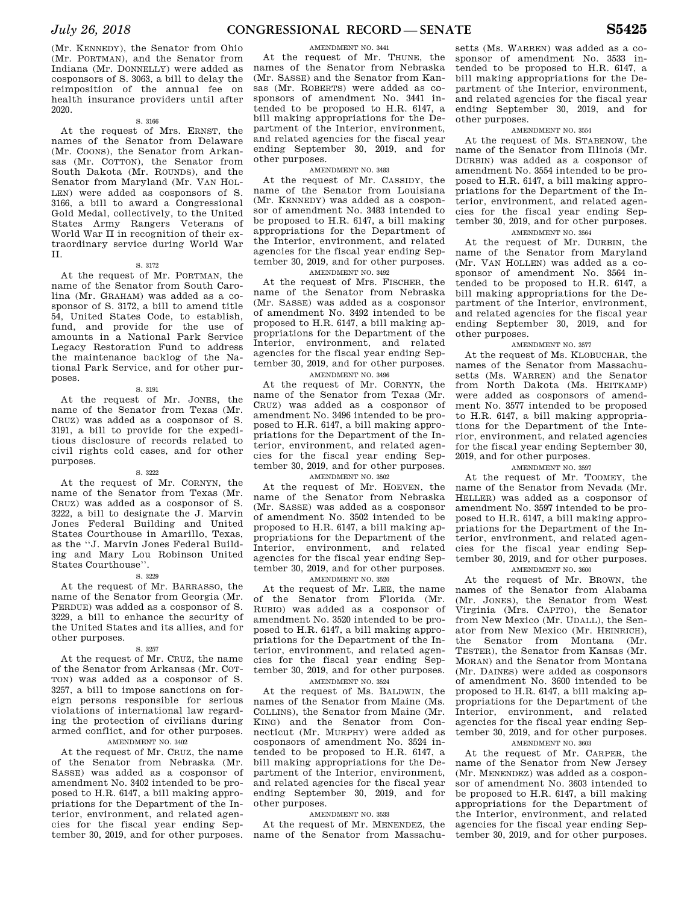### AMENDMENT NO. 3441

At the request of Mr. THUNE, the names of the Senator from Nebraska (Mr. SASSE) and the Senator from Kansas (Mr. ROBERTS) were added as cosponsors of amendment No. 3441 intended to be proposed to H.R. 6147, a bill making appropriations for the Department of the Interior, environment, and related agencies for the fiscal year ending September 30, 2019, and for other purposes.

AMENDMENT NO. 3483

At the request of Mr. CASSIDY, the name of the Senator from Louisiana (Mr. KENNEDY) was added as a cosponsor of amendment No. 3483 intended to be proposed to H.R. 6147, a bill making appropriations for the Department of the Interior, environment, and related agencies for the fiscal year ending September 30, 2019, and for other purposes.

AMENDMENT NO. 3492

At the request of Mrs. FISCHER, the name of the Senator from Nebraska (Mr. SASSE) was added as a cosponsor of amendment No. 3492 intended to be proposed to H.R. 6147, a bill making appropriations for the Department of the Interior, environment, and related agencies for the fiscal year ending September 30, 2019, and for other purposes.

### AMENDMENT NO. 3496

At the request of Mr. CORNYN, the name of the Senator from Texas (Mr. CRUZ) was added as a cosponsor of amendment No. 3496 intended to be proposed to H.R. 6147, a bill making appropriations for the Department of the Interior, environment, and related agencies for the fiscal year ending September 30, 2019, and for other purposes.

AMENDMENT NO. 3502

At the request of Mr. HOEVEN, the name of the Senator from Nebraska (Mr. SASSE) was added as a cosponsor of amendment No. 3502 intended to be proposed to H.R. 6147, a bill making appropriations for the Department of the Interior, environment, and related agencies for the fiscal year ending September 30, 2019, and for other purposes.

### AMENDMENT NO. 3520

At the request of Mr. LEE, the name of the Senator from Florida (Mr. RUBIO) was added as a cosponsor of amendment No. 3520 intended to be proposed to H.R. 6147, a bill making appropriations for the Department of the Interior, environment, and related agencies for the fiscal year ending September 30, 2019, and for other purposes. AMENDMENT NO. 3524

At the request of Ms. BALDWIN, the names of the Senator from Maine (Ms. COLLINS), the Senator from Maine (Mr. KING) and the Senator from Connecticut (Mr. MURPHY) were added as cosponsors of amendment No. 3524 intended to be proposed to H.R. 6147, a bill making appropriations for the Department of the Interior, environment, and related agencies for the fiscal year ending September 30, 2019, and for other purposes.

### AMENDMENT NO. 3533

At the request of Mr. MENENDEZ, the name of the Senator from Massachu-

setts (Ms. WARREN) was added as a cosponsor of amendment No. 3533 intended to be proposed to H.R. 6147, a bill making appropriations for the Department of the Interior, environment, and related agencies for the fiscal year ending September 30, 2019, and for other purposes.

### AMENDMENT NO. 3554

At the request of Ms. STABENOW, the name of the Senator from Illinois (Mr. DURBIN) was added as a cosponsor of amendment No. 3554 intended to be proposed to H.R. 6147, a bill making appropriations for the Department of the Interior, environment, and related agencies for the fiscal year ending September 30, 2019, and for other purposes.

### AMENDMENT NO. 3564

At the request of Mr. DURBIN, the name of the Senator from Maryland (Mr. VAN HOLLEN) was added as a cosponsor of amendment No. 3564 intended to be proposed to H.R. 6147, a bill making appropriations for the Department of the Interior, environment, and related agencies for the fiscal year ending September 30, 2019, and for other purposes.

### AMENDMENT NO. 3577

At the request of Ms. KLOBUCHAR, the names of the Senator from Massachusetts (Ms. WARREN) and the Senator from North Dakota (Ms. HEITKAMP) were added as cosponsors of amendment No. 3577 intended to be proposed to H.R. 6147, a bill making appropriations for the Department of the Interior, environment, and related agencies for the fiscal year ending September 30, 2019, and for other purposes.

AMENDMENT NO. 3597

At the request of Mr. TOOMEY, the name of the Senator from Nevada (Mr. HELLER) was added as a cosponsor of amendment No. 3597 intended to be proposed to H.R. 6147, a bill making appropriations for the Department of the Interior, environment, and related agencies for the fiscal year ending September 30, 2019, and for other purposes.

### AMENDMENT NO. 3600

At the request of Mr. BROWN, the names of the Senator from Alabama (Mr. JONES), the Senator from West Virginia (Mrs. CAPITO), the Senator from New Mexico (Mr. UDALL), the Senator from New Mexico (Mr. HEINRICH), the Senator from Montana (Mr. TESTER), the Senator from Kansas (Mr. MORAN) and the Senator from Montana (Mr. DAINES) were added as cosponsors of amendment No. 3600 intended to be proposed to H.R. 6147, a bill making appropriations for the Department of the Interior, environment, and related agencies for the fiscal year ending September 30, 2019, and for other purposes.

### AMENDMENT NO. 3603

At the request of Mr. CARPER, the name of the Senator from New Jersey (Mr. MENENDEZ) was added as a cosponsor of amendment No. 3603 intended to be proposed to H.R. 6147, a bill making appropriations for the Department of the Interior, environment, and related agencies for the fiscal year ending September 30, 2019, and for other purposes.

### (Mr. KENNEDY), the Senator from Ohio (Mr. PORTMAN), and the Senator from Indiana (Mr. DONNELLY) were added as cosponsors of S. 3063, a bill to delay the reimposition of the annual fee on health insurance providers until after 2020.

### S. 3166

At the request of Mrs. ERNST, the names of the Senator from Delaware (Mr. COONS), the Senator from Arkansas (Mr. COTTON), the Senator from South Dakota (Mr. ROUNDS), and the Senator from Maryland (Mr. VAN HOL-LEN) were added as cosponsors of S. 3166, a bill to award a Congressional Gold Medal, collectively, to the United States Army Rangers Veterans of World War II in recognition of their extraordinary service during World War II.

### S. 3172

At the request of Mr. PORTMAN, the name of the Senator from South Carolina (Mr. GRAHAM) was added as a cosponsor of S. 3172, a bill to amend title 54, United States Code, to establish, fund, and provide for the use of amounts in a National Park Service Legacy Restoration Fund to address the maintenance backlog of the National Park Service, and for other purposes.

### S. 3191

At the request of Mr. JONES, the name of the Senator from Texas (Mr. CRUZ) was added as a cosponsor of S. 3191, a bill to provide for the expeditious disclosure of records related to civil rights cold cases, and for other purposes.

### S. 3222

At the request of Mr. CORNYN, the name of the Senator from Texas (Mr. CRUZ) was added as a cosponsor of S. 3222, a bill to designate the J. Marvin Jones Federal Building and United States Courthouse in Amarillo, Texas, as the ''J. Marvin Jones Federal Building and Mary Lou Robinson United States Courthouse''.

### S. 3229

At the request of Mr. BARRASSO, the name of the Senator from Georgia (Mr. PERDUE) was added as a cosponsor of S. 3229, a bill to enhance the security of the United States and its allies, and for other purposes.

### S. 3257

At the request of Mr. CRUZ, the name of the Senator from Arkansas (Mr. COT-TON) was added as a cosponsor of S. 3257, a bill to impose sanctions on foreign persons responsible for serious violations of international law regarding the protection of civilians during armed conflict, and for other purposes.

### AMENDMENT NO. 3402

At the request of Mr. CRUZ, the name of the Senator from Nebraska (Mr. SASSE) was added as a cosponsor of amendment No. 3402 intended to be proposed to H.R. 6147, a bill making appropriations for the Department of the Interior, environment, and related agencies for the fiscal year ending September 30, 2019, and for other purposes.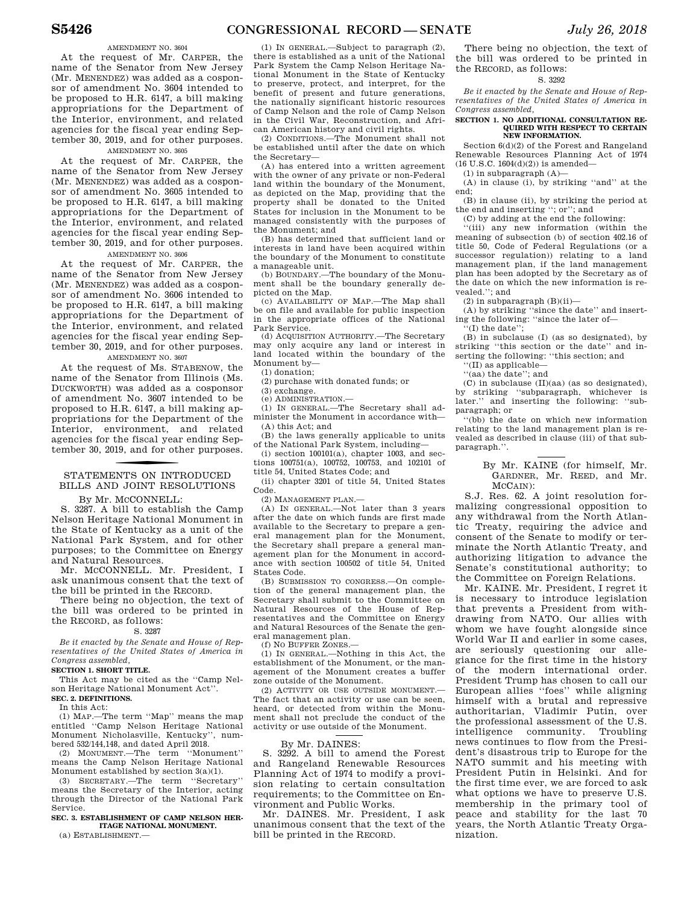### AMENDMENT NO. 3604

At the request of Mr. CARPER, the name of the Senator from New Jersey (Mr. MENENDEZ) was added as a cosponsor of amendment No. 3604 intended to be proposed to H.R. 6147, a bill making appropriations for the Department of the Interior, environment, and related agencies for the fiscal year ending September 30, 2019, and for other purposes.

### AMENDMENT NO. 3605

At the request of Mr. CARPER, the name of the Senator from New Jersey (Mr. MENENDEZ) was added as a cosponsor of amendment No. 3605 intended to be proposed to H.R. 6147, a bill making appropriations for the Department of the Interior, environment, and related agencies for the fiscal year ending September 30, 2019, and for other purposes.

AMENDMENT NO. 3606

At the request of Mr. CARPER, the name of the Senator from New Jersey (Mr. MENENDEZ) was added as a cosponsor of amendment No. 3606 intended to be proposed to H.R. 6147, a bill making appropriations for the Department of the Interior, environment, and related agencies for the fiscal year ending September 30, 2019, and for other purposes.

AMENDMENT NO. 3607

At the request of Ms. STABENOW, the name of the Senator from Illinois (Ms. DUCKWORTH) was added as a cosponsor of amendment No. 3607 intended to be proposed to H.R. 6147, a bill making appropriations for the Department of the Interior, environment, and related agencies for the fiscal year ending September 30, 2019, and for other purposes.

# STATEMENTS ON INTRODUCED BILLS AND JOINT RESOLUTIONS

By Mr. MCCONNELL:

S. 3287. A bill to establish the Camp Nelson Heritage National Monument in the State of Kentucky as a unit of the National Park System, and for other purposes; to the Committee on Energy and Natural Resources.

Mr. MCCONNELL. Mr. President, I ask unanimous consent that the text of the bill be printed in the RECORD.

There being no objection, the text of the bill was ordered to be printed in the RECORD, as follows:

### S. 3287

*Be it enacted by the Senate and House of Representatives of the United States of America in Congress assembled,* 

### **SECTION 1. SHORT TITLE.**

This Act may be cited as the ''Camp Nelson Heritage National Monument Act''.

**SEC. 2. DEFINITIONS.** 

In this Act:

(1) MAP.—The term ''Map'' means the map entitled ''Camp Nelson Heritage National Monument Nicholasville, Kentucky'', numbered 532/144,148, and dated April 2018.

(2) MONUMENT.—The term ''Monument'' means the Camp Nelson Heritage National Monument established by section 3(a)(1).

(3) SECRETARY.—The term ''Secretary'' means the Secretary of the Interior, acting through the Director of the National Park Service.

### **SEC. 3. ESTABLISHMENT OF CAMP NELSON HER-ITAGE NATIONAL MONUMENT.**

(a) ESTABLISHMENT.—

(1) IN GENERAL.—Subject to paragraph (2), there is established as a unit of the National Park System the Camp Nelson Heritage National Monument in the State of Kentucky to preserve, protect, and interpret, for the benefit of present and future generations, the nationally significant historic resources of Camp Nelson and the role of Camp Nelson in the Civil War, Reconstruction, and African American history and civil rights.

(2) CONDITIONS.—The Monument shall not be established until after the date on which the Secretary—

(A) has entered into a written agreement with the owner of any private or non-Federal land within the boundary of the Monument, as depicted on the Map, providing that the property shall be donated to the United States for inclusion in the Monument to be managed consistently with the purposes of the Monument; and

(B) has determined that sufficient land or interests in land have been acquired within the boundary of the Monument to constitute a manageable unit.

(b) BOUNDARY.—The boundary of the Monument shall be the boundary generally depicted on the Map.

(c) AVAILABILITY OF MAP.—The Map shall be on file and available for public inspection in the appropriate offices of the National Park Service.

(d) ACQUISITION AUTHORITY.—The Secretary may only acquire any land or interest in land located within the boundary of the Monument by—

(1) donation;

(2) purchase with donated funds; or

(3) exchange. (e) ADMINISTRATION.—

(1) IN GENERAL.—The Secretary shall administer the Monument in accordance with—  $(A)$  this  $Act$ ; and

(B) the laws generally applicable to units of the National Park System, including—

 $(i)$  section  $100101(a)$ , chapter 1003, and sections 100751(a), 100752, 100753, and 102101 of title 54, United States Code; and

(ii) chapter 3201 of title 54, United States Code.

(2) MANAGEMENT PLAN.—

(A) IN GENERAL.—Not later than 3 years after the date on which funds are first made available to the Secretary to prepare a general management plan for the Monument, the Secretary shall prepare a general management plan for the Monument in accordance with section 100502 of title 54, United States Code.

(B) SUBMISSION TO CONGRESS.—On completion of the general management plan, the Secretary shall submit to the Committee on Natural Resources of the House of Representatives and the Committee on Energy and Natural Resources of the Senate the general management plan.

(f) NO BUFFER ZONES.—

(1) IN GENERAL.—Nothing in this Act, the establishment of the Monument, or the management of the Monument creates a buffer zone outside of the Monument.

(2) ACTIVITY OR USE OUTSIDE MONUMENT.— The fact that an activity or use can be seen, heard, or detected from within the Monument shall not preclude the conduct of the activity or use outside of the Monument.

### By Mr. DAINES:

S. 3292. A bill to amend the Forest and Rangeland Renewable Resources Planning Act of 1974 to modify a provision relating to certain consultation requirements; to the Committee on Environment and Public Works.

Mr. DAINES. Mr. President, I ask unanimous consent that the text of the bill be printed in the RECORD.

There being no objection, the text of the bill was ordered to be printed in the RECORD, as follows:

### S. 3292

*Be it enacted by the Senate and House of Representatives of the United States of America in Congress assembled,* 

### **SECTION 1. NO ADDITIONAL CONSULTATION RE-QUIRED WITH RESPECT TO CERTAIN NEW INFORMATION.**

Section 6(d)(2) of the Forest and Rangeland Renewable Resources Planning Act of 1974  $(16 \text{ U.S.C. } 1604(d)(2))$  is amended—

(1) in subparagraph (A)—

(A) in clause (i), by striking ''and'' at the end;

(B) in clause (ii), by striking the period at the end and inserting ''; or''; and

(C) by adding at the end the following:

''(iii) any new information (within the meaning of subsection (b) of section 402.16 of title 50, Code of Federal Regulations (or a successor regulation)) relating to a land management plan, if the land management plan has been adopted by the Secretary as of the date on which the new information is revealed.''; and

(2) in subparagraph (B)(ii)—

(A) by striking ''since the date'' and inserting the following: ''since the later of—

''(I) the date''; (B) in subclause (I) (as so designated), by striking ''this section or the date'' and in-

serting the following: ''this section; and

''(II) as applicable—

''(aa) the date''; and

(C) in subclause (II)(aa) (as so designated), by striking ''subparagraph, whichever is later." and inserting the following: "subparagraph; or

''(bb) the date on which new information relating to the land management plan is revealed as described in clause (iii) of that subparagraph.''.

> By Mr. KAINE (for himself, Mr. GARDNER, Mr. REED, and Mr. MCCAIN):

S.J. Res. 62. A joint resolution formalizing congressional opposition to any withdrawal from the North Atlantic Treaty, requiring the advice and consent of the Senate to modify or terminate the North Atlantic Treaty, and authorizing litigation to advance the Senate's constitutional authority; to the Committee on Foreign Relations.

Mr. KAINE. Mr. President, I regret it is necessary to introduce legislation that prevents a President from withdrawing from NATO. Our allies with whom we have fought alongside since World War II and earlier in some cases, are seriously questioning our allegiance for the first time in the history of the modern international order. President Trump has chosen to call our European allies ''foes'' while aligning himself with a brutal and repressive authoritarian, Vladimir Putin, over the professional assessment of the U.S. intelligence community. Troubling news continues to flow from the President's disastrous trip to Europe for the NATO summit and his meeting with President Putin in Helsinki. And for the first time ever, we are forced to ask what options we have to preserve U.S. membership in the primary tool of peace and stability for the last 70 years, the North Atlantic Treaty Organization.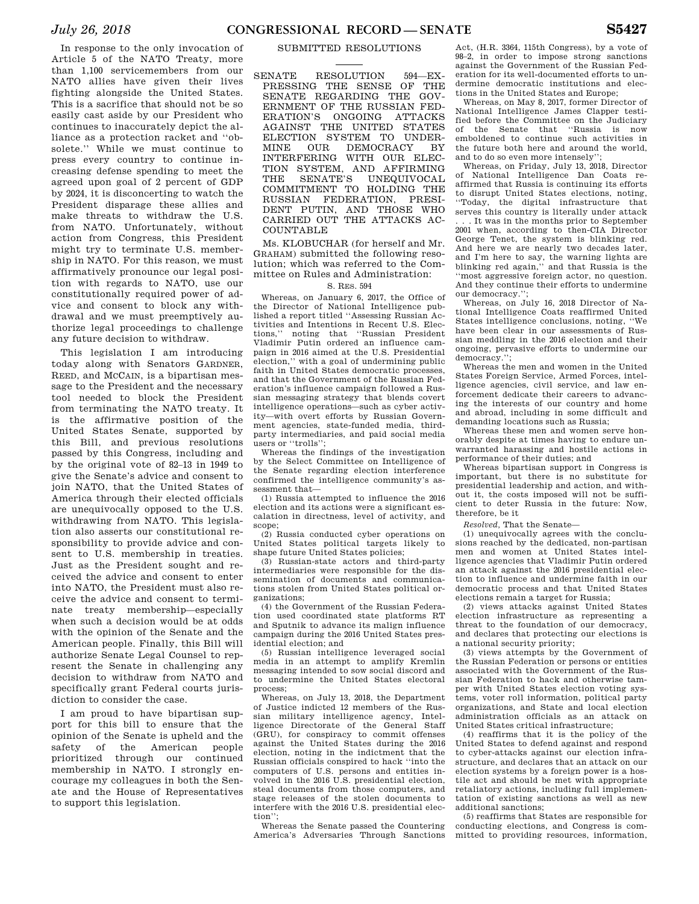In response to the only invocation of Article 5 of the NATO Treaty, more than 1,100 servicemembers from our NATO allies have given their lives fighting alongside the United States. This is a sacrifice that should not be so easily cast aside by our President who continues to inaccurately depict the alliance as a protection racket and ''obsolete.'' While we must continue to press every country to continue increasing defense spending to meet the agreed upon goal of 2 percent of GDP by 2024, it is disconcerting to watch the President disparage these allies and make threats to withdraw the U.S. from NATO. Unfortunately, without action from Congress, this President might try to terminate U.S. membership in NATO. For this reason, we must affirmatively pronounce our legal position with regards to NATO, use our constitutionally required power of advice and consent to block any withdrawal and we must preemptively authorize legal proceedings to challenge any future decision to withdraw.

This legislation I am introducing today along with Senators GARDNER, REED, and MCCAIN, is a bipartisan message to the President and the necessary tool needed to block the President from terminating the NATO treaty. It is the affirmative position of the United States Senate, supported by this Bill, and previous resolutions passed by this Congress, including and by the original vote of 82–13 in 1949 to give the Senate's advice and consent to join NATO, that the United States of America through their elected officials are unequivocally opposed to the U.S. withdrawing from NATO. This legislation also asserts our constitutional responsibility to provide advice and consent to U.S. membership in treaties. Just as the President sought and received the advice and consent to enter into NATO, the President must also receive the advice and consent to terminate treaty membership—especially when such a decision would be at odds with the opinion of the Senate and the American people. Finally, this Bill will authorize Senate Legal Counsel to represent the Senate in challenging any decision to withdraw from NATO and specifically grant Federal courts jurisdiction to consider the case.

I am proud to have bipartisan support for this bill to ensure that the opinion of the Senate is upheld and the safety of the American people prioritized through our continued membership in NATO. I strongly encourage my colleagues in both the Senate and the House of Representatives to support this legislation.

### SUBMITTED RESOLUTIONS

SENATE RESOLUTION 594—EX-PRESSING THE SENSE OF THE SENATE REGARDING THE GOV-ERNMENT OF THE RUSSIAN FED-ERATION'S ONGOING ATTACKS AGAINST THE UNITED STATES ELECTION SYSTEM TO UNDER-MINE OUR DEMOCRACY BY INTERFERING WITH OUR ELEC-TION SYSTEM, AND AFFIRMING THE SENATE'S UNEQUIVOCAL COMMITMENT TO HOLDING THE RUSSIAN FEDERATION, PRESI-DENT PUTIN, AND THOSE WHO CARRIED OUT THE ATTACKS AC-COUNTABLE

Ms. KLOBUCHAR (for herself and Mr. GRAHAM) submitted the following resolution; which was referred to the Committee on Rules and Administration:

### S. RES. 594

Whereas, on January 6, 2017, the Office of the Director of National Intelligence published a report titled ''Assessing Russian Activities and Intentions in Recent U.S. Elections,'' noting that ''Russian President Vladimir Putin ordered an influence campaign in 2016 aimed at the U.S. Presidential election,'' with a goal of undermining public faith in United States democratic processes, and that the Government of the Russian Federation's influence campaign followed a Russian messaging strategy that blends covert intelligence operations—such as cyber activity—with overt efforts by Russian Government agencies, state-funded media, thirdparty intermediaries, and paid social media users or ''trolls'';

Whereas the findings of the investigation by the Select Committee on Intelligence of the Senate regarding election interference confirmed the intelligence community's assessment that—

(1) Russia attempted to influence the 2016 election and its actions were a significant escalation in directness, level of activity, and scope:

(2) Russia conducted cyber operations on United States political targets likely to shape future United States policies;

(3) Russian-state actors and third-party intermediaries were responsible for the dissemination of documents and communications stolen from United States political organizations;

(4) the Government of the Russian Federation used coordinated state platforms RT and Sputnik to advance its malign influence campaign during the 2016 United States presidential election; and

(5) Russian intelligence leveraged social media in an attempt to amplify Kremlin messaging intended to sow social discord and to undermine the United States electoral process;

Whereas, on July 13, 2018, the Department of Justice indicted 12 members of the Russian military intelligence agency, Intelligence Directorate of the General Staff (GRU), for conspiracy to commit offenses against the United States during the 2016 election, noting in the indictment that the Russian officials conspired to hack ''into the computers of U.S. persons and entities involved in the 2016 U.S. presidential election, steal documents from those computers, and stage releases of the stolen documents to interfere with the 2016 U.S. presidential election'';

Whereas the Senate passed the Countering America's Adversaries Through Sanctions

Act, (H.R. 3364, 115th Congress), by a vote of 98–2, in order to impose strong sanctions against the Government of the Russian Federation for its well-documented efforts to undermine democratic institutions and elections in the United States and Europe;

Whereas, on May 8, 2017, former Director of National Intelligence James Clapper testified before the Committee on the Judiciary of the Senate that ''Russia is now emboldened to continue such activities in the future both here and around the world, and to do so even more intensely"

Whereas, on Friday, July 13, 2018, Director of National Intelligence Dan Coats reaffirmed that Russia is continuing its efforts to disrupt United States elections, noting, ''Today, the digital infrastructure that serves this country is literally under attack . . . It was in the months prior to September 2001 when, according to then-CIA Director George Tenet, the system is blinking red. And here we are nearly two decades later, and I'm here to say, the warning lights are blinking red again,'' and that Russia is the ''most aggressive foreign actor, no question. And they continue their efforts to undermine our democracy.'

Whereas, on July 16, 2018 Director of National Intelligence Coats reaffirmed United States intelligence conclusions, noting, ''We have been clear in our assessments of Russian meddling in the 2016 election and their ongoing, pervasive efforts to undermine our democracy.'';

Whereas the men and women in the United States Foreign Service, Armed Forces, intelligence agencies, civil service, and law enforcement dedicate their careers to advancing the interests of our country and home and abroad, including in some difficult and demanding locations such as Russia;

Whereas these men and women serve honorably despite at times having to endure unwarranted harassing and hostile actions in performance of their duties; and

Whereas bipartisan support in Congress is important, but there is no substitute for presidential leadership and action, and without it, the costs imposed will not be sufficient to deter Russia in the future: Now, therefore, be it

*Resolved,* That the Senate—

(1) unequivocally agrees with the conclusions reached by the dedicated, non-partisan men and women at United States intelligence agencies that Vladimir Putin ordered an attack against the 2016 presidential election to influence and undermine faith in our democratic process and that United States elections remain a target for Russia;

(2) views attacks against United States election infrastructure as representing a threat to the foundation of our democracy, and declares that protecting our elections is a national security priority;

(3) views attempts by the Government of the Russian Federation or persons or entities associated with the Government of the Russian Federation to hack and otherwise tamper with United States election voting systems, voter roll information, political party organizations, and State and local election administration officials as an attack on United States critical infrastructure;

(4) reaffirms that it is the policy of the United States to defend against and respond to cyber-attacks against our election infrastructure, and declares that an attack on our election systems by a foreign power is a hostile act and should be met with appropriate retaliatory actions, including full implementation of existing sanctions as well as new additional sanctions;

(5) reaffirms that States are responsible for conducting elections, and Congress is committed to providing resources, information,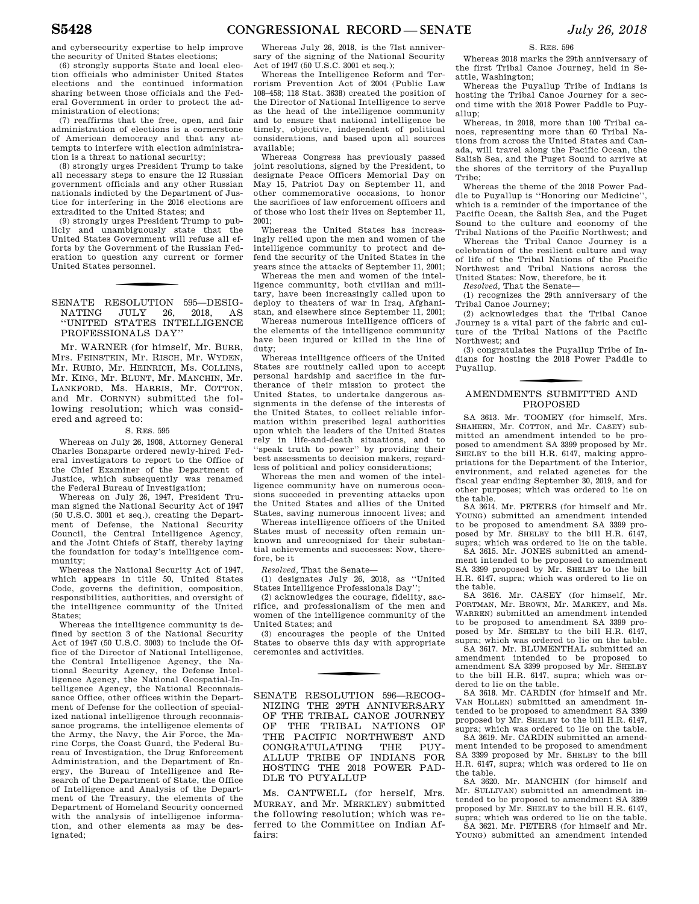and cybersecurity expertise to help improve the security of United States elections;

(6) strongly supports State and local election officials who administer United States elections and the continued information sharing between those officials and the Federal Government in order to protect the administration of elections;

(7) reaffirms that the free, open, and fair administration of elections is a cornerstone of American democracy and that any attempts to interfere with election administration is a threat to national security;

(8) strongly urges President Trump to take all necessary steps to ensure the 12 Russian government officials and any other Russian nationals indicted by the Department of Justice for interfering in the 2016 elections are extradited to the United States; and

(9) strongly urges President Trump to publicly and unambiguously state that the United States Government will refuse all efforts by the Government of the Russian Federation to question any current or former United States personnel.

SENATE RESOLUTION 595-DESIGNATING JULY 26, 2018, AS NATING ''UNITED STATES INTELLIGENCE PROFESSIONALS DAY''

Mr. WARNER (for himself, Mr. BURR, Mrs. FEINSTEIN, Mr. RISCH, Mr. WYDEN, Mr. RUBIO, Mr. HEINRICH, Ms. COLLINS, Mr. KING, Mr. BLUNT, Mr. MANCHIN, Mr. LANKFORD, Ms. HARRIS, Mr. COTTON, and Mr. CORNYN) submitted the following resolution; which was considered and agreed to:

### S. RES. 595

Whereas on July 26, 1908, Attorney General Charles Bonaparte ordered newly-hired Federal investigators to report to the Office of the Chief Examiner of the Department of Justice, which subsequently was renamed the Federal Bureau of Investigation;

Whereas on July 26, 1947, President Truman signed the National Security Act of 1947 (50 U.S.C. 3001 et seq.), creating the Department of Defense, the National Security Council, the Central Intelligence Agency, and the Joint Chiefs of Staff, thereby laying the foundation for today's intelligence community;

Whereas the National Security Act of 1947, which appears in title 50, United States Code, governs the definition, composition, responsibilities, authorities, and oversight of the intelligence community of the United States;

Whereas the intelligence community is defined by section 3 of the National Security Act of 1947 (50 U.S.C. 3003) to include the Office of the Director of National Intelligence, the Central Intelligence Agency, the National Security Agency, the Defense Intelligence Agency, the National Geospatial-Intelligence Agency, the National Reconnaissance Office, other offices within the Department of Defense for the collection of specialized national intelligence through reconnaissance programs, the intelligence elements of the Army, the Navy, the Air Force, the Marine Corps, the Coast Guard, the Federal Bureau of Investigation, the Drug Enforcement Administration, and the Department of Energy, the Bureau of Intelligence and Research of the Department of State, the Office of Intelligence and Analysis of the Department of the Treasury, the elements of the Department of Homeland Security concerned with the analysis of intelligence information, and other elements as may be designated;

Whereas July 26, 2018, is the 71st anniversary of the signing of the National Security Act of 1947 (50 U.S.C. 3001 et seq.);

Whereas the Intelligence Reform and Terrorism Prevention Act of 2004 (Public Law 108–458; 118 Stat. 3638) created the position of the Director of National Intelligence to serve as the head of the intelligence community and to ensure that national intelligence be timely, objective, independent of political considerations, and based upon all sources available;

Whereas Congress has previously passed joint resolutions, signed by the President, to designate Peace Officers Memorial Day on May 15, Patriot Day on September 11, and other commemorative occasions, to honor the sacrifices of law enforcement officers and of those who lost their lives on September 11,  $2001$ 

Whereas the United States has increasingly relied upon the men and women of the intelligence community to protect and defend the security of the United States in the years since the attacks of September 11, 2001;

Whereas the men and women of the intelligence community, both civilian and military, have been increasingly called upon to deploy to theaters of war in Iraq, Afghanistan, and elsewhere since September 11, 2001;

Whereas numerous intelligence officers of the elements of the intelligence community have been injured or killed in the line of duty;

Whereas intelligence officers of the United States are routinely called upon to accept personal hardship and sacrifice in the furtherance of their mission to protect the United States, to undertake dangerous assignments in the defense of the interests of the United States, to collect reliable information within prescribed legal authorities upon which the leaders of the United States rely in life-and-death situations, and to ''speak truth to power'' by providing their best assessments to decision makers, regardless of political and policy considerations;

Whereas the men and women of the intelligence community have on numerous occasions succeeded in preventing attacks upon the United States and allies of the United States, saving numerous innocent lives; and

Whereas intelligence officers of the United States must of necessity often remain unknown and unrecognized for their substantial achievements and successes: Now, therefore, be it

*Resolved,* That the Senate—

(1) designates July 26, 2018, as ''United States Intelligence Professionals Day'';

(2) acknowledges the courage, fidelity, sacrifice, and professionalism of the men and women of the intelligence community of the United States; and

(3) encourages the people of the United States to observe this day with appropriate ceremonies and activities.

SENATE RESOLUTION 596—RECOG-NIZING THE 29TH ANNIVERSARY OF THE TRIBAL CANOE JOURNEY OF THE TRIBAL NATIONS OF THE PACIFIC NORTHWEST AND CONGRATULATING THE PUY-ALLUP TRIBE OF INDIANS FOR HOSTING THE 2018 POWER PAD-DLE TO PUYALLUP

Ms. CANTWELL (for herself, Mrs. MURRAY, and Mr. MERKLEY) submitted the following resolution; which was referred to the Committee on Indian Affairs:

S. RES. 596

Whereas 2018 marks the 29th anniversary of the first Tribal Canoe Journey, held in Seattle, Washington;

Whereas the Puyallup Tribe of Indians is hosting the Tribal Canoe Journey for a second time with the 2018 Power Paddle to Puyallup;

Whereas, in 2018, more than 100 Tribal canoes, representing more than 60 Tribal Nations from across the United States and Canada, will travel along the Pacific Ocean, the Salish Sea, and the Puget Sound to arrive at the shores of the territory of the Puyallup Tribe;

Whereas the theme of the 2018 Power Paddle to Puyallup is ''Honoring our Medicine'', which is a reminder of the importance of the Pacific Ocean, the Salish Sea, and the Puget Sound to the culture and economy of the Tribal Nations of the Pacific Northwest; and

Whereas the Tribal Canoe Journey is a celebration of the resilient culture and way of life of the Tribal Nations of the Pacific Northwest and Tribal Nations across the United States: Now, therefore, be it

*Resolved,* That the Senate—

(1) recognizes the 29th anniversary of the Tribal Canoe Journey;

(2) acknowledges that the Tribal Canoe Journey is a vital part of the fabric and culture of the Tribal Nations of the Pacific Northwest; and

(3) congratulates the Puyallup Tribe of Indians for hosting the 2018 Power Paddle to Puyallup.

### f AMENDMENTS SUBMITTED AND PROPOSED

SA 3613. Mr. TOOMEY (for himself, Mrs. SHAHEEN, Mr. COTTON, and Mr. CASEY) submitted an amendment intended to be proposed to amendment SA 3399 proposed by Mr. SHELBY to the bill H.R. 6147, making appropriations for the Department of the Interior, environment, and related agencies for the fiscal year ending September 30, 2019, and for other purposes; which was ordered to lie on the table.

SA 3614. Mr. PETERS (for himself and Mr. YOUNG) submitted an amendment intended to be proposed to amendment SA 3399 proposed by Mr. SHELBY to the bill H.R. 6147, supra; which was ordered to lie on the table.

SA 3615. Mr. JONES submitted an amendment intended to be proposed to amendment SA 3399 proposed by Mr. SHELBY to the bill H.R. 6147, supra; which was ordered to lie on the table.

SA 3616. Mr. CASEY (for himself, Mr. PORTMAN, Mr. BROWN, Mr. MARKEY, and Ms. WARREN) submitted an amendment intended to be proposed to amendment SA 3399 proposed by Mr. SHELBY to the bill H.R. 6147, supra; which was ordered to lie on the table.

SA 3617. Mr. BLUMENTHAL submitted an amendment intended to be proposed to amendment SA 3399 proposed by Mr. SHELBY to the bill H.R. 6147, supra; which was ordered to lie on the table.

SA 3618. Mr. CARDIN (for himself and Mr. VAN HOLLEN) submitted an amendment intended to be proposed to amendment SA 3399 proposed by Mr. SHELBY to the bill H.R. 6147, supra; which was ordered to lie on the table.

SA 3619. Mr. CARDIN submitted an amendment intended to be proposed to amendment SA 3399 proposed by Mr. SHELBY to the bill H.R. 6147, supra; which was ordered to lie on the table. SA 3620. Mr. MANCHIN (for himself and

Mr. SULLIVAN) submitted an amendment intended to be proposed to amendment SA 3399 proposed by Mr. SHELBY to the bill H.R. 6147, supra; which was ordered to lie on the table.

SA 3621. Mr. PETERS (for himself and Mr. YOUNG) submitted an amendment intended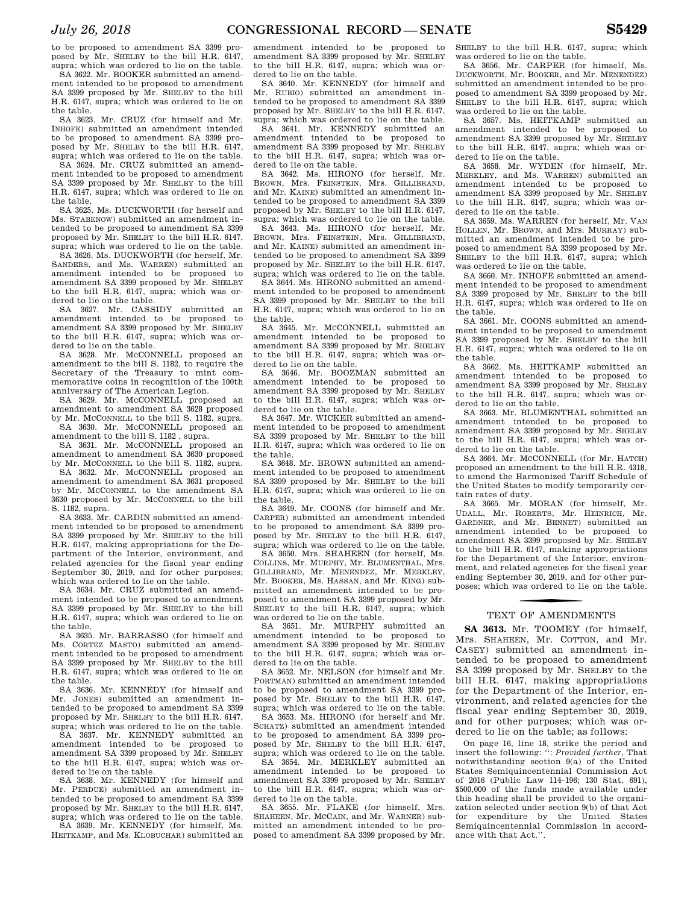to be proposed to amendment SA 3399 proposed by Mr. SHELBY to the bill H.R. 6147, supra; which was ordered to lie on the table.

SA 3622. Mr. BOOKER submitted an amendment intended to be proposed to amendment SA 3399 proposed by Mr. SHELBY to the bill H.R. 6147, supra; which was ordered to lie on the table.

SA 3623. Mr. CRUZ (for himself and Mr. INHOFE) submitted an amendment intended to be proposed to amendment SA 3399 proposed by Mr. SHELBY to the bill H.R. 6147, supra; which was ordered to lie on the table.

SA 3624. Mr. CRUZ submitted an amendment intended to be proposed to amendment SA 3399 proposed by Mr. SHELBY to the bill H.R. 6147, supra; which was ordered to lie on the table.

SA 3625. Ms. DUCKWORTH (for herself and Ms. STABENOW) submitted an amendment intended to be proposed to amendment SA 3399 proposed by Mr. SHELBY to the bill H.R. 6147, supra; which was ordered to lie on the table.

SA 3626. Ms. DUCKWORTH (for herself, Mr. SANDERS, and Ms. WARREN) submitted an amendment intended to be proposed to amendment SA 3399 proposed by Mr. SHELBY to the bill H.R. 6147, supra; which was ordered to lie on the table.

SA 3627. Mr. CASSIDY submitted an amendment intended to be proposed to amendment SA 3399 proposed by Mr. SHELBY to the bill H.R. 6147, supra; which was ordered to lie on the table.

SA 3628. Mr. McCONNELL proposed an amendment to the bill S. 1182, to require the Secretary of the Treasury to mint commemorative coins in recognition of the 100th anniversary of The American Legion.

SA 3629. Mr. McCONNELL proposed an amendment to amendment SA 3628 proposed by Mr. MCCONNELL to the bill S. 1182, supra. SA 3630. Mr. McCONNELL proposed an

amendment to the bill S. 1182 , supra.

SA 3631. Mr. McCONNELL proposed an amendment to amendment SA 3630 proposed by Mr. MCCONNELL to the bill S. 1182, supra.

SA 3632. Mr. McCONNELL proposed an amendment to amendment SA 3631 proposed by Mr. MCCONNELL to the amendment SA 3630 proposed by Mr. MCCONNELL to the bill S. 1182, supra.

SA 3633. Mr. CARDIN submitted an amendment intended to be proposed to amendment SA 3399 proposed by Mr. SHELBY to the bill H.R. 6147, making appropriations for the Department of the Interior, environment, and related agencies for the fiscal year ending September 30, 2019, and for other purposes; which was ordered to lie on the table.

SA 3634. Mr. CRUZ submitted an amendment intended to be proposed to amendment SA 3399 proposed by Mr. SHELBY to the bill H.R. 6147, supra; which was ordered to lie on the table.

SA 3635. Mr. BARRASSO (for himself and Ms. CORTEZ MASTO) submitted an amendment intended to be proposed to amendment SA 3399 proposed by Mr. SHELBY to the bill H.R. 6147, supra; which was ordered to lie on the table.

SA 3636. Mr. KENNEDY (for himself and Mr. JONES) submitted an amendment intended to be proposed to amendment SA 3399 proposed by Mr. SHELBY to the bill H.R. 6147, supra; which was ordered to lie on the table.

SA 3637. Mr. KENNEDY submitted an amendment intended to be proposed to amendment SA 3399 proposed by Mr. SHELBY to the bill H.R. 6147, supra; which was ordered to lie on the table.

SA 3638. Mr. KENNEDY (for himself and Mr. PERDUE) submitted an amendment intended to be proposed to amendment SA 3399 proposed by Mr. SHELBY to the bill H.R. 6147, supra; which was ordered to lie on the table.

SA 3639. Mr. KENNEDY (for himself, Ms. HEITKAMP, and Ms. KLOBUCHAR) submitted an

amendment intended to be proposed to amendment SA 3399 proposed by Mr. SHELBY to the bill H.R. 6147, supra; which was ordered to lie on the table.

SA 3640. Mr. KENNEDY (for himself and Mr. RUBIO) submitted an amendment intended to be proposed to amendment SA 3399 proposed by Mr. SHELBY to the bill H.R. 6147, supra; which was ordered to lie on the table.

SA 3641. Mr. KENNEDY submitted an amendment intended to be proposed to amendment SA 3399 proposed by Mr. SHELBY to the bill H.R. 6147, supra; which was ordered to lie on the table.

SA 3642. Ms. HIRONO (for herself, Mr. BROWN, Mrs. FEINSTEIN, Mrs. GILLIBRAND, and Mr. KAINE) submitted an amendment intended to be proposed to amendment SA 3399 proposed by Mr. SHELBY to the bill H.R. 6147, supra; which was ordered to lie on the table.

SA 3643. Ms. HIRONO (for herself, Mr. BROWN, Mrs. FEINSTEIN, Mrs. GILLIBRAND, and Mr. KAINE) submitted an amendment intended to be proposed to amendment SA 3399 proposed by Mr. SHELBY to the bill H.R. 6147, supra; which was ordered to lie on the table.

SA 3644. Ms. HIRONO submitted an amendment intended to be proposed to amendment SA 3399 proposed by Mr. SHELBY to the bill H.R. 6147, supra; which was ordered to lie on the table.

SA 3645. Mr. MCCONNELL submitted an amendment intended to be proposed to amendment SA 3399 proposed by Mr. SHELBY to the bill H.R. 6147, supra; which was ordered to lie on the table.

SA 3646. Mr. BOOZMAN submitted an amendment intended to be proposed to amendment SA 3399 proposed by Mr. SHELBY to the bill H.R. 6147, supra; which was ordered to lie on the table.

SA 3647. Mr. WICKER submitted an amendment intended to be proposed to amendment SA 3399 proposed by Mr. SHELBY to the bill H.R. 6147, supra; which was ordered to lie on the table.

SA 3648. Mr. BROWN submitted an amendment intended to be proposed to amendment SA 3399 proposed by Mr. SHELBY to the bill H.R. 6147, supra; which was ordered to lie on the table.

SA 3649. Mr. COONS (for himself and Mr. CARPER) submitted an amendment intended to be proposed to amendment SA 3399 proposed by Mr. SHELBY to the bill H.R. 6147, supra; which was ordered to lie on the table.

SA 3650. Mrs. SHAHEEN (for herself, Ms. COLLINS, Mr. MURPHY, Mr. BLUMENTHAL, Mrs. GILLIBRAND, Mr. MENENDEZ, Mr. MERKLEY, Mr. BOOKER, Ms. HASSAN, and Mr. KING) submitted an amendment intended to be proposed to amendment SA 3399 proposed by Mr. SHELBY to the bill H.R. 6147, supra; which was ordered to lie on the table.

SA 3651. Mr. MURPHY submitted an amendment intended to be proposed to amendment SA 3399 proposed by Mr. SHELBY to the bill H.R. 6147, supra; which was ordered to lie on the table.

SA 3652. Mr. NELSON (for himself and Mr. PORTMAN) submitted an amendment intended to be proposed to amendment SA 3399 proposed by Mr. SHELBY to the bill H.R. 6147, supra; which was ordered to lie on the table. SA 3653. Ms. HIRONO (for herself and Mr. SCHATZ) submitted an amendment intended to be proposed to amendment SA 3399 pro-

posed by Mr. SHELBY to the bill H.R. 6147, supra; which was ordered to lie on the table. SA 3654. Mr. MERKLEY submitted an amendment intended to be proposed to amendment SA 3399 proposed by Mr. SHELBY

to the bill H.R. 6147, supra; which was ordered to lie on the table.

SA 3655. Mr. FLAKE (for himself, Mrs. SHAHEEN, Mr. MCCAIN, and Mr. WARNER) submitted an amendment intended to be proposed to amendment SA 3399 proposed by Mr. SHELBY to the bill H.R. 6147, supra; which was ordered to lie on the table.

SA 3656. Mr. CARPER (for himself, Ms. DUCKWORTH, Mr. BOOKER, and Mr. MENENDEZ) submitted an amendment intended to be proposed to amendment SA 3399 proposed by Mr. SHELBY to the bill H.R. 6147, supra; which was ordered to lie on the table.

SA 3657. Ms. HEITKAMP submitted an amendment intended to be proposed to amendment SA 3399 proposed by Mr. SHELBY to the bill H.R. 6147, supra; which was ordered to lie on the table.

SA 3658. Mr. WYDEN (for himself, Mr. MERKLEY, and Ms. WARREN) submitted an amendment intended to be proposed to amendment SA 3399 proposed by Mr. SHELBY to the bill H.R. 6147, supra; which was ordered to lie on the table.

SA 3659. Ms. WARREN (for herself, Mr. VAN HOLLEN, Mr. BROWN, and Mrs. MURRAY) submitted an amendment intended to be proposed to amendment SA 3399 proposed by Mr. SHELBY to the bill H.R. 6147, supra; which was ordered to lie on the table.

SA 3660. Mr. INHOFE submitted an amendment intended to be proposed to amendment SA 3399 proposed by Mr. SHELBY to the bill H.R. 6147, supra; which was ordered to lie on the table.

SA 3661. Mr. COONS submitted an amendment intended to be proposed to amendment SA 3399 proposed by Mr. SHELBY to the bill H.R. 6147, supra; which was ordered to lie on the table.

SA 3662. Ms. HEITKAMP submitted an amendment intended to be proposed to amendment SA 3399 proposed by Mr. SHELBY to the bill H.R. 6147, supra; which was ordered to lie on the table.

SA 3663. Mr. BLUMENTHAL submitted an amendment intended to be proposed to amendment SA 3399 proposed by Mr. SHELBY to the bill H.R. 6147, supra; which was ordered to lie on the table.

SA 3664. Mr. MCCONNELL (for Mr. HATCH) proposed an amendment to the bill H.R. 4318, to amend the Harmonized Tariff Schedule of the United States to modify temporarily certain rates of duty.

SA 3665. Mr. MORAN (for himself, Mr. UDALL, Mr. ROBERTS, Mr. HEINRICH, Mr. GARDNER, and Mr. BENNET) submitted an amendment intended to be proposed to amendment SA 3399 proposed by Mr. SHELBY to the bill H.R. 6147, making appropriations for the Department of the Interior, environment, and related agencies for the fiscal year ending September 30, 2019, and for other purposes; which was ordered to lie on the table.

# TEXT OF AMENDMENTS

**SA 3613.** Mr. TOOMEY (for himself, Mrs. SHAHEEN, Mr. COTTON, and Mr. CASEY) submitted an amendment intended to be proposed to amendment SA 3399 proposed by Mr. SHELBY to the bill H.R. 6147, making appropriations for the Department of the Interior, environment, and related agencies for the fiscal year ending September 30, 2019, and for other purposes; which was ordered to lie on the table; as follows:

On page 16, line 18, strike the period and insert the following: '': *Provided further*, That notwithstanding section 9(a) of the United States Semiquincentennial Commission Act of 2016 (Public Law 114–196; 130 Stat. 691), \$500,000 of the funds made available under this heading shall be provided to the organization selected under section 9(b) of that Act for expenditure by the United States Semiquincentennial Commission in accordance with that Act.''.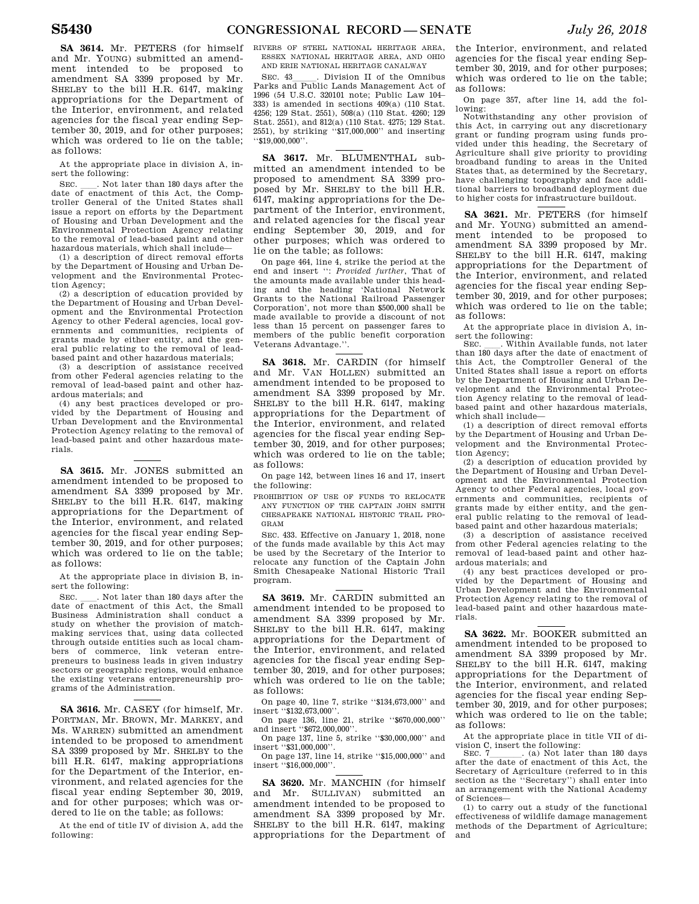**SA 3614.** Mr. PETERS (for himself and Mr. YOUNG) submitted an amendment intended to be proposed to amendment SA 3399 proposed by Mr. SHELBY to the bill H.R. 6147, making appropriations for the Department of the Interior, environment, and related agencies for the fiscal year ending September 30, 2019, and for other purposes; which was ordered to lie on the table; as follows:

At the appropriate place in division A, insert the following:

SEC.  $\quad$  Not later than 180 days after the date of enactment of this Act, the Comptroller General of the United States shall issue a report on efforts by the Department of Housing and Urban Development and the Environmental Protection Agency relating to the removal of lead-based paint and other hazardous materials, which shall include—

(1) a description of direct removal efforts by the Department of Housing and Urban Development and the Environmental Protection Agency;

(2) a description of education provided by the Department of Housing and Urban Development and the Environmental Protection Agency to other Federal agencies, local governments and communities, recipients of grants made by either entity, and the general public relating to the removal of leadbased paint and other hazardous materials;

(3) a description of assistance received from other Federal agencies relating to the removal of lead-based paint and other hazardous materials; and

(4) any best practices developed or provided by the Department of Housing and Urban Development and the Environmental Protection Agency relating to the removal of lead-based paint and other hazardous materials.

**SA 3615.** Mr. JONES submitted an amendment intended to be proposed to amendment SA 3399 proposed by Mr. SHELBY to the bill H.R. 6147, making appropriations for the Department of the Interior, environment, and related agencies for the fiscal year ending September 30, 2019, and for other purposes; which was ordered to lie on the table; as follows:

At the appropriate place in division B, insert the following:

SEC.  $\quad$  Not later than 180 days after the date of enactment of this Act, the Small Business Administration shall conduct a study on whether the provision of matchmaking services that, using data collected through outside entities such as local chambers of commerce, link veteran entrepreneurs to business leads in given industry sectors or geographic regions, would enhance the existing veterans entrepreneurship programs of the Administration.

**SA 3616.** Mr. CASEY (for himself, Mr. PORTMAN, Mr. BROWN, Mr. MARKEY, and Ms. WARREN) submitted an amendment intended to be proposed to amendment SA 3399 proposed by Mr. SHELBY to the bill H.R. 6147, making appropriations for the Department of the Interior, environment, and related agencies for the fiscal year ending September 30, 2019, and for other purposes; which was ordered to lie on the table; as follows:

At the end of title IV of division A, add the following:

RIVERS OF STEEL NATIONAL HERITAGE AREA, ESSEX NATIONAL HERITAGE AREA, AND OHIO AND ERIE NATIONAL HERITAGE CANALWAY

SEC. 43\_\_\_\_\_. Division II of the Omnibus Parks and Public Lands Management Act of 1996 (54 U.S.C. 320101 note; Public Law 104– 333) is amended in sections 409(a) (110 Stat. 4256; 129 Stat. 2551), 508(a) (110 Stat. 4260; 129 Stat. 2551), and 812(a) (110 Stat. 4275; 129 Stat. 2551), by striking ''\$17,000,000'' and inserting ''\$19,000,000''.

**SA 3617.** Mr. BLUMENTHAL submitted an amendment intended to be proposed to amendment SA 3399 proposed by Mr. SHELBY to the bill H.R. 6147, making appropriations for the Department of the Interior, environment, and related agencies for the fiscal year ending September 30, 2019, and for other purposes; which was ordered to lie on the table; as follows:

On page 464, line 4, strike the period at the end and insert '': *Provided further*, That of the amounts made available under this heading and the heading 'National Network Grants to the National Railroad Passenger Corporation', not more than \$500,000 shall be made available to provide a discount of not less than 15 percent on passenger fares to members of the public benefit corporation Veterans Advantage.''.

**SA 3618.** Mr. CARDIN (for himself and Mr. VAN HOLLEN) submitted an amendment intended to be proposed to amendment SA 3399 proposed by Mr. SHELBY to the bill H.R. 6147, making appropriations for the Department of the Interior, environment, and related agencies for the fiscal year ending September 30, 2019, and for other purposes; which was ordered to lie on the table; as follows:

On page 142, between lines 16 and 17, insert the following:

PROHIBITION OF USE OF FUNDS TO RELOCATE ANY FUNCTION OF THE CAPTAIN JOHN SMITH CHESAPEAKE NATIONAL HISTORIC TRAIL PRO-GRAM

SEC. 433. Effective on January 1, 2018, none of the funds made available by this Act may be used by the Secretary of the Interior to relocate any function of the Captain John Smith Chesapeake National Historic Trail program.

**SA 3619.** Mr. CARDIN submitted an amendment intended to be proposed to amendment SA 3399 proposed by Mr. SHELBY to the bill H.R. 6147, making appropriations for the Department of the Interior, environment, and related agencies for the fiscal year ending September 30, 2019, and for other purposes; which was ordered to lie on the table; as follows:

On page 40, line 7, strike ''\$134,673,000'' and insert ''\$132,673,000''.

On page 136, line 21, strike ''\$670,000,000'' and insert ''\$672,000,000''.

On page 137, line 5, strike ''\$30,000,000'' and insert ''\$31,000,000''.

On page 137, line 14, strike ''\$15,000,000'' and insert ''\$16,000,000''.

**SA 3620.** Mr. MANCHIN (for himself and Mr. SULLIVAN) submitted an amendment intended to be proposed to amendment SA 3399 proposed by Mr. SHELBY to the bill H.R. 6147, making appropriations for the Department of

the Interior, environment, and related agencies for the fiscal year ending September 30, 2019, and for other purposes; which was ordered to lie on the table; as follows:

On page 357, after line 14, add the following:

Notwithstanding any other provision of this Act, in carrying out any discretionary grant or funding program using funds provided under this heading, the Secretary of Agriculture shall give priority to providing broadband funding to areas in the United States that, as determined by the Secretary, have challenging topography and face additional barriers to broadband deployment due to higher costs for infrastructure buildout.

**SA 3621.** Mr. PETERS (for himself and Mr. YOUNG) submitted an amendment intended to be proposed to amendment SA 3399 proposed by Mr. SHELBY to the bill H.R. 6147, making appropriations for the Department of the Interior, environment, and related agencies for the fiscal year ending September 30, 2019, and for other purposes; which was ordered to lie on the table; as follows:

At the appropriate place in division A, insert the following:<br>SEC. . Within Available funds, not later

SEC. Within Available funds, not later than 180 days after the date of enactment of this Act, the Comptroller General of the United States shall issue a report on efforts by the Department of Housing and Urban Development and the Environmental Protection Agency relating to the removal of leadbased paint and other hazardous materials, which shall include—

(1) a description of direct removal efforts by the Department of Housing and Urban Development and the Environmental Protection Agency;

(2) a description of education provided by the Department of Housing and Urban Development and the Environmental Protection Agency to other Federal agencies, local governments and communities, recipients of grants made by either entity, and the general public relating to the removal of leadbased paint and other hazardous materials;

(3) a description of assistance received from other Federal agencies relating to the removal of lead-based paint and other hazardous materials; and

(4) any best practices developed or provided by the Department of Housing and Urban Development and the Environmental Protection Agency relating to the removal of lead-based paint and other hazardous materials.

**SA 3622.** Mr. BOOKER submitted an amendment intended to be proposed to amendment SA 3399 proposed by Mr. SHELBY to the bill H.R. 6147, making appropriations for the Department of the Interior, environment, and related agencies for the fiscal year ending September 30, 2019, and for other purposes; which was ordered to lie on the table; as follows:

At the appropriate place in title VII of division C, insert the following:<br>SEC. 7 (a) Not later than 180 days

SEC. 7\_\_\_\_\_\_\_. (a) Not later than 180 days<br>after the date of enactment of this Act, the Secretary of Agriculture (referred to in this section as the ''Secretary'') shall enter into an arrangement with the National Academy of Sciences—

(1) to carry out a study of the functional effectiveness of wildlife damage management methods of the Department of Agriculture; and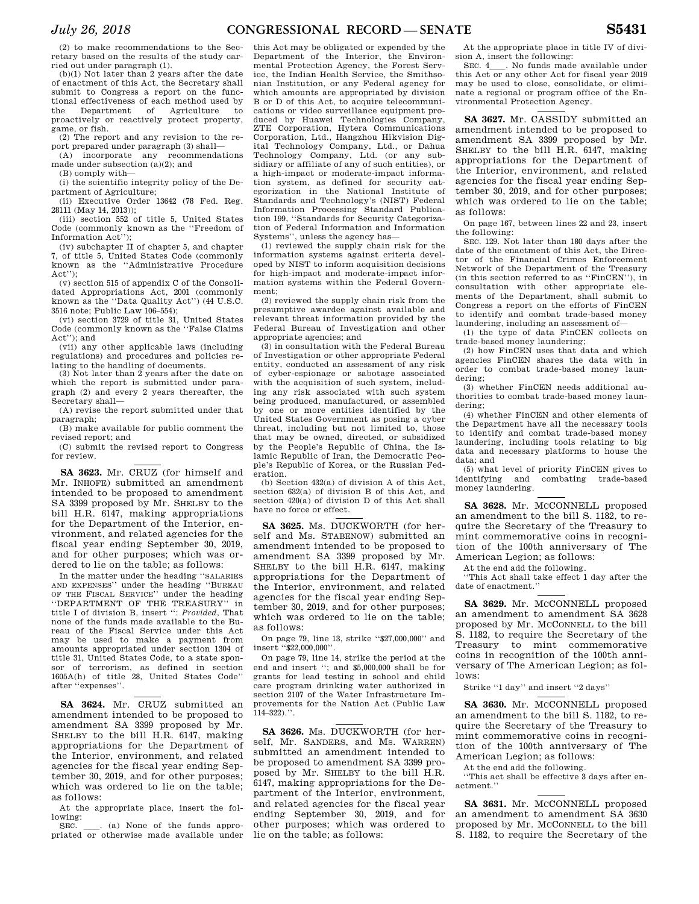(2) to make recommendations to the Secretary based on the results of the study carried out under paragraph (1).

(b)(1) Not later than 2 years after the date of enactment of this Act, the Secretary shall submit to Congress a report on the functional effectiveness of each method used by the Department of Agriculture to proactively or reactively protect property, game, or fish.

(2) The report and any revision to the report prepared under paragraph (3) shall—

(A) incorporate any recommendations made under subsection (a)(2); and

(B) comply with—

(i) the scientific integrity policy of the Department of Agriculture;

(ii) Executive Order 13642 (78 Fed. Reg. 28111 (May 14, 2013));

(iii) section 552 of title 5, United States Code (commonly known as the ''Freedom of Information Act'');

(iv) subchapter II of chapter 5, and chapter 7, of title 5, United States Code (commonly known as the ''Administrative Procedure Act'');

(v) section 515 of appendix C of the Consolidated Appropriations Act, 2001 (commonly known as the ''Data Quality Act'') (44 U.S.C. 3516 note; Public Law 106–554);

(vi) section 3729 of title 31, United States Code (commonly known as the ''False Claims Act''); and

(vii) any other applicable laws (including regulations) and procedures and policies relating to the handling of documents.

(3) Not later than 2 years after the date on which the report is submitted under paragraph (2) and every 2 years thereafter, the Secretary shall—

(A) revise the report submitted under that paragraph;

(B) make available for public comment the revised report; and

(C) submit the revised report to Congress for review.

**SA 3623.** Mr. CRUZ (for himself and Mr. INHOFE) submitted an amendment intended to be proposed to amendment SA 3399 proposed by Mr. SHELBY to the bill H.R. 6147, making appropriations for the Department of the Interior, environment, and related agencies for the fiscal year ending September 30, 2019, and for other purposes; which was ordered to lie on the table; as follows:

In the matter under the heading ''SALARIES AND EXPENSES'' under the heading ''BUREAU OF THE FISCAL SERVICE'' under the heading 'DEPARTMENT OF THE TREASURY" in title I of division B, insert '': *Provided*, That none of the funds made available to the Bureau of the Fiscal Service under this Act may be used to make a payment from amounts appropriated under section 1304 of title 31, United States Code, to a state sponsor of terrorism, as defined in section 1605A(h) of title 28, United States Code'' after ''expenses''.

**SA 3624.** Mr. CRUZ submitted an amendment intended to be proposed to amendment SA 3399 proposed by Mr. SHELBY to the bill H.R. 6147, making appropriations for the Department of the Interior, environment, and related agencies for the fiscal year ending September 30, 2019, and for other purposes; which was ordered to lie on the table; as follows:

At the appropriate place, insert the following:<br>SEC.

SEC.  $\quad$  (a) None of the funds appro-<br>priated or otherwise made available under

this Act may be obligated or expended by the Department of the Interior, the Environmental Protection Agency, the Forest Service, the Indian Health Service, the Smithsonian Institution, or any Federal agency for which amounts are appropriated by division B or D of this Act, to acquire telecommunications or video surveillance equipment produced by Huawei Technologies Company, ZTE Corporation, Hytera Communications Corporation, Ltd., Hangzhou Hikvision Digital Technology Company, Ltd., or Dahua Technology Company, Ltd. (or any subsidiary or affiliate of any of such entities), or a high-impact or moderate-impact information system, as defined for security categorization in the National Institute of Standards and Technology's (NIST) Federal Information Processing Standard Publication 199, ''Standards for Security Categorization of Federal Information and Information Systems'', unless the agency has—

(1) reviewed the supply chain risk for the information systems against criteria developed by NIST to inform acquisition decisions for high-impact and moderate-impact information systems within the Federal Government;

(2) reviewed the supply chain risk from the presumptive awardee against available and relevant threat information provided by the Federal Bureau of Investigation and other appropriate agencies; and

(3) in consultation with the Federal Bureau of Investigation or other appropriate Federal entity, conducted an assessment of any risk of cyber-espionage or sabotage associated with the acquisition of such system, including any risk associated with such system being produced, manufactured, or assembled by one or more entities identified by the United States Government as posing a cyber threat, including but not limited to, those that may be owned, directed, or subsidized by the People's Republic of China, the Islamic Republic of Iran, the Democratic People's Republic of Korea, or the Russian Federation.

(b) Section 432(a) of division A of this Act, section 632(a) of division B of this Act, and section 420(a) of division D of this Act shall have no force or effect.

**SA 3625.** Ms. DUCKWORTH (for herself and Ms. STABENOW) submitted an amendment intended to be proposed to amendment SA 3399 proposed by Mr. SHELBY to the bill H.R. 6147, making appropriations for the Department of the Interior, environment, and related agencies for the fiscal year ending September 30, 2019, and for other purposes; which was ordered to lie on the table; as follows:

On page 79, line 13, strike ''\$27,000,000'' and insert ''\$22,000,000''.

On page 79, line 14, strike the period at the end and insert ''; and \$5,000,000 shall be for grants for lead testing in school and child care program drinking water authorized in section 2107 of the Water Infrastructure Improvements for the Nation Act (Public Law  $114 - 322$ ).''.

**SA 3626.** Ms. DUCKWORTH (for herself, Mr. SANDERS, and Ms. WARREN) submitted an amendment intended to be proposed to amendment SA 3399 proposed by Mr. SHELBY to the bill H.R. 6147, making appropriations for the Department of the Interior, environment, and related agencies for the fiscal year ending September 30, 2019, and for other purposes; which was ordered to lie on the table; as follows:

At the appropriate place in title IV of division A, insert the following:

SEC. 4\_\_\_. No funds made available under this Act or any other Act for fiscal year 2019 may be used to close, consolidate, or eliminate a regional or program office of the Environmental Protection Agency.

**SA 3627.** Mr. CASSIDY submitted an amendment intended to be proposed to amendment SA 3399 proposed by Mr. SHELBY to the bill H.R. 6147, making appropriations for the Department of the Interior, environment, and related agencies for the fiscal year ending September 30, 2019, and for other purposes; which was ordered to lie on the table; as follows:

On page 167, between lines 22 and 23, insert the following:

SEC. 129. Not later than 180 days after the date of the enactment of this Act, the Director of the Financial Crimes Enforcement Network of the Department of the Treasury (in this section referred to as ''FinCEN''), in consultation with other appropriate elements of the Department, shall submit to Congress a report on the efforts of FinCEN to identify and combat trade-based money laundering, including an assessment of—

(1) the type of data FinCEN collects on trade-based money laundering;

(2) how FinCEN uses that data and which agencies FinCEN shares the data with in order to combat trade-based money laundering;

(3) whether FinCEN needs additional authorities to combat trade-based money laundering;

(4) whether FinCEN and other elements of the Department have all the necessary tools to identify and combat trade-based money laundering, including tools relating to big data and necessary platforms to house the data; and

(5) what level of priority FinCEN gives to identifying and combating trade-based money laundering.

SA 3628. Mr. MCCONNELL proposed an amendment to the bill S. 1182, to require the Secretary of the Treasury to mint commemorative coins in recognition of the 100th anniversary of The American Legion; as follows:

At the end add the following.

''This Act shall take effect 1 day after the date of enactment.''

SA 3629. Mr. McCONNELL proposed an amendment to amendment SA 3628 proposed by Mr. MCCONNELL to the bill S. 1182, to require the Secretary of the Treasury to mint commemorative coins in recognition of the 100th anniversary of The American Legion; as follows:

Strike ''1 day'' and insert ''2 days''

SA 3630. Mr. MCCONNELL proposed an amendment to the bill S. 1182, to require the Secretary of the Treasury to mint commemorative coins in recognition of the 100th anniversary of The American Legion; as follows:

At the end add the following.

''This act shall be effective 3 days after enactment.''

SA 3631. Mr. MCCONNELL proposed an amendment to amendment SA 3630 proposed by Mr. MCCONNELL to the bill S. 1182, to require the Secretary of the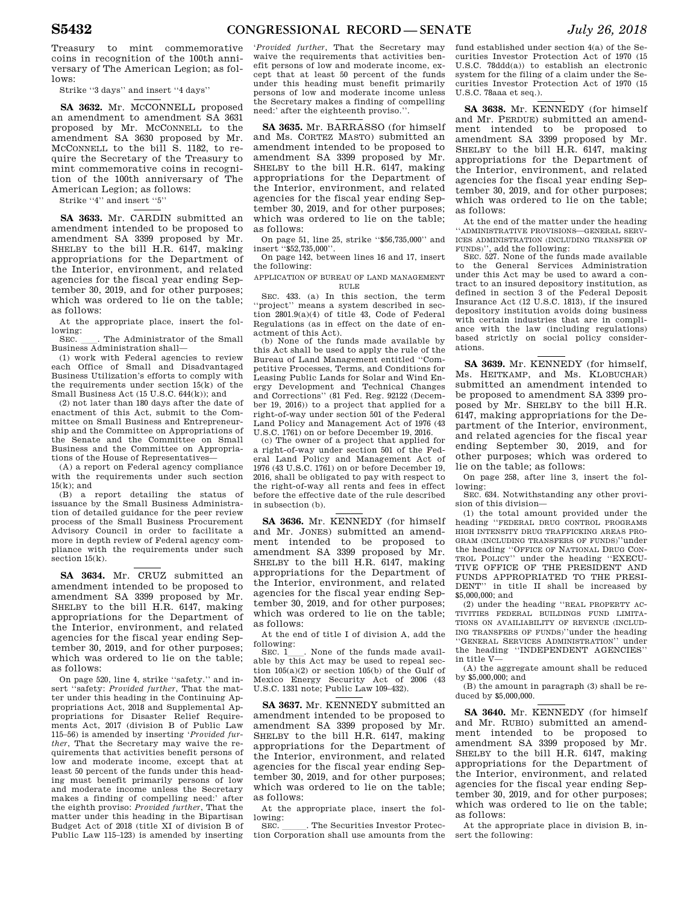Treasury to mint commemorative coins in recognition of the 100th anniversary of The American Legion; as follows:

Strike ''3 days'' and insert ''4 days''

SA 3632. Mr. MCCONNELL proposed an amendment to amendment SA 3631 proposed by Mr. MCCONNELL to the amendment SA 3630 proposed by Mr. MCCONNELL to the bill S. 1182, to require the Secretary of the Treasury to mint commemorative coins in recognition of the 100th anniversary of The American Legion; as follows:

Strike "4" and insert "5"

**SA 3633.** Mr. CARDIN submitted an amendment intended to be proposed to amendment SA 3399 proposed by Mr. SHELBY to the bill H.R. 6147, making appropriations for the Department of the Interior, environment, and related agencies for the fiscal year ending September 30, 2019, and for other purposes; which was ordered to lie on the table; as follows:

At the appropriate place, insert the following:

SEC. \_\_\_. The Administrator of the Small Business Administration shall—

(1) work with Federal agencies to review each Office of Small and Disadvantaged Business Utilization's efforts to comply with the requirements under section 15(k) of the Small Business Act (15 U.S.C. 644(k)); and

(2) not later than 180 days after the date of enactment of this Act, submit to the Committee on Small Business and Entrepreneurship and the Committee on Appropriations of the Senate and the Committee on Small Business and the Committee on Appropriations of the House of Representatives—

(A) a report on Federal agency compliance with the requirements under such section 15(k); and

(B) a report detailing the status of issuance by the Small Business Administration of detailed guidance for the peer review process of the Small Business Procurement Advisory Council in order to facilitate a more in depth review of Federal agency compliance with the requirements under such section 15(k).

**SA 3634.** Mr. CRUZ submitted an amendment intended to be proposed to amendment SA 3399 proposed by Mr. SHELBY to the bill H.R. 6147, making appropriations for the Department of the Interior, environment, and related agencies for the fiscal year ending September 30, 2019, and for other purposes; which was ordered to lie on the table; as follows:

On page 520, line 4, strike ''safety.'' and insert ''safety: *Provided further*, That the matter under this heading in the Continuing Appropriations Act, 2018 and Supplemental Appropriations for Disaster Relief Requirements Act, 2017 (division B of Public Law 115–56) is amended by inserting '*Provided further*, That the Secretary may waive the requirements that activities benefit persons of low and moderate income, except that at least 50 percent of the funds under this heading must benefit primarily persons of low and moderate income unless the Secretary makes a finding of compelling need:' after the eighth proviso: *Provided further*, That the matter under this heading in the Bipartisan Budget Act of 2018 (title XI of division B of Public Law 115–123) is amended by inserting

'*Provided further*, That the Secretary may waive the requirements that activities benefit persons of low and moderate income, except that at least 50 percent of the funds under this heading must benefit primarily persons of low and moderate income unless the Secretary makes a finding of compelling need:' after the eighteenth proviso.'

**SA 3635.** Mr. BARRASSO (for himself and Ms. CORTEZ MASTO) submitted an amendment intended to be proposed to amendment SA 3399 proposed by Mr. SHELBY to the bill H.R. 6147, making appropriations for the Department of the Interior, environment, and related agencies for the fiscal year ending September 30, 2019, and for other purposes; which was ordered to lie on the table; as follows:

On page 51, line 25, strike ''\$56,735,000'' and insert ''\$52,735,000''.

On page 142, between lines 16 and 17, insert the following:

APPLICATION OF BUREAU OF LAND MANAGEMENT RULE

SEC. 433. (a) In this section, the term 'project'' means a system described in section 2801.9(a)(4) of title 43, Code of Federal Regulations (as in effect on the date of enactment of this Act).

(b) None of the funds made available by this Act shall be used to apply the rule of the Bureau of Land Management entitled ''Competitive Processes, Terms, and Conditions for Leasing Public Lands for Solar and Wind Energy Development and Technical Changes and Corrections'' (81 Fed. Reg. 92122 (December 19, 2016)) to a project that applied for a right-of-way under section 501 of the Federal Land Policy and Management Act of 1976 (43 U.S.C. 1761) on or before December 19, 2016.

(c) The owner of a project that applied for a right-of-way under section 501 of the Federal Land Policy and Management Act of 1976 (43 U.S.C. 1761) on or before December 19, 2016, shall be obligated to pay with respect to the right-of-way all rents and fees in effect before the effective date of the rule described in subsection (b).

**SA 3636.** Mr. KENNEDY (for himself and Mr. JONES) submitted an amendment intended to be proposed to amendment SA 3399 proposed by Mr. SHELBY to the bill H.R. 6147, making appropriations for the Department of the Interior, environment, and related agencies for the fiscal year ending September 30, 2019, and for other purposes; which was ordered to lie on the table; as follows:

At the end of title I of division A, add the following:

SEC. 1<sub>1</sub>. None of the funds made available by this Act may be used to repeal section  $105(a)(2)$  or section  $105(b)$  of the Gulf of Mexico Energy Security Act of 2006 (43 U.S.C. 1331 note; Public Law 109–432).

**SA 3637.** Mr. KENNEDY submitted an amendment intended to be proposed to amendment SA 3399 proposed by Mr. SHELBY to the bill H.R. 6147, making appropriations for the Department of the Interior, environment, and related agencies for the fiscal year ending September 30, 2019, and for other purposes; which was ordered to lie on the table; as follows:

At the appropriate place, insert the following:<br>SEC.

SEC. Comes The Securities Investor Protection Corporation shall use amounts from the

fund established under section 4(a) of the Securities Investor Protection Act of 1970 (15 U.S.C. 78ddd(a)) to establish an electronic system for the filing of a claim under the Securities Investor Protection Act of 1970 (15 U.S.C. 78aaa et seq.).

**SA 3638.** Mr. KENNEDY (for himself and Mr. PERDUE) submitted an amendment intended to be proposed to amendment SA 3399 proposed by Mr. SHELBY to the bill H.R. 6147, making appropriations for the Department of the Interior, environment, and related agencies for the fiscal year ending September 30, 2019, and for other purposes; which was ordered to lie on the table; as follows:

At the end of the matter under the heading ''ADMINISTRATIVE PROVISIONS—GENERAL SERV-ICES ADMINISTRATION (INCLUDING TRANSFER OF

FUNDS)'', add the following: SEC. 527. None of the funds made available to the General Services Administration under this Act may be used to award a contract to an insured depository institution, as defined in section 3 of the Federal Deposit Insurance Act (12 U.S.C. 1813), if the insured depository institution avoids doing business with certain industries that are in compliance with the law (including regulations) based strictly on social policy considerations.

**SA 3639.** Mr. KENNEDY (for himself, Ms. HEITKAMP, and Ms. KLOBUCHAR) submitted an amendment intended to be proposed to amendment SA 3399 proposed by Mr. SHELBY to the bill H.R. 6147, making appropriations for the Department of the Interior, environment, and related agencies for the fiscal year ending September 30, 2019, and for other purposes; which was ordered to lie on the table; as follows:

On page 258, after line 3, insert the fol-

lowing: SEC. 634. Notwithstanding any other provision of this division—

(1) the total amount provided under the heading ''FEDERAL DRUG CONTROL PROGRAMS HIGH INTENSITY DRUG TRAFFICKING AREAS PRO-GRAM (INCLUDING TRANSFERS OF FUNDS)''under the heading ''OFFICE OF NATIONAL DRUG CON-TROL POLICY'' under the heading ''EXECU-TIVE OFFICE OF THE PRESIDENT AND FUNDS APPROPRIATED TO THE PRESI-DENT'' in title II shall be increased by \$5,000,000; and

(2) under the heading ''REAL PROPERTY AC-TIVITIES FEDERAL BUILDINGS FUND LIMITA-TIONS ON AVAILIABILITY OF REVENUE (INCLUD-ING TRANSFERS OF FUNDS)''under the heading ''GENERAL SERVICES ADMINISTRATION'' under the heading ''INDEPENDENT AGENCIES'' in title V—

(A) the aggregate amount shall be reduced by \$5,000,000; and

(B) the amount in paragraph (3) shall be reduced by \$5,000,000.

**SA 3640.** Mr. KENNEDY (for himself and Mr. RUBIO) submitted an amendment intended to be proposed to amendment SA 3399 proposed by Mr. SHELBY to the bill H.R. 6147, making appropriations for the Department of the Interior, environment, and related agencies for the fiscal year ending September 30, 2019, and for other purposes; which was ordered to lie on the table; as follows:

At the appropriate place in division B, insert the following: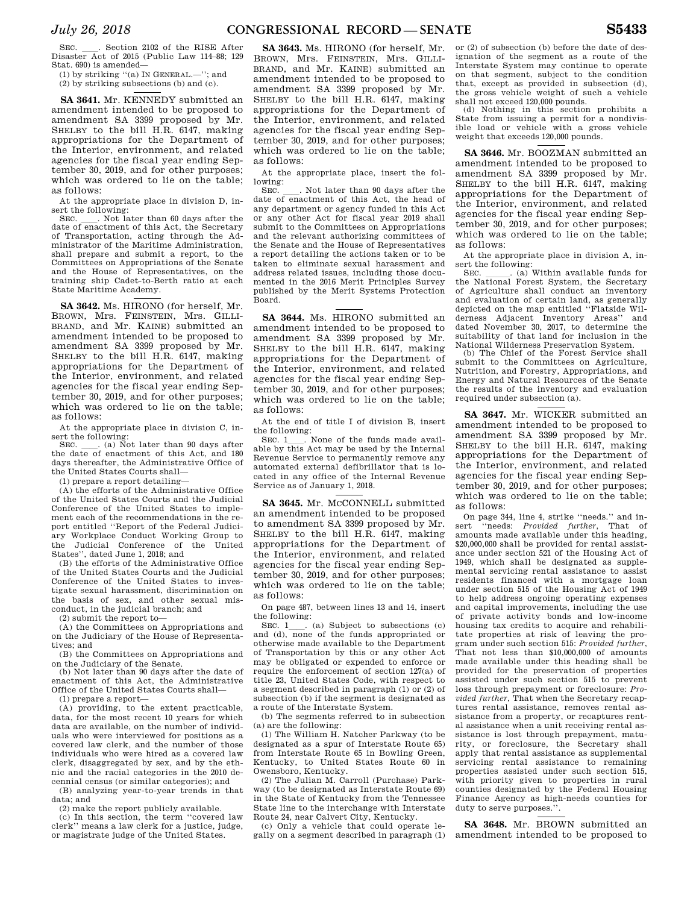SEC. \_\_\_. Section 2102 of the RISE After<br>Disaster Act of 2015 (Public Law 114–88; 129 Stat. 690) is amended—

(1) by striking ''(a) IN GENERAL.—''; and (2) by striking subsections (b) and (c).

**SA 3641.** Mr. KENNEDY submitted an amendment intended to be proposed to amendment SA 3399 proposed by Mr. SHELBY to the bill H.R. 6147, making appropriations for the Department of the Interior, environment, and related agencies for the fiscal year ending September 30, 2019, and for other purposes; which was ordered to lie on the table; as follows:

At the appropriate place in division D, in-

sert the following:<br>SEC. \_\_\_. Not later than 60 days after the<br>date of enactment of this Act, the Secretary date of enactment of this Act, the Secretary of Transportation, acting through the Administrator of the Maritime Administration, shall prepare and submit a report, to the Committees on Appropriations of the Senate and the House of Representatives, on the training ship Cadet-to-Berth ratio at each State Maritime Academy.

**SA 3642.** Ms. HIRONO (for herself, Mr. BROWN, Mrs. FEINSTEIN, Mrs. GILLI-BRAND, and Mr. KAINE) submitted an amendment intended to be proposed to amendment SA 3399 proposed by Mr. SHELBY to the bill H.R. 6147, making appropriations for the Department of the Interior, environment, and related agencies for the fiscal year ending September 30, 2019, and for other purposes; which was ordered to lie on the table; as follows:

At the appropriate place in division C, insert the following:<br>SEC. (a) No

 $\ldots$  (a) Not later than 90 days after the date of enactment of this Act, and 180 days thereafter, the Administrative Office of the United States Courts shall—

(1) prepare a report detailing—

(A) the efforts of the Administrative Office of the United States Courts and the Judicial Conference of the United States to implement each of the recommendations in the report entitled ''Report of the Federal Judiciary Workplace Conduct Working Group to the Judicial Conference of the United States'', dated June 1, 2018; and

(B) the efforts of the Administrative Office of the United States Courts and the Judicial Conference of the United States to investigate sexual harassment, discrimination on the basis of sex, and other sexual misconduct, in the judicial branch; and

(2) submit the report to—

(A) the Committees on Appropriations and on the Judiciary of the House of Representatives; and

(B) the Committees on Appropriations and on the Judiciary of the Senate.

(b) Not later than 90 days after the date of enactment of this Act, the Administrative Office of the United States Courts shall—

(1) prepare a report—

(A) providing, to the extent practicable, data, for the most recent 10 years for which data are available, on the number of individuals who were interviewed for positions as a covered law clerk, and the number of those individuals who were hired as a covered law clerk, disaggregated by sex, and by the ethnic and the racial categories in the 2010 decennial census (or similar categories); and

(B) analyzing year-to-year trends in that data; and

(2) make the report publicly available. (c) In this section, the term ''covered law clerk'' means a law clerk for a justice, judge, or magistrate judge of the United States.

**SA 3643.** Ms. HIRONO (for herself, Mr. BROWN, Mrs. FEINSTEIN, Mrs. GILLI-BRAND, and Mr. KAINE) submitted an amendment intended to be proposed to amendment SA 3399 proposed by Mr. SHELBY to the bill H.R. 6147, making appropriations for the Department of the Interior, environment, and related agencies for the fiscal year ending September 30, 2019, and for other purposes; which was ordered to lie on the table; as follows:

At the appropriate place, insert the following:

SEC. Let not later than 90 days after the date of enactment of this Act, the head of any department or agency funded in this Act or any other Act for fiscal year 2019 shall submit to the Committees on Appropriations and the relevant authorizing committees of the Senate and the House of Representatives a report detailing the actions taken or to be taken to eliminate sexual harassment and address related issues, including those documented in the 2016 Merit Principles Survey published by the Merit Systems Protection Board.

**SA 3644.** Ms. HIRONO submitted an amendment intended to be proposed to amendment SA 3399 proposed by Mr. SHELBY to the bill H.R. 6147, making appropriations for the Department of the Interior, environment, and related agencies for the fiscal year ending September 30, 2019, and for other purposes; which was ordered to lie on the table; as follows:

At the end of title I of division B, insert the following:<br>SEC. 1 . None of the funds made avail-

SEC. 1<sub>1</sub>. None of the funds made available by this Act may be used by the Internal Revenue Service to permanently remove any automated external defibrillator that is located in any office of the Internal Revenue Service as of January 1, 2018.

**SA 3645.** Mr. MCCONNELL submitted an amendment intended to be proposed to amendment SA 3399 proposed by Mr. SHELBY to the bill H.R. 6147, making appropriations for the Department of the Interior, environment, and related agencies for the fiscal year ending September 30, 2019, and for other purposes; which was ordered to lie on the table; as follows:

On page 487, between lines 13 and 14, insert the following:<br>SEC. 1

. (a) Subject to subsections (c) and (d), none of the funds appropriated or otherwise made available to the Department of Transportation by this or any other Act may be obligated or expended to enforce or require the enforcement of section 127(a) of title 23, United States Code, with respect to a segment described in paragraph (1) or (2) of subsection (b) if the segment is designated as a route of the Interstate System.

(b) The segments referred to in subsection (a) are the following:

(1) The William H. Natcher Parkway (to be designated as a spur of Interstate Route 65) from Interstate Route 65 in Bowling Green, Kentucky, to United States Route 60 in Owensboro, Kentucky.

(2) The Julian M. Carroll (Purchase) Parkway (to be designated as Interstate Route 69) in the State of Kentucky from the Tennessee State line to the interchange with Interstate Route 24, near Calvert City, Kentucky.

(c) Only a vehicle that could operate legally on a segment described in paragraph (1)

or (2) of subsection (b) before the date of designation of the segment as a route of the Interstate System may continue to operate on that segment, subject to the condition that, except as provided in subsection (d), the gross vehicle weight of such a vehicle shall not exceed 120,000 pounds.

(d) Nothing in this section prohibits a State from issuing a permit for a nondivisible load or vehicle with a gross vehicle weight that exceeds 120,000 pounds.

**SA 3646.** Mr. BOOZMAN submitted an amendment intended to be proposed to amendment SA 3399 proposed by Mr. SHELBY to the bill H.R. 6147, making appropriations for the Department of the Interior, environment, and related agencies for the fiscal year ending September 30, 2019, and for other purposes; which was ordered to lie on the table; as follows:

At the appropriate place in division A, in-

sert the following:<br>
SEC. \_\_\_\_\_. (a) Within available funds for<br>
the National Forest System, the Secretary the National Forest System, the Secretary of Agriculture shall conduct an inventory and evaluation of certain land, as generally depicted on the map entitled ''Flatside Wilderness Adjacent Inventory Areas'' and dated November 30, 2017, to determine the suitability of that land for inclusion in the National Wilderness Preservation System.

(b) The Chief of the Forest Service shall submit to the Committees on Agriculture, Nutrition, and Forestry, Appropriations, and Energy and Natural Resources of the Senate the results of the inventory and evaluation required under subsection (a).

**SA 3647.** Mr. WICKER submitted an amendment intended to be proposed to amendment SA 3399 proposed by Mr. SHELBY to the bill H.R. 6147, making appropriations for the Department of the Interior, environment, and related agencies for the fiscal year ending September 30, 2019, and for other purposes; which was ordered to lie on the table; as follows:

On page 344, line 4, strike ''needs.'' and insert ''needs: *Provided further*, That of amounts made available under this heading, \$20,000,000 shall be provided for rental assistance under section 521 of the Housing Act of 1949, which shall be designated as supplemental servicing rental assistance to assist residents financed with a mortgage loan under section 515 of the Housing Act of 1949 to help address ongoing operating expenses and capital improvements, including the use of private activity bonds and low-income housing tax credits to acquire and rehabilitate properties at risk of leaving the program under such section 515: *Provided further*, That not less than \$10,000,000 of amounts made available under this heading shall be provided for the preservation of properties assisted under such section 515 to prevent loss through prepayment or foreclosure: *Provided further*, That when the Secretary recaptures rental assistance, removes rental assistance from a property, or recaptures rental assistance when a unit receiving rental assistance is lost through prepayment, maturity, or foreclosure, the Secretary shall apply that rental assistance as supplemental servicing rental assistance to remaining properties assisted under such section 515, with priority given to properties in rural counties designated by the Federal Housing Finance Agency as high-needs counties for duty to serve purposes.''.

**SA 3648.** Mr. BROWN submitted an amendment intended to be proposed to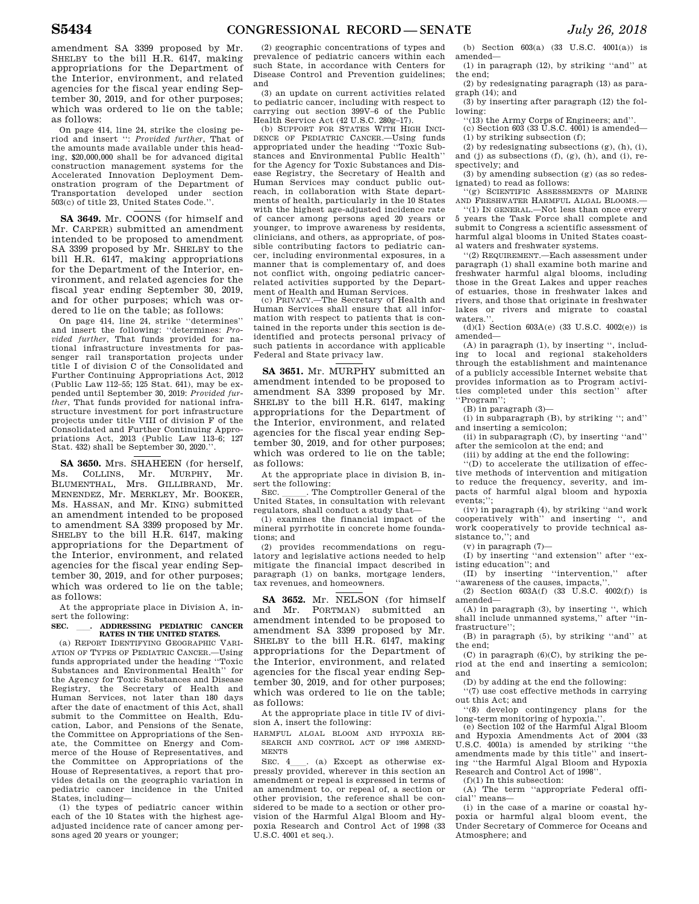amendment SA 3399 proposed by Mr. SHELBY to the bill H.R. 6147, making appropriations for the Department of the Interior, environment, and related agencies for the fiscal year ending September 30, 2019, and for other purposes; which was ordered to lie on the table; as follows:

On page 414, line 24, strike the closing period and insert '': *Provided further*, That of the amounts made available under this heading, \$20,000,000 shall be for advanced digital construction management systems for the Accelerated Innovation Deployment Demonstration program of the Department of Transportation developed under section 503(c) of title 23, United States Code.''.

**SA 3649.** Mr. COONS (for himself and Mr. CARPER) submitted an amendment intended to be proposed to amendment SA 3399 proposed by Mr. SHELBY to the bill H.R. 6147, making appropriations for the Department of the Interior, environment, and related agencies for the fiscal year ending September 30, 2019, and for other purposes; which was ordered to lie on the table; as follows:

On page 414, line 24, strike ''determines'' and insert the following: ''determines: *Provided further*, That funds provided for national infrastructure investments for passenger rail transportation projects under title I of division C of the Consolidated and Further Continuing Appropriations Act, 2012 (Public Law 112–55; 125 Stat. 641), may be expended until September 30, 2019: *Provided further*, That funds provided for national infrastructure investment for port infrastructure projects under title VIII of division F of the Consolidated and Further Continuing Appropriations Act, 2013 (Public Law 113–6; 127 Stat. 432) shall be September 30, 2020.''.

**SA 3650.** Mrs. SHAHEEN (for herself, Ms. COLLINS, Mr. MURPHY, Mr. BLUMENTHAL, Mrs. GILLIBRAND, Mr. MENENDEZ, Mr. MERKLEY, Mr. BOOKER, Ms. HASSAN, and Mr. KING) submitted an amendment intended to be proposed to amendment SA 3399 proposed by Mr. SHELBY to the bill H.R. 6147, making appropriations for the Department of the Interior, environment, and related agencies for the fiscal year ending September 30, 2019, and for other purposes; which was ordered to lie on the table; as follows:

At the appropriate place in Division A, insert the following:<br>SEC 4DDRESSING PEDIATRIC CANCER

# **SEC.** ll**. ADDRESSING PEDIATRIC CANCER RATES IN THE UNITED STATES.**

(a) REPORT IDENTIFYING GEOGRAPHIC VARI-ATION OF TYPES OF PEDIATRIC CANCER -Using funds appropriated under the heading ''Toxic Substances and Environmental Health'' for the Agency for Toxic Substances and Disease Registry, the Secretary of Health and Human Services, not later than 180 days after the date of enactment of this Act, shall submit to the Committee on Health, Education, Labor, and Pensions of the Senate, the Committee on Appropriations of the Senate, the Committee on Energy and Commerce of the House of Representatives, and the Committee on Appropriations of the House of Representatives, a report that provides details on the geographic variation in pediatric cancer incidence in the United States, including—

(1) the types of pediatric cancer within each of the 10 States with the highest ageadjusted incidence rate of cancer among persons aged 20 years or younger;

(2) geographic concentrations of types and prevalence of pediatric cancers within each such State, in accordance with Centers for Disease Control and Prevention guidelines; and

(3) an update on current activities related to pediatric cancer, including with respect to carrying out section 399V–6 of the Public Health Service Act (42 U.S.C. 280g–17).

(b) SUPPORT FOR STATES WITH HIGH INCI-DENCE OF PEDIATRIC CANCER.—Using funds appropriated under the heading ''Toxic Substances and Environmental Public Health'' for the Agency for Toxic Substances and Disease Registry, the Secretary of Health and Human Services may conduct public outreach, in collaboration with State departments of health, particularly in the 10 States with the highest age-adjusted incidence rate of cancer among persons aged 20 years or younger, to improve awareness by residents, clinicians, and others, as appropriate, of possible contributing factors to pediatric cancer, including environmental exposures, in a manner that is complementary of, and does not conflict with, ongoing pediatric cancerrelated activities supported by the Department of Health and Human Services.

(c) PRIVACY.—The Secretary of Health and Human Services shall ensure that all information with respect to patients that is contained in the reports under this section is deidentified and protects personal privacy of such patients in accordance with applicable Federal and State privacy law.

### **SA 3651.** Mr. MURPHY submitted an amendment intended to be proposed to amendment SA 3399 proposed by Mr. SHELBY to the bill H.R. 6147, making appropriations for the Department of the Interior, environment, and related agencies for the fiscal year ending September 30, 2019, and for other purposes; which was ordered to lie on the table; as follows:

At the appropriate place in division B, insert the following:<br>SEC. The Comptroller General of the

SEC.  $\_\_$ . The Comptroller General of the United States, in consultation with relevant regulators, shall conduct a study that—

(1) examines the financial impact of the mineral pyrrhotite in concrete home foundations; and

(2) provides recommendations on regulatory and legislative actions needed to help mitigate the financial impact described in paragraph (1) on banks, mortgage lenders, tax revenues, and homeowners.

**SA 3652.** Mr. NELSON (for himself and Mr. PORTMAN) submitted an amendment intended to be proposed to amendment SA 3399 proposed by Mr. SHELBY to the bill H.R. 6147, making appropriations for the Department of the Interior, environment, and related agencies for the fiscal year ending September 30, 2019, and for other purposes; which was ordered to lie on the table; as follows:

At the appropriate place in title IV of division A, insert the following:

HARMFUL ALGAL BLOOM AND HYPOXIA RE-SEARCH AND CONTROL ACT OF 1998 AMEND-MENTS

SEC. 4<sub>l</sub> (a) Except as otherwise expressly provided, wherever in this section an amendment or repeal is expressed in terms of an amendment to, or repeal of, a section or other provision, the reference shall be considered to be made to a section or other provision of the Harmful Algal Bloom and Hypoxia Research and Control Act of 1998 (33 U.S.C. 4001 et seq.).

(b) Section 603(a) (33 U.S.C. 4001(a)) is amended—

(1) in paragraph (12), by striking ''and'' at the end; (2) by redesignating paragraph (13) as para-

graph (14); and (3) by inserting after paragraph (12) the fol-

lowing:

''(13) the Army Corps of Engineers; and''.  $(c)$  Section 603 (33  $\overline{U}$ .S.C. 4001) is amended—

(1) by striking subsection (f);

(2) by redesignating subsections (g), (h), (i), and (j) as subsections (f), (g), (h), and (i), respectively; and

(3) by amending subsection (g) (as so redesignated) to read as follows:

''(g) SCIENTIFIC ASSESSMENTS OF MARINE AND FRESHWATER HARMFUL ALGAL BLOOMS.—

''(1) IN GENERAL.—Not less than once every 5 years the Task Force shall complete and submit to Congress a scientific assessment of harmful algal blooms in United States coastal waters and freshwater systems.

''(2) REQUIREMENT.—Each assessment under paragraph (1) shall examine both marine and freshwater harmful algal blooms, including those in the Great Lakes and upper reaches of estuaries, those in freshwater lakes and rivers, and those that originate in freshwater lakes or rivers and migrate to coastal waters.'

(d)(1) Section  $603A(e)$  (33 U.S.C.  $4002(e)$ ) is amended—

(A) in paragraph (1), by inserting '', including to local and regional stakeholders through the establishment and maintenance of a publicly accessible Internet website that provides information as to Program activities completed under this section'' after ''Program'';

(B) in paragraph (3)—

(i) in subparagraph (B), by striking ''; and'' and inserting a semicolon;

(ii) in subparagraph (C), by inserting ''and'' after the semicolon at the end; and

(iii) by adding at the end the following:

 $\widetilde{f}(D)$  to accelerate the utilization of effective methods of intervention and mitigation to reduce the frequency, severity, and impacts of harmful algal bloom and hypoxia events;";

(iv) in paragraph (4), by striking ''and work cooperatively with'' and inserting '', and work cooperatively to provide technical assistance to,''; and

 $(v)$  in paragraph  $(7)$ -

(I) by inserting ''and extension'' after ''existing education''; and

(II) by inserting ''intervention,'' after "awareness of the causes, impacts,"

(2) Section  $603A(f)$  (33 U.S.C.  $4002(f)$ ) is amended—

(A) in paragraph (3), by inserting '', which shall include unmanned systems,'' after ''infrastructure'';

(B) in paragraph (5), by striking ''and'' at the end;

 $(C)$  in paragraph  $(6)(C)$ , by striking the period at the end and inserting a semicolon; and

(D) by adding at the end the following:

''(7) use cost effective methods in carrying

out this Act; and ''(8) develop contingency plans for the

long-term monitoring of hypoxia.''. (e) Section 102 of the Harmful Algal Bloom and Hypoxia Amendments Act of 2004 (33 U.S.C. 4001a) is amended by striking ''the amendments made by this title'' and inserting ''the Harmful Algal Bloom and Hypoxia Research and Control Act of 1998''.

 $(f)(1)$  In this subsection:<br>(A) The term "approp"

The term "appropriate Federal official'' means—

(i) in the case of a marine or coastal hypoxia or harmful algal bloom event, the Under Secretary of Commerce for Oceans and Atmosphere; and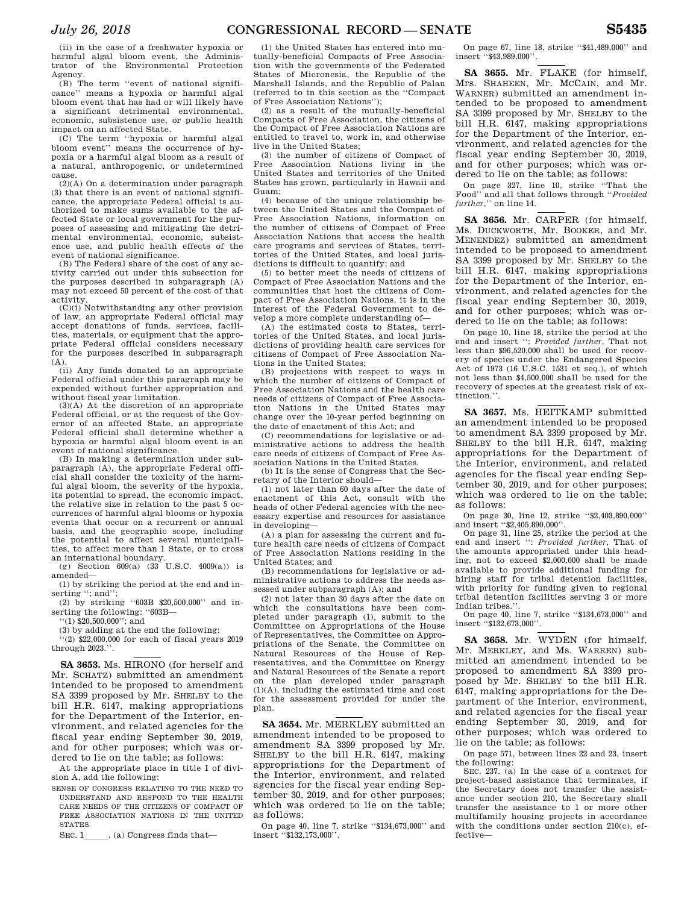(ii) in the case of a freshwater hypoxia or harmful algal bloom event, the Administrator of the Environmental Protection Agency.

(B) The term ''event of national significance'' means a hypoxia or harmful algal bloom event that has had or will likely have a significant detrimental environmental, economic, subsistence use, or public health impact on an affected State.

(C) The term ''hypoxia or harmful algal bloom event'' means the occurrence of hypoxia or a harmful algal bloom as a result of a natural, anthropogenic, or undetermined cause.

(2)(A) On a determination under paragraph (3) that there is an event of national significance, the appropriate Federal official is authorized to make sums available to the affected State or local government for the purposes of assessing and mitigating the detrimental environmental, economic, subsistence use, and public health effects of the event of national significance.

(B) The Federal share of the cost of any activity carried out under this subsection for the purposes described in subparagraph (A) may not exceed 50 percent of the cost of that activity.

 $(C)(i)$  Notwithstanding any other provision of law, an appropriate Federal official may accept donations of funds, services, facilities, materials, or equipment that the appropriate Federal official considers necessary for the purposes described in subparagraph (A).

(ii) Any funds donated to an appropriate Federal official under this paragraph may be expended without further appropriation and without fiscal year limitation.

(3)(A) At the discretion of an appropriate Federal official, or at the request of the Governor of an affected State, an appropriate Federal official shall determine whether a hypoxia or harmful algal bloom event is an event of national significance.

(B) In making a determination under subparagraph (A), the appropriate Federal official shall consider the toxicity of the harmful algal bloom, the severity of the hypoxia, its potential to spread, the economic impact, the relative size in relation to the past 5 occurrences of harmful algal blooms or hypoxia events that occur on a recurrent or annual basis, and the geographic scope, including the potential to affect several municipalities, to affect more than 1 State, or to cross an international boundary.

(g) Section  $609(a)$  (33 U.S.C.  $4009(a)$ ) is amended—

(1) by striking the period at the end and inserting "; and";

(2) by striking ''603B \$20,500,000'' and inserting the following: "603B-

''(1) \$20,500,000''; and

(3) by adding at the end the following:

 $(2)$  \$22,000,000 for each of fiscal years 2019 through 2023.''.

**SA 3653.** Ms. HIRONO (for herself and Mr. SCHATZ) submitted an amendment intended to be proposed to amendment SA 3399 proposed by Mr. SHELBY to the bill H.R. 6147, making appropriations for the Department of the Interior, environment, and related agencies for the fiscal year ending September 30, 2019, and for other purposes; which was ordered to lie on the table; as follows:

At the appropriate place in title I of division A, add the following:

SENSE OF CONGRESS RELATING TO THE NEED TO UNDERSTAND AND RESPOND TO THE HEALTH CARE NEEDS OF THE CITIZENS OF COMPACT OF FREE ASSOCIATION NATIONS IN THE UNITED STATES

SEC. 1\_\_\_\_\_\_. (a) Congress finds that—

(1) the United States has entered into mutually-beneficial Compacts of Free Association with the governments of the Federated States of Micronesia, the Republic of the Marshall Islands, and the Republic of Palau (referred to in this section as the ''Compact of Free Association Nations'');

(2) as a result of the mutually-beneficial Compacts of Free Association, the citizens of the Compact of Free Association Nations are entitled to travel to, work in, and otherwise live in the United States;

(3) the number of citizens of Compact of Free Association Nations living in the United States and territories of the United States has grown, particularly in Hawaii and Guam;

(4) because of the unique relationship between the United States and the Compact of Free Association Nations, information on the number of citizens of Compact of Free Association Nations that access the health care programs and services of States, territories of the United States, and local jurisdictions is difficult to quantify; and

(5) to better meet the needs of citizens of Compact of Free Association Nations and the communities that host the citizens of Compact of Free Association Nations, it is in the interest of the Federal Government to develop a more complete understanding of—

(A) the estimated costs to States, territories of the United States, and local jurisdictions of providing health care services for citizens of Compact of Free Association Nations in the United States;

(B) projections with respect to ways in which the number of citizens of Compact of Free Association Nations and the health care needs of citizens of Compact of Free Association Nations in the United States may change over the 10-year period beginning on the date of enactment of this Act; and

(C) recommendations for legislative or administrative actions to address the health care needs of citizens of Compact of Free Association Nations in the United States.

(b) It is the sense of Congress that the Secretary of the Interior should—

(1) not later than 60 days after the date of enactment of this Act, consult with the heads of other Federal agencies with the necessary expertise and resources for assistance in developing—

(A) a plan for assessing the current and future health care needs of citizens of Compact of Free Association Nations residing in the United States; and

(B) recommendations for legislative or administrative actions to address the needs assessed under subparagraph (A); and

(2) not later than 30 days after the date on which the consultations have been completed under paragraph (1), submit to the Committee on Appropriations of the House of Representatives, the Committee on Appropriations of the Senate, the Committee on Natural Resources of the House of Representatives, and the Committee on Energy and Natural Resources of the Senate a report on the plan developed under paragraph (1)(A), including the estimated time and cost for the assessment provided for under the plan.

**SA 3654.** Mr. MERKLEY submitted an amendment intended to be proposed to amendment SA 3399 proposed by Mr. SHELBY to the bill H.R. 6147, making appropriations for the Department of the Interior, environment, and related agencies for the fiscal year ending September 30, 2019, and for other purposes; which was ordered to lie on the table; as follows:

On page 40, line 7, strike ''\$134,673,000'' and insert ''\$132,173,000''.

On page 67, line 18, strike ''\$41,489,000'' and insert ''\$43,989,000''.

**SA 3655.** Mr. FLAKE (for himself, Mrs. SHAHEEN, Mr. MCCAIN, and Mr. WARNER) submitted an amendment intended to be proposed to amendment SA 3399 proposed by Mr. SHELBY to the bill H.R. 6147, making appropriations for the Department of the Interior, environment, and related agencies for the fiscal year ending September 30, 2019, and for other purposes; which was ordered to lie on the table; as follows:

On page 327, line 10, strike ''That the Food'' and all that follows through ''*Provided further*,'' on line 14.

**SA 3656.** Mr. CARPER (for himself, Ms. DUCKWORTH, Mr. BOOKER, and Mr. MENENDEZ) submitted an amendment intended to be proposed to amendment SA 3399 proposed by Mr. SHELBY to the bill H.R. 6147, making appropriations for the Department of the Interior, environment, and related agencies for the fiscal year ending September 30, 2019, and for other purposes; which was ordered to lie on the table; as follows:

On page 10, line 18, strike the period at the end and insert '': *Provided further*, That not less than \$96,520,000 shall be used for recovery of species under the Endangered Species Act of 1973 (16 U.S.C. 1531 et seq.), of which not less than \$4,500,000 shall be used for the recovery of species at the greatest risk of extinction.''.

**SA 3657.** Ms. HEITKAMP submitted an amendment intended to be proposed to amendment SA 3399 proposed by Mr. SHELBY to the bill H.R. 6147, making appropriations for the Department of the Interior, environment, and related agencies for the fiscal year ending September 30, 2019, and for other purposes; which was ordered to lie on the table; as follows:

On page 30, line 12, strike ''\$2,403,890,000'' and insert ''\$2,405,890,000''.

On page 31, line 25, strike the period at the end and insert '': *Provided further*, That of the amounts appropriated under this heading, not to exceed \$2,000,000 shall be made available to provide additional funding for hiring staff for tribal detention facilities, with priority for funding given to regional tribal detention facilities serving 3 or more Indian tribes.'

On page 40, line 7, strike ''\$134,673,000'' and insert ''\$132,673,000''.

**SA 3658.** Mr. WYDEN (for himself, Mr. MERKLEY, and Ms. WARREN) submitted an amendment intended to be proposed to amendment SA 3399 proposed by Mr. SHELBY to the bill H.R. 6147, making appropriations for the Department of the Interior, environment, and related agencies for the fiscal year ending September 30, 2019, and for other purposes; which was ordered to lie on the table; as follows:

On page 571, between lines 22 and 23, insert the following:

SEC. 237. (a) In the case of a contract for project-based assistance that terminates, if the Secretary does not transfer the assistance under section 210, the Secretary shall transfer the assistance to 1 or more other multifamily housing projects in accordance with the conditions under section 210(c), effective—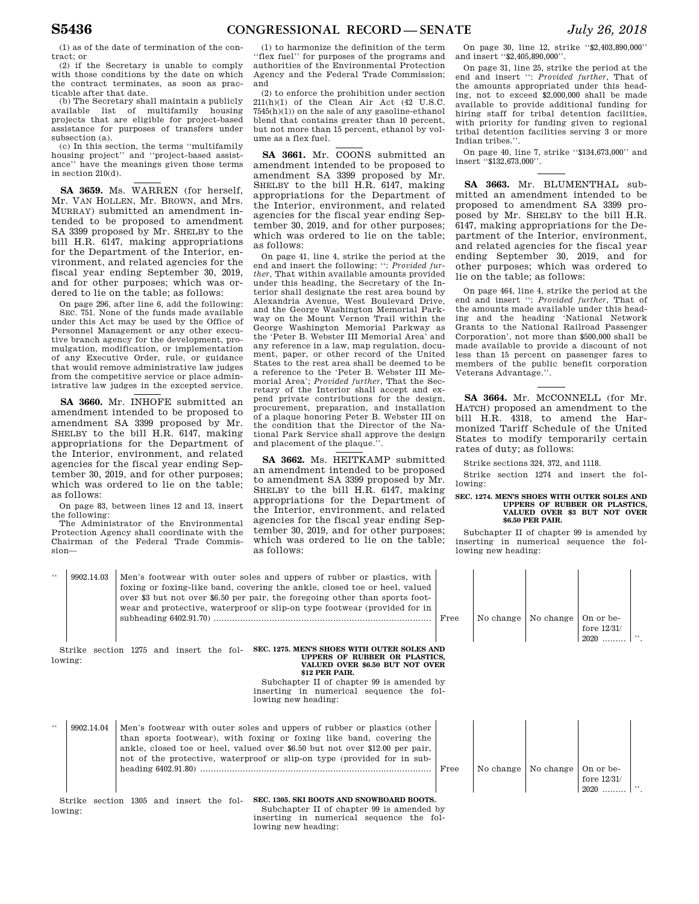(1) as of the date of termination of the contract; or

(2) if the Secretary is unable to comply with those conditions by the date on which the contract terminates, as soon as practicable after that date.

(b) The Secretary shall maintain a publicly available list of multifamily housing projects that are eligible for project-based assistance for purposes of transfers under subsection (a).

(c) In this section, the terms ''multifamily housing project'' and ''project-based assistance'' have the meanings given those terms in section 210(d).

**SA 3659.** Ms. WARREN (for herself, Mr. VAN HOLLEN, Mr. BROWN, and Mrs. MURRAY) submitted an amendment intended to be proposed to amendment SA 3399 proposed by Mr. SHELBY to the bill H.R. 6147, making appropriations for the Department of the Interior, environment, and related agencies for the fiscal year ending September 30, 2019, and for other purposes; which was ordered to lie on the table; as follows:

On page 296, after line 6, add the following: SEC. 751. None of the funds made available under this Act may be used by the Office of Personnel Management or any other executive branch agency for the development, promulgation, modification, or implementation of any Executive Order, rule, or guidance that would remove administrative law judges from the competitive service or place administrative law judges in the excepted service.

**SA 3660.** Mr. INHOFE submitted an amendment intended to be proposed to amendment SA 3399 proposed by Mr. SHELBY to the bill H.R. 6147, making appropriations for the Department of the Interior, environment, and related agencies for the fiscal year ending September 30, 2019, and for other purposes; which was ordered to lie on the table; as follows:

On page 83, between lines 12 and 13, insert the following:

The Administrator of the Environmental Protection Agency shall coordinate with the Chairman of the Federal Trade Commission—

(1) to harmonize the definition of the term ''flex fuel'' for purposes of the programs and authorities of the Environmental Protection Agency and the Federal Trade Commission; and

(2) to enforce the prohibition under section 211(h)(1) of the Clean Air Act (42 U.S.C.  $7545(h)(1)$  on the sale of any gasoline-ethanol blend that contains greater than 10 percent, but not more than 15 percent, ethanol by volume as a flex fuel.

**SA 3661.** Mr. COONS submitted an amendment intended to be proposed to amendment SA 3399 proposed by Mr. SHELBY to the bill H.R. 6147, making appropriations for the Department of the Interior, environment, and related agencies for the fiscal year ending September 30, 2019, and for other purposes; which was ordered to lie on the table; as follows:

On page 41, line 4, strike the period at the end and insert the following: '': *Provided further*, That within available amounts provided under this heading, the Secretary of the Interior shall designate the rest area bound by Alexandria Avenue, West Boulevard Drive, and the George Washington Memorial Parkway on the Mount Vernon Trail within the George Washington Memorial Parkway as the 'Peter B. Webster III Memorial Area' and any reference in a law, map regulation, document, paper, or other record of the United States to the rest area shall be deemed to be a reference to the 'Peter B. Webster III Memorial Area'; *Provided further*, That the Secretary of the Interior shall accept and expend private contributions for the design, procurement, preparation, and installation of a plaque honoring Peter B. Webster III on the condition that the Director of the National Park Service shall approve the design and placement of the plaque.

**SA 3662.** Ms. HEITKAMP submitted an amendment intended to be proposed to amendment SA 3399 proposed by Mr. SHELBY to the bill H.R. 6147, making appropriations for the Department of the Interior, environment, and related agencies for the fiscal year ending September 30, 2019, and for other purposes; which was ordered to lie on the table; as follows:

On page 30, line 12, strike ''\$2,403,890,000'' and insert ''\$2,405,890,000''.

On page 31, line 25, strike the period at the end and insert '': *Provided further*, That of the amounts appropriated under this heading, not to exceed \$2,000,000 shall be made available to provide additional funding for hiring staff for tribal detention facilities, with priority for funding given to regional tribal detention facilities serving 3 or more Indian tribes.''.

On page 40, line 7, strike ''\$134,673,000'' and insert ''\$132,673,000''.

**SA 3663.** Mr. BLUMENTHAL submitted an amendment intended to be proposed to amendment SA 3399 proposed by Mr. SHELBY to the bill H.R. 6147, making appropriations for the Department of the Interior, environment, and related agencies for the fiscal year ending September 30, 2019, and for other purposes; which was ordered to lie on the table; as follows:

On page 464, line 4, strike the period at the end and insert '': *Provided further*, That of the amounts made available under this heading and the heading 'National Network Grants to the National Railroad Passenger Corporation', not more than \$500,000 shall be made available to provide a discount of not less than 15 percent on passenger fares to members of the public benefit corporation Veterans Advantage.''.

SA 3664. Mr. MCCONNELL (for Mr. HATCH) proposed an amendment to the bill H.R. 4318, to amend the Harmonized Tariff Schedule of the United States to modify temporarily certain rates of duty; as follows:

Strike sections 324, 372, and 1118.

Strike section 1274 and insert the following:

### **SEC. 1274. MEN'S SHOES WITH OUTER SOLES AND UPPERS OF RUBBER OR PLASTICS, VALUED OVER \$3 BUT NOT OVER \$6.50 PER PAIR.**

Subchapter II of chapter 99 is amended by inserting in numerical sequence the following new heading:

| 66      | 9902.14.03                                                                                                                                                                                                                                                                                                 | Men's footwear with outer soles and uppers of rubber or plastics, with<br>foxing or foxing-like band, covering the ankle, closed to eor heel, valued<br>over \$3 but not over \$6.50 per pair, the foregoing other than sports foot-<br>wear and protective, waterproof or slip-on type footwear (provided for in | Free | No change   No change |           | On or be-<br>fore $12/31/$<br>$2020$ | $\overline{\phantom{a}}$ |  |  |
|---------|------------------------------------------------------------------------------------------------------------------------------------------------------------------------------------------------------------------------------------------------------------------------------------------------------------|-------------------------------------------------------------------------------------------------------------------------------------------------------------------------------------------------------------------------------------------------------------------------------------------------------------------|------|-----------------------|-----------|--------------------------------------|--------------------------|--|--|
|         | SEC. 1275. MEN'S SHOES WITH OUTER SOLES AND<br>section 1275 and insert the fol-<br>Strike<br>UPPERS OF RUBBER OR PLASTICS.<br>lowing:<br>VALUED OVER \$6.50 BUT NOT OVER<br>\$12 PER PAIR.<br>Subchapter II of chapter 99 is amended by<br>inserting in numerical sequence the fol-<br>lowing new heading: |                                                                                                                                                                                                                                                                                                                   |      |                       |           |                                      |                          |  |  |
| 66      | 9902.14.04                                                                                                                                                                                                                                                                                                 | Men's footwear with outer soles and uppers of rubber or plastics (other<br>than sports footwear), with foxing or foxing like band, covering the<br>ankle, closed toe or heel, valued over \$6.50 but not over \$12.00 per pair,<br>not of the protective, waterproof or slip-on type (provided for in sub-        | Free | No change             | No change | On or be-<br>fore $12/31/$<br>$2020$ | , ,                      |  |  |
| lowing: | Strike                                                                                                                                                                                                                                                                                                     | SEC. 1305. SKI BOOTS AND SNOWBOARD BOOTS.<br>section 1305 and insert the fol-<br>Subchapter II of chapter 99 is amended by<br>inserting in numerical sequence the fol-                                                                                                                                            |      |                       |           |                                      |                          |  |  |

lowing new heading: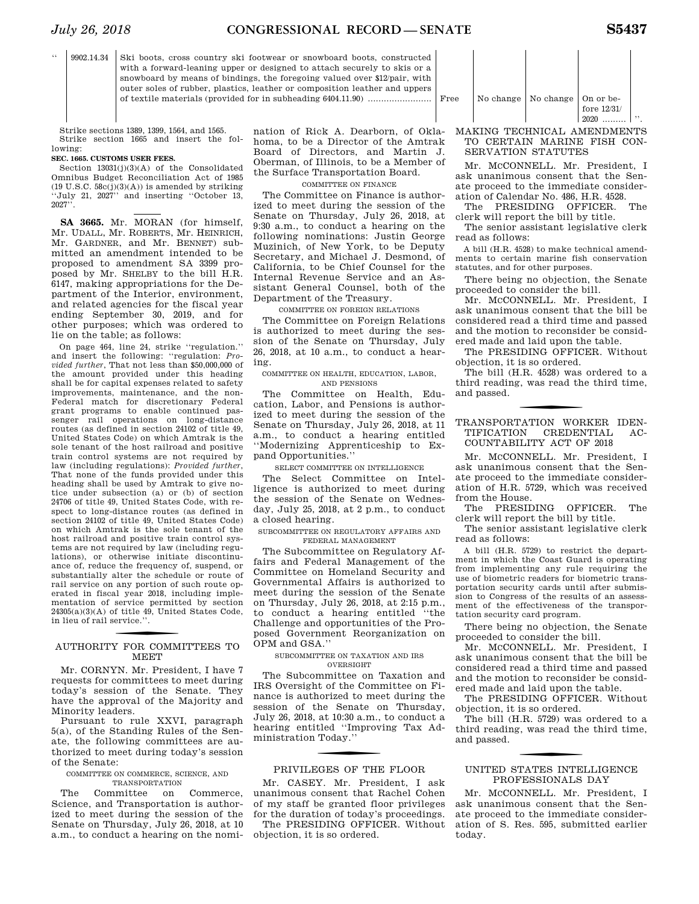$\overline{\phantom{a}}$ 

'' 9902.14.34 Ski boots, cross country ski footwear or snowboard boots, constructed with a forward-leaning upper or designed to attach securely to skis or a snowboard by means of bindings, the foregoing valued over \$12/pair, with outer soles of rubber, plastics, leather or composition leather and uppers of textile materials (provided for in subheading 6404.11.90) ........................ Free No change No change On or be-

Strike sections 1389, 1399, 1564, and 1565. Strike section 1665 and insert the following:

### **SEC. 1665. CUSTOMS USER FEES.**

Section 13031(j)(3)(A) of the Consolidated Omnibus Budget Reconciliation Act of 1985  $(19 \text{ U.S.C. } 58c(j)(3)(A))$  is amended by striking ''July 21, 2027'' and inserting ''October 13,  $2027$ <sup> $,7$ </sup>.

**SA 3665.** Mr. MORAN (for himself, Mr. UDALL, Mr. ROBERTS, Mr. HEINRICH, Mr. GARDNER, and Mr. BENNET) submitted an amendment intended to be proposed to amendment SA 3399 proposed by Mr. SHELBY to the bill H.R. 6147, making appropriations for the Department of the Interior, environment, and related agencies for the fiscal year ending September 30, 2019, and for other purposes; which was ordered to lie on the table; as follows:

On page 464, line 24, strike ''regulation.'' and insert the following: ''regulation: *Provided further*, That not less than \$50,000,000 of the amount provided under this heading shall be for capital expenses related to safety improvements, maintenance, and the non-Federal match for discretionary Federal grant programs to enable continued passenger rail operations on long-distance routes (as defined in section 24102 of title 49, United States Code) on which Amtrak is the sole tenant of the host railroad and positive train control systems are not required by law (including regulations): *Provided further*, That none of the funds provided under this heading shall be used by Amtrak to give notice under subsection (a) or (b) of section 24706 of title 49, United States Code, with respect to long-distance routes (as defined in section 24102 of title 49, United States Code) on which Amtrak is the sole tenant of the host railroad and positive train control systems are not required by law (including regulations), or otherwise initiate discontinuance of, reduce the frequency of, suspend, or substantially alter the schedule or route of rail service on any portion of such route operated in fiscal year 2018, including implementation of service permitted by section  $24305(a)(3)(A)$  of title 49, United States Code, in lieu of rail service.''.

# f AUTHORITY FOR COMMITTEES TO **MEET**

Mr. CORNYN. Mr. President, I have 7 requests for committees to meet during today's session of the Senate. They have the approval of the Majority and Minority leaders.

Pursuant to rule XXVI, paragraph 5(a), of the Standing Rules of the Senate, the following committees are authorized to meet during today's session of the Senate:

### COMMITTEE ON COMMERCE, SCIENCE, AND TRANSPORTATION

The Committee on Commerce, Science, and Transportation is authorized to meet during the session of the Senate on Thursday, July 26, 2018, at 10 a.m., to conduct a hearing on the nomi-

nation of Rick A. Dearborn, of Oklahoma, to be a Director of the Amtrak Board of Directors, and Martin J. Oberman, of Illinois, to be a Member of the Surface Transportation Board.

### COMMITTEE ON FINANCE

The Committee on Finance is authorized to meet during the session of the Senate on Thursday, July 26, 2018, at 9:30 a.m., to conduct a hearing on the following nominations: Justin George Muzinich, of New York, to be Deputy Secretary, and Michael J. Desmond, of California, to be Chief Counsel for the Internal Revenue Service and an Assistant General Counsel, both of the Department of the Treasury.

### COMMITTEE ON FOREIGN RELATIONS

The Committee on Foreign Relations is authorized to meet during the session of the Senate on Thursday, July 26, 2018, at 10 a.m., to conduct a hearing.

### COMMITTEE ON HEALTH, EDUCATION, LABOR, AND PENSIONS

The Committee on Health, Education, Labor, and Pensions is authorized to meet during the session of the Senate on Thursday, July 26, 2018, at 11 a.m., to conduct a hearing entitled ''Modernizing Apprenticeship to Expand Opportunities.''

SELECT COMMITTEE ON INTELLIGENCE

The Select Committee on Intelligence is authorized to meet during the session of the Senate on Wednesday, July 25, 2018, at 2 p.m., to conduct a closed hearing.

SUBCOMMITTEE ON REGULATORY AFFAIRS AND FEDERAL MANAGEMENT

The Subcommittee on Regulatory Affairs and Federal Management of the Committee on Homeland Security and Governmental Affairs is authorized to meet during the session of the Senate on Thursday, July 26, 2018, at 2:15 p.m., to conduct a hearing entitled ''the Challenge and opportunities of the Proposed Government Reorganization on OPM and GSA.''

### SUBCOMMITTEE ON TAXATION AND IRS OVERSIGHT

The Subcommittee on Taxation and IRS Oversight of the Committee on Finance is authorized to meet during the session of the Senate on Thursday, July 26, 2018, at 10:30 a.m., to conduct a hearing entitled ''Improving Tax Administration Today.''

### PRIVILEGES OF THE FLOOR

Mr. CASEY. Mr. President, I ask unanimous consent that Rachel Cohen of my staff be granted floor privileges for the duration of today's proceedings.

The PRESIDING OFFICER. Without objection, it is so ordered.

| эe | No change   No change   On or be- | fore $12/31/$<br>2020 |  |
|----|-----------------------------------|-----------------------|--|

 $\mathbf{I}$ 

 $\mathbf{I}$ 

### MAKING TECHNICAL AMENDMENTS TO CERTAIN MARINE FISH CON-SERVATION STATUTES

 $\perp$ 

Mr. McCONNELL. Mr. President, I ask unanimous consent that the Senate proceed to the immediate consider-

ation of Calendar No. 486, H.R. 4528. The PRESIDING OFFICER. clerk will report the bill by title.

The senior assistant legislative clerk read as follows:

A bill (H.R. 4528) to make technical amendments to certain marine fish conservation statutes, and for other purposes.

There being no objection, the Senate proceeded to consider the bill.

Mr. MCCONNELL. Mr. President, I ask unanimous consent that the bill be considered read a third time and passed and the motion to reconsider be considered made and laid upon the table.

The PRESIDING OFFICER. Without objection, it is so ordered.

The bill (H.R. 4528) was ordered to a third reading, was read the third time, and passed.

### f TRANSPORTATION WORKER IDEN-TIFICATION CREDENTIAL AC-COUNTABILITY ACT OF 2018

Mr. McCONNELL. Mr. President, I ask unanimous consent that the Senate proceed to the immediate consideration of H.R. 5729, which was received from the House.

The PRESIDING OFFICER. The clerk will report the bill by title.

The senior assistant legislative clerk read as follows:

A bill (H.R. 5729) to restrict the department in which the Coast Guard is operating from implementing any rule requiring the use of biometric readers for biometric transportation security cards until after submission to Congress of the results of an assessment of the effectiveness of the transportation security card program.

There being no objection, the Senate proceeded to consider the bill.

Mr. MCCONNELL. Mr. President, I ask unanimous consent that the bill be considered read a third time and passed and the motion to reconsider be considered made and laid upon the table.

The PRESIDING OFFICER. Without objection, it is so ordered.

The bill (H.R. 5729) was ordered to a third reading, was read the third time, and passed.

### UNITED STATES INTELLIGENCE PROFESSIONALS DAY

Mr. MCCONNELL. Mr. President, I ask unanimous consent that the Senate proceed to the immediate consideration of S. Res. 595, submitted earlier today.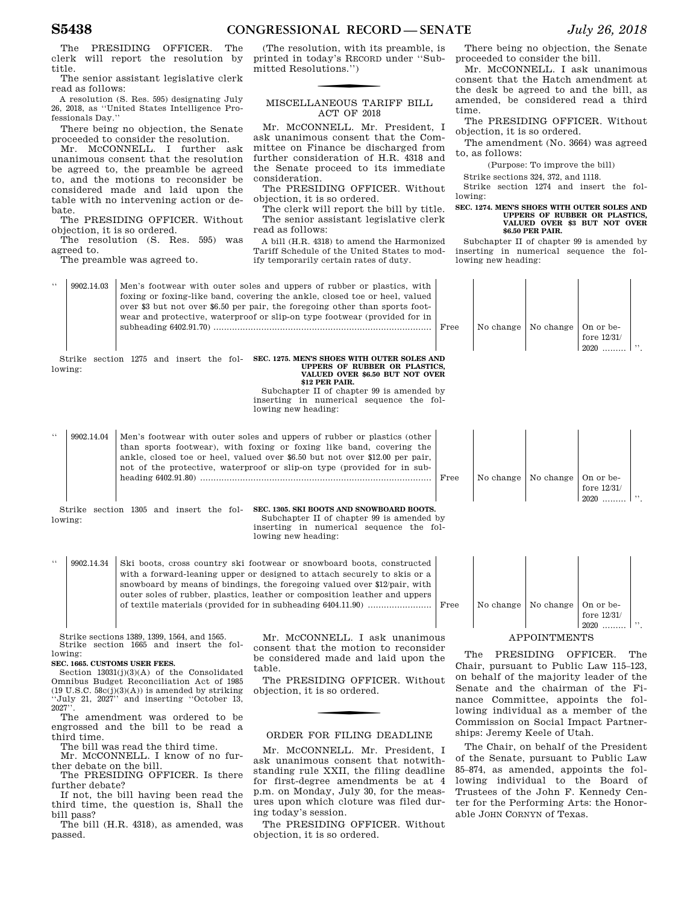The PRESIDING OFFICER. The clerk will report the resolution by title.

The senior assistant legislative clerk read as follows:

A resolution (S. Res. 595) designating July 26, 2018, as ''United States Intelligence Professionals Day.''

There being no objection, the Senate proceeded to consider the resolution.

Mr. MCCONNELL. I further ask unanimous consent that the resolution be agreed to, the preamble be agreed to, and the motions to reconsider be considered made and laid upon the table with no intervening action or debate.

The PRESIDING OFFICER. Without objection, it is so ordered.

The resolution (S. Res. 595) was agreed to.

The preamble was agreed to.

(The resolution, with its preamble, is printed in today's RECORD under ''Submitted Resolutions.'')

### MISCELLANEOUS TARIFF BILL ACT OF 2018

Mr. MCCONNELL. Mr. President, I ask unanimous consent that the Committee on Finance be discharged from further consideration of H.R. 4318 and the Senate proceed to its immediate consideration.

The PRESIDING OFFICER. Without objection, it is so ordered.

The clerk will report the bill by title. The senior assistant legislative clerk read as follows:

A bill (H.R. 4318) to amend the Harmonized Tariff Schedule of the United States to modify temporarily certain rates of duty.

### There being no objection, the Senate proceeded to consider the bill. Mr. MCCONNELL. I ask unanimous

consent that the Hatch amendment at the desk be agreed to and the bill, as amended, be considered read a third time.

The PRESIDING OFFICER. Without objection, it is so ordered.

The amendment (No. 3664) was agreed to, as follows:

(Purpose: To improve the bill)

Strike sections 324, 372, and 1118.

Strike section 1274 and insert the following:

### **SEC. 1274. MEN'S SHOES WITH OUTER SOLES AND UPPERS OF RUBBER OR PLASTICS, VALUED OVER \$3 BUT NOT OVER \$6.50 PER PAIR.**

Subchapter II of chapter 99 is amended by inserting in numerical sequence the following new heading:

| 6.6             | 9902.14.03        | Men's footwear with outer soles and uppers of rubber or plastics, with<br>foxing or foxing-like band, covering the ankle, closed toe or heel, valued<br>over \$3 but not over \$6.50 per pair, the foregoing other than sports foot-<br>wear and protective, waterproof or slip-on type footwear (provided for in | Free | No change | No change    | On or be-<br>fore $12/31/$<br>$2020$ |     |
|-----------------|-------------------|-------------------------------------------------------------------------------------------------------------------------------------------------------------------------------------------------------------------------------------------------------------------------------------------------------------------|------|-----------|--------------|--------------------------------------|-----|
|                 | Strike<br>lowing: | SEC. 1275. MEN'S SHOES WITH OUTER SOLES AND<br>section 1275 and insert the fol-<br>UPPERS OF RUBBER OR PLASTICS,<br>VALUED OVER \$6.50 BUT NOT OVER<br>\$12 PER PAIR.<br>Subchapter II of chapter 99 is amended by                                                                                                |      |           |              |                                      |     |
|                 |                   | inserting in numerical sequence the fol-<br>lowing new heading:                                                                                                                                                                                                                                                   |      |           |              |                                      |     |
| $\zeta$ $\zeta$ | 9902.14.04        | Men's footwear with outer soles and uppers of rubber or plastics (other<br>than sports footwear), with foxing or foxing like band, covering the<br>ankle, closed toe or heel, valued over \$6.50 but not over \$12.00 per pair,<br>not of the protective, waterproof or slip-on type (provided for in sub-        | Free | No change | No change    | On or be-<br>fore 12/31/<br>$2020$   |     |
|                 | lowing:           | SEC. 1305. SKI BOOTS AND SNOWBOARD BOOTS.<br>Strike section 1305 and insert the fol-<br>Subchapter II of chapter 99 is amended by<br>inserting in numerical sequence the fol-<br>lowing new heading:                                                                                                              |      |           |              |                                      |     |
| $\zeta$ $\zeta$ | 9902.14.34        | Ski boots, cross country ski footwear or snowboard boots, constructed<br>with a forward-leaning upper or designed to attach securely to skis or a<br>snowboard by means of bindings, the foregoing valued over \$12/pair, with<br>outer soles of rubber, plastics, leather or composition leather and uppers      | Free | No change | No change    | On or be-<br>fore 12/31/<br>$2020$   | , , |
|                 |                   | Strike sections 1389, 1399, 1564, and 1565.<br>Mr. MCCONNELL. I ask unanimous<br>Strike section 1665 and insert the fol-                                                                                                                                                                                          |      |           | APPOINTMENTS |                                      |     |
|                 | lowing:           | consent that the motion to reconsider                                                                                                                                                                                                                                                                             | ጥhբ  |           | PRESIDING    | OFFICER                              | ጥኩ6 |

### **SEC. 1665. CUSTOMS USER FEES.**

Section 13031(j)(3)(A) of the Consolidated Omnibus Budget Reconciliation Act of 1985 (19 U.S.C.  $58c(j)(3)(A)$ ) is amended by striking ''July 21, 2027'' and inserting ''October 13, 2027

The amendment was ordered to be engrossed and the bill to be read a third time.

The bill was read the third time.

Mr. MCCONNELL. I know of no further debate on the bill.

The PRESIDING OFFICER. Is there further debate?

If not, the bill having been read the third time, the question is, Shall the bill pass?

The bill (H.R. 4318), as amended, was passed.

be considered made and laid upon the table.

The PRESIDING OFFICER. Without objection, it is so ordered.

### ORDER FOR FILING DEADLINE

Mr. MCCONNELL. Mr. President, I ask unanimous consent that notwithstanding rule XXII, the filing deadline for first-degree amendments be at 4 p.m. on Monday, July 30, for the measures upon which cloture was filed during today's session.

The PRESIDING OFFICER. Without objection, it is so ordered.

The PRESIDING OFFICER. The Chair, pursuant to Public Law 115–123, on behalf of the majority leader of the Senate and the chairman of the Finance Committee, appoints the following individual as a member of the Commission on Social Impact Partnerships: Jeremy Keele of Utah.

The Chair, on behalf of the President of the Senate, pursuant to Public Law 85–874, as amended, appoints the following individual to the Board of Trustees of the John F. Kennedy Center for the Performing Arts: the Honorable JOHN CORNYN of Texas.